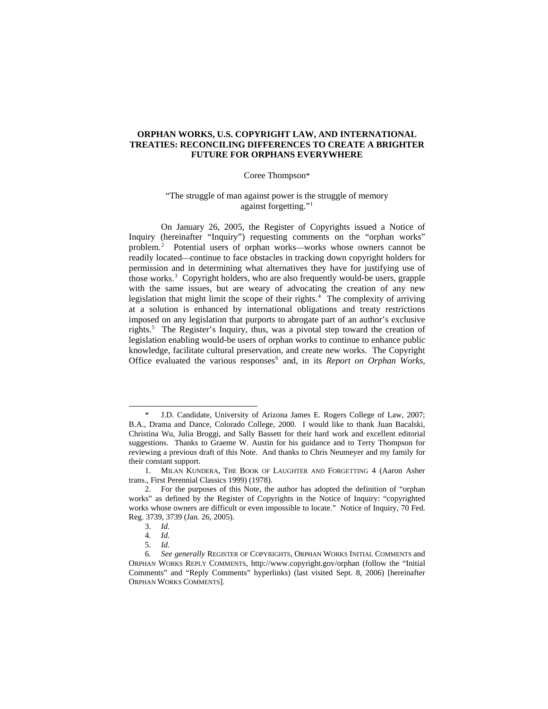# **ORPHAN WORKS, U.S. COPYRIGHT LAW, AND INTERNATIONAL TREATIES: RECONCILING DIFFERENCES TO CREATE A BRIGHTER FUTURE FOR ORPHANS EVERYWHERE**

## Coree Thompson\*

# "The struggle of man against power is the struggle of memory against forgetting."<sup>[1](#page-0-0)</sup>

On January 26, 2005, the Register of Copyrights issued a Notice of Inquiry (hereinafter "Inquiry") requesting comments on the "orphan works" problem.[2](#page-0-1) Potential users of orphan works—works whose owners cannot be readily located—continue to face obstacles in tracking down copyright holders for permission and in determining what alternatives they have for justifying use of those works.<sup>[3](#page-0-2)</sup> Copyright holders, who are also frequently would-be users, grapple with the same issues, but are weary of advocating the creation of any new legislation that might limit the scope of their rights. $4$  The complexity of arriving at a solution is enhanced by international obligations and treaty restrictions imposed on any legislation that purports to abrogate part of an author's exclusive rights.<sup>[5](#page-0-4)</sup> The Register's Inquiry, thus, was a pivotal step toward the creation of legislation enabling would-be users of orphan works to continue to enhance public knowledge, facilitate cultural preservation, and create new works. The Copyright Office evaluated the various responses<sup>[6](#page-0-5)</sup> and, in its *Report on Orphan Works*,

1

<span id="page-0-0"></span><sup>\*</sup> J.D. Candidate, University of Arizona James E. Rogers College of Law, 2007; B.A., Drama and Dance, Colorado College, 2000. I would like to thank Juan Bacalski, Christina Wu, Julia Broggi, and Sally Bassett for their hard work and excellent editorial suggestions. Thanks to Graeme W. Austin for his guidance and to Terry Thompson for reviewing a previous draft of this Note. And thanks to Chris Neumeyer and my family for their constant support.

<sup>1.</sup> MILAN KUNDERA, THE BOOK OF LAUGHTER AND FORGETTING 4 (Aaron Asher trans., First Perennial Classics 1999) (1978).

<span id="page-0-1"></span><sup>2.</sup> For the purposes of this Note, the author has adopted the definition of "orphan works" as defined by the Register of Copyrights in the Notice of Inquiry: "copyrighted works whose owners are difficult or even impossible to locate." Notice of Inquiry, 70 Fed. Reg. 3739, 3739 (Jan. 26, 2005).

<sup>3.</sup> *Id.*

<sup>4.</sup> *Id.*

<sup>5.</sup> *Id.* 

<span id="page-0-5"></span><span id="page-0-4"></span><span id="page-0-3"></span><span id="page-0-2"></span><sup>6</sup>*. See generally* REGISTER OF COPYRIGHTS, ORPHAN WORKS INITIAL COMMENTS and ORPHAN WORKS REPLY COMMENTS, http://www.copyright.gov/orphan (follow the "Initial Comments" and "Reply Comments" hyperlinks) (last visited Sept. 8, 2006) [hereinafter ORPHAN WORKS COMMENTS].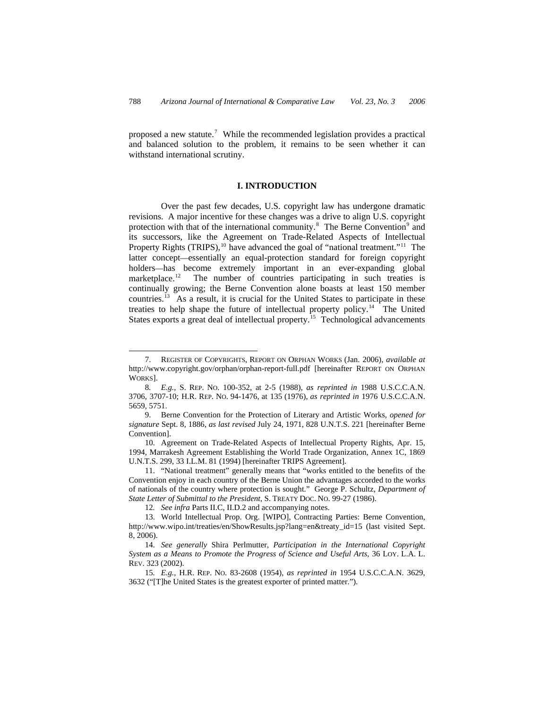proposed a new statute.<sup>[7](#page-1-0)</sup> While the recommended legislation provides a practical and balanced solution to the problem, it remains to be seen whether it can withstand international scrutiny.

## **I. INTRODUCTION**

Over the past few decades, U.S. copyright law has undergone dramatic revisions. A major incentive for these changes was a drive to align U.S. copyright protection with that of the international community.<sup>[8](#page-1-1)</sup> The Berne Convention<sup>[9](#page-1-2)</sup> and its successors, like the Agreement on Trade-Related Aspects of Intellectual Property Rights  $(TRIPS)$ ,<sup>[10](#page-1-3)</sup> have advanced the goal of "national treatment."<sup>[11](#page-1-4)</sup> The latter concept—essentially an equal-protection standard for foreign copyright holders—has become extremely important in an ever-expanding global marketplace.<sup>12</sup> The number of countries participating in such treaties is The number of countries participating in such treaties is continually growing; the Berne Convention alone boasts at least 150 member countries.[13](#page-1-6) As a result, it is crucial for the United States to participate in these treaties to help shape the future of intellectual property policy.<sup>[14](#page-1-7)</sup> The United States exports a great deal of intellectual property.<sup>[15](#page-1-8)</sup> Technological advancements

<span id="page-1-0"></span><sup>7.</sup> REGISTER OF COPYRIGHTS, REPORT ON ORPHAN WORKS (Jan. 2006), *available at*  http://www.copyright.gov/orphan/orphan-report-full.pdf [hereinafter REPORT ON ORPHAN WORKS].

<span id="page-1-1"></span><sup>8</sup>*. E.g.*, S. REP. NO. 100-352, at 2-5 (1988), *as reprinted in* 1988 U.S.C.C.A.N. 3706, 3707-10; H.R. REP. NO. 94-1476, at 135 (1976), *as reprinted in* 1976 U.S.C.C.A.N. 5659, 5751.

<span id="page-1-2"></span><sup>9.</sup> Berne Convention for the Protection of Literary and Artistic Works, *opened for signature* Sept. 8, 1886, *as last revised* July 24, 1971, 828 U.N.T.S. 221 [hereinafter Berne Convention].

<span id="page-1-3"></span><sup>10.</sup> Agreement on Trade-Related Aspects of Intellectual Property Rights, Apr. 15, 1994, Marrakesh Agreement Establishing the World Trade Organization, Annex 1C, 1869 U.N.T.S. 299, 33 I.L.M. 81 (1994) [hereinafter TRIPS Agreement].

<span id="page-1-4"></span><sup>11. &</sup>quot;National treatment" generally means that "works entitled to the benefits of the Convention enjoy in each country of the Berne Union the advantages accorded to the works of nationals of the country where protection is sought." George P. Schultz, *Department of State Letter of Submittal to the President*, S. TREATY DOC. NO. 99-27 (1986).

<sup>12</sup>*. See infra* Parts II.C, II.D.2 and accompanying notes.

<span id="page-1-6"></span><span id="page-1-5"></span><sup>13.</sup> World Intellectual Prop. Org. [WIPO], Contracting Parties: Berne Convention, http://www.wipo.int/treaties/en/ShowResults.jsp?lang=en&treaty\_id=15 (last visited Sept. 8, 2006).

<span id="page-1-7"></span><sup>14.</sup> *See generally* Shira Perlmutter, *Participation in the International Copyright System as a Means to Promote the Progress of Science and Useful Arts*, 36 LOY. L.A. L. REV. 323 (2002).

<span id="page-1-8"></span><sup>15</sup>*. E.g.*, H.R. REP. NO. 83-2608 (1954), *as reprinted in* 1954 U.S.C.C.A.N. 3629, 3632 ("[T]he United States is the greatest exporter of printed matter.").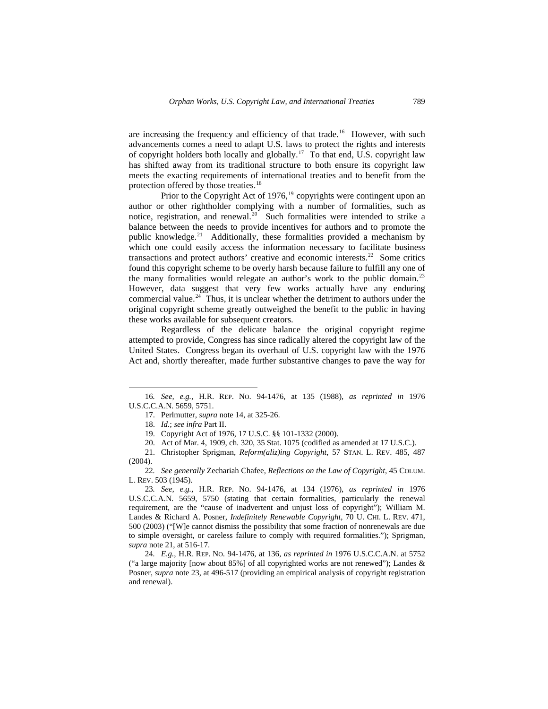are increasing the frequency and efficiency of that trade.<sup>[16](#page-2-0)</sup> However, with such advancements comes a need to adapt U.S. laws to protect the rights and interests of copyright holders both locally and globally.[17](#page-2-1) To that end, U.S. copyright law has shifted away from its traditional structure to both ensure its copyright law meets the exacting requirements of international treaties and to benefit from the protection offered by those treaties.<sup>[18](#page-2-2)</sup>

Prior to the Copyright Act of [19](#page-2-3)76,<sup>19</sup> copyrights were contingent upon an author or other rightholder complying with a number of formalities, such as notice, registration, and renewal.<sup>20</sup> Such formalities were intended to strike a balance between the needs to provide incentives for authors and to promote the public knowledge.<sup>[21](#page-2-5)</sup> Additionally, these formalities provided a mechanism by which one could easily access the information necessary to facilitate business transactions and protect authors' creative and economic interests.[22](#page-2-6) Some critics found this copyright scheme to be overly harsh because failure to fulfill any one of the many formalities would relegate an author's work to the public domain.<sup>[23](#page-2-7)</sup> However, data suggest that very few works actually have any enduring commercial value.<sup>[24](#page-2-8)</sup> Thus, it is unclear whether the detriment to authors under the original copyright scheme greatly outweighed the benefit to the public in having these works available for subsequent creators.

Regardless of the delicate balance the original copyright regime attempted to provide, Congress has since radically altered the copyright law of the United States. Congress began its overhaul of U.S. copyright law with the 1976 Act and, shortly thereafter, made further substantive changes to pave the way for

 $\overline{a}$ 

<span id="page-2-6"></span>22*. See generally* Zechariah Chafee, *Reflections on the Law of Copyright*, 45 COLUM. L. REV. 503 (1945).

<span id="page-2-7"></span>23*. See, e.g.*, H.R. REP. NO. 94-1476, at 134 (1976), *as reprinted in* 1976 U.S.C.C.A.N. 5659, 5750 (stating that certain formalities, particularly the renewal requirement, are the "cause of inadvertent and unjust loss of copyright"); William M. Landes & Richard A. Posner, *Indefinitely Renewable Copyright*, 70 U. CHI. L. REV. 471, 500 (2003) ("[W]e cannot dismiss the possibility that some fraction of nonrenewals are due to simple oversight, or careless failure to comply with required formalities."); Sprigman, *supra* note 21, at 516-17.

<span id="page-2-8"></span>24*. E.g.*, H.R. REP. NO. 94-1476, at 136, *as reprinted in* 1976 U.S.C.C.A.N. at 5752 ("a large majority [now about 85%] of all copyrighted works are not renewed"); Landes & Posner, *supra* note 23, at 496-517 (providing an empirical analysis of copyright registration and renewal).

<span id="page-2-2"></span><span id="page-2-1"></span><span id="page-2-0"></span><sup>16</sup>*. See, e.g.*, H.R. REP. NO. 94-1476, at 135 (1988), *as reprinted in* 1976 U.S.C.C.A.N. 5659, 5751.

<sup>17.</sup> Perlmutter, *supra* note 14, at 325-26.

<sup>18.</sup> *Id.*; *see infra* Part II.

<sup>19.</sup> Copyright Act of 1976, 17 U.S.C. §§ 101-1332 (2000).

<sup>20.</sup> Act of Mar. 4, 1909, ch. 320, 35 Stat. 1075 (codified as amended at 17 U.S.C.).

<span id="page-2-5"></span><span id="page-2-4"></span><span id="page-2-3"></span><sup>21.</sup> Christopher Sprigman, *Reform(aliz)ing Copyright*, 57 STAN. L. REV. 485, 487  $(2004)$ .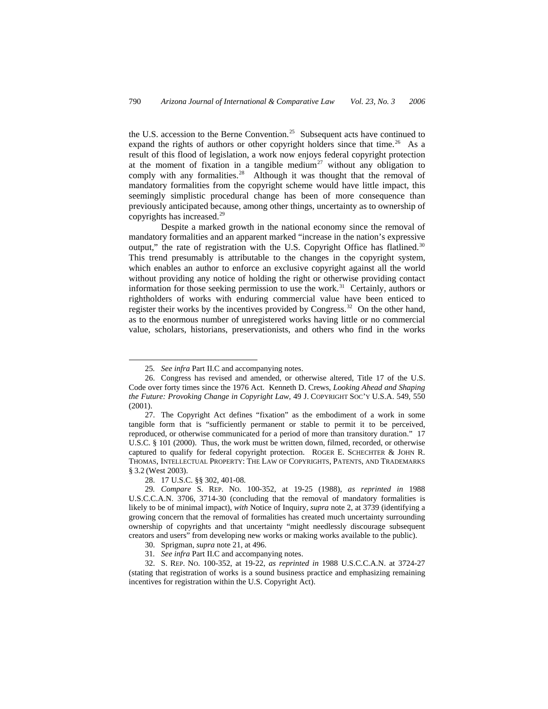the U.S. accession to the Berne Convention.<sup>[25](#page-3-0)</sup> Subsequent acts have continued to expand the rights of authors or other copyright holders since that time.<sup>[26](#page-3-1)</sup> As a result of this flood of legislation, a work now enjoys federal copyright protection at the moment of fixation in a tangible medium<sup>[27](#page-3-2)</sup> without any obligation to comply with any formalities.<sup>[28](#page-3-3)</sup> Although it was thought that the removal of mandatory formalities from the copyright scheme would have little impact, this seemingly simplistic procedural change has been of more consequence than previously anticipated because, among other things, uncertainty as to ownership of copyrights has increased.[29](#page-3-4)

Despite a marked growth in the national economy since the removal of mandatory formalities and an apparent marked "increase in the nation's expressive output," the rate of registration with the U.S. Copyright Office has flatlined. $30$ This trend presumably is attributable to the changes in the copyright system, which enables an author to enforce an exclusive copyright against all the world without providing any notice of holding the right or otherwise providing contact information for those seeking permission to use the work.<sup>[31](#page-3-6)</sup> Certainly, authors or rightholders of works with enduring commercial value have been enticed to register their works by the incentives provided by Congress.<sup>[32](#page-3-7)</sup> On the other hand, as to the enormous number of unregistered works having little or no commercial value, scholars, historians, preservationists, and others who find in the works

<sup>25</sup>*. See infra* Part II.C and accompanying notes.

<span id="page-3-1"></span><span id="page-3-0"></span><sup>26.</sup> Congress has revised and amended, or otherwise altered, Title 17 of the U.S. Code over forty times since the 1976 Act. Kenneth D. Crews, *Looking Ahead and Shaping the Future: Provoking Change in Copyright Law*, 49 J. COPYRIGHT SOC'Y U.S.A. 549, 550 (2001).

<span id="page-3-2"></span><sup>27.</sup> The Copyright Act defines "fixation" as the embodiment of a work in some tangible form that is "sufficiently permanent or stable to permit it to be perceived, reproduced, or otherwise communicated for a period of more than transitory duration." 17 U.S.C. § 101 (2000). Thus, the work must be written down, filmed, recorded, or otherwise captured to qualify for federal copyright protection. ROGER E. SCHECHTER & JOHN R. THOMAS, INTELLECTUAL PROPERTY: THE LAW OF COPYRIGHTS, PATENTS, AND TRADEMARKS § 3.2 (West 2003).

<sup>28. 17</sup> U.S.C. §§ 302, 401-08.

<span id="page-3-4"></span><span id="page-3-3"></span><sup>29</sup>*. Compare* S. REP. NO. 100-352, at 19-25 (1988), *as reprinted in* 1988 U.S.C.C.A.N. 3706, 3714-30 (concluding that the removal of mandatory formalities is likely to be of minimal impact), *with* Notice of Inquiry, *supra* note 2, at 3739 (identifying a growing concern that the removal of formalities has created much uncertainty surrounding ownership of copyrights and that uncertainty "might needlessly discourage subsequent creators and users" from developing new works or making works available to the public).

<sup>30.</sup> Sprigman, *supra* note 21, at 496.

<sup>31</sup>*. See infra* Part II.C and accompanying notes.

<span id="page-3-7"></span><span id="page-3-6"></span><span id="page-3-5"></span><sup>32.</sup> S. REP. NO. 100-352, at 19-22, *as reprinted in* 1988 U.S.C.C.A.N. at 3724-27 (stating that registration of works is a sound business practice and emphasizing remaining incentives for registration within the U.S. Copyright Act).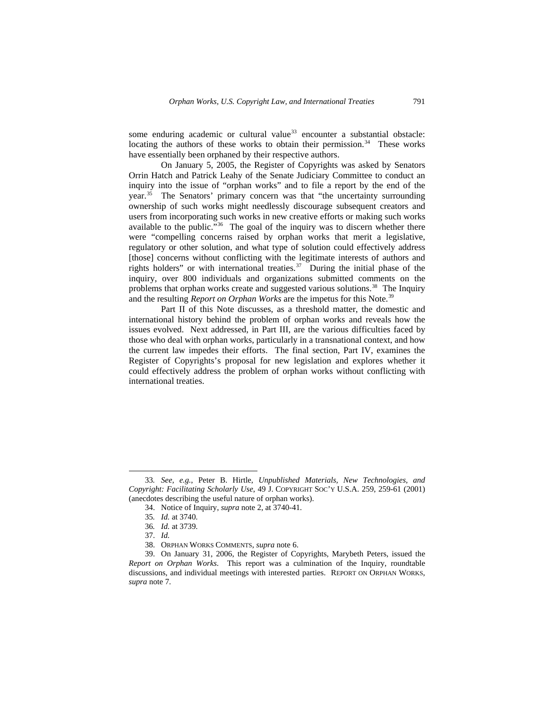some enduring academic or cultural value<sup>[33](#page-4-0)</sup> encounter a substantial obstacle: locating the authors of these works to obtain their permission. $34$  These works have essentially been orphaned by their respective authors.

On January 5, 2005, the Register of Copyrights was asked by Senators Orrin Hatch and Patrick Leahy of the Senate Judiciary Committee to conduct an inquiry into the issue of "orphan works" and to file a report by the end of the year.<sup>[35](#page-4-2)</sup> The Senators' primary concern was that "the uncertainty surrounding ownership of such works might needlessly discourage subsequent creators and users from incorporating such works in new creative efforts or making such works available to the public."<sup>[36](#page-4-3)</sup> The goal of the inquiry was to discern whether there were "compelling concerns raised by orphan works that merit a legislative, regulatory or other solution, and what type of solution could effectively address [those] concerns without conflicting with the legitimate interests of authors and rights holders" or with international treaties.<sup>[37](#page-4-4)</sup> During the initial phase of the inquiry, over 800 individuals and organizations submitted comments on the problems that orphan works create and suggested various solutions.<sup>[38](#page-4-5)</sup> The Inquiry and the resulting *Report on Orphan Works* are the impetus for this Note.<sup>[39](#page-4-6)</sup>

Part II of this Note discusses, as a threshold matter, the domestic and international history behind the problem of orphan works and reveals how the issues evolved. Next addressed, in Part III, are the various difficulties faced by those who deal with orphan works, particularly in a transnational context, and how the current law impedes their efforts. The final section, Part IV, examines the Register of Copyrights's proposal for new legislation and explores whether it could effectively address the problem of orphan works without conflicting with international treaties.

-

<span id="page-4-1"></span><span id="page-4-0"></span><sup>33</sup>*. See, e.g.*, Peter B. Hirtle, *Unpublished Materials, New Technologies, and Copyright: Facilitating Scholarly Use*, 49 J. COPYRIGHT SOC'Y U.S.A. 259, 259-61 (2001) (anecdotes describing the useful nature of orphan works).

<sup>34.</sup> Notice of Inquiry, *supra* note 2, at 3740-41.

<sup>35</sup>*. Id.* at 3740.

<sup>36</sup>*. Id.* at 3739.

<sup>37.</sup> *Id.*

<sup>38.</sup> ORPHAN WORKS COMMENTS, *supra* note 6.

<span id="page-4-6"></span><span id="page-4-5"></span><span id="page-4-4"></span><span id="page-4-3"></span><span id="page-4-2"></span><sup>39.</sup> On January 31, 2006, the Register of Copyrights, Marybeth Peters, issued the *Report on Orphan Works*. This report was a culmination of the Inquiry, roundtable discussions, and individual meetings with interested parties. REPORT ON ORPHAN WORKS, *supra* note 7.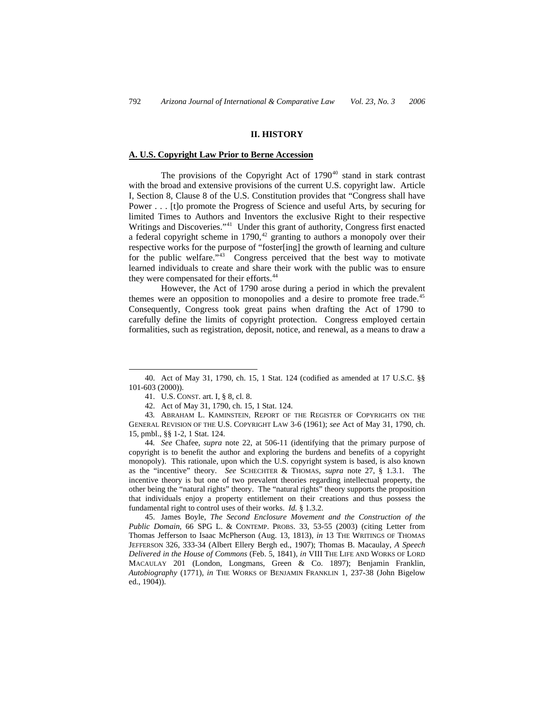### **II. HISTORY**

## **A. U.S. Copyright Law Prior to Berne Accession**

The provisions of the Copyright Act of  $1790<sup>40</sup>$  $1790<sup>40</sup>$  $1790<sup>40</sup>$  stand in stark contrast with the broad and extensive provisions of the current U.S. copyright law. Article I, Section 8, Clause 8 of the U.S. Constitution provides that "Congress shall have Power . . . [t]o promote the Progress of Science and useful Arts, by securing for limited Times to Authors and Inventors the exclusive Right to their respective Writings and Discoveries."<sup>[41](#page-5-1)</sup> Under this grant of authority, Congress first enacted a federal copyright scheme in  $1790$ ,<sup>[42](#page-5-2)</sup> granting to authors a monopoly over their respective works for the purpose of "foster[ing] the growth of learning and culture for the public welfare.<sup>3[43](#page-5-3)</sup> Congress perceived that the best way to motivate learned individuals to create and share their work with the public was to ensure they were compensated for their efforts.<sup>44</sup>

However, the Act of 1790 arose during a period in which the prevalent themes were an opposition to monopolies and a desire to promote free trade.<sup>[45](#page-5-5)</sup> Consequently, Congress took great pains when drafting the Act of 1790 to carefully define the limits of copyright protection. Congress employed certain formalities, such as registration, deposit, notice, and renewal, as a means to draw a

-

<span id="page-5-4"></span>44*. See* Chafee, *supra* note 22, at 506-11 (identifying that the primary purpose of copyright is to benefit the author and exploring the burdens and benefits of a copyright monopoly). This rationale, upon which the U.S. copyright system is based, is also known as the "incentive" theory. *See* SCHECHTER & THOMAS, *supra* note 27, § 1.3.1. The incentive theory is but one of two prevalent theories regarding intellectual property, the other being the "natural rights" theory. The "natural rights" theory supports the proposition that individuals enjoy a property entitlement on their creations and thus possess the fundamental right to control uses of their works. *Id.* § 1.3.2.

<span id="page-5-0"></span><sup>40.</sup> Act of May 31, 1790, ch. 15, 1 Stat. 124 (codified as amended at 17 U.S.C. §§ 101-603 (2000)).

<sup>41.</sup> U.S. CONST. art. I, § 8, cl. 8.

<sup>42.</sup> Act of May 31, 1790, ch. 15, 1 Stat. 124.

<span id="page-5-3"></span><span id="page-5-2"></span><span id="page-5-1"></span><sup>43</sup>*.* ABRAHAM L. KAMINSTEIN, REPORT OF THE REGISTER OF COPYRIGHTS ON THE GENERAL REVISION OF THE U.S. COPYRIGHT LAW 3-6 (1961); *see* Act of May 31, 1790, ch. 15, pmbl., §§ 1-2, 1 Stat. 124.

<span id="page-5-5"></span><sup>45.</sup> James Boyle, *The Second Enclosure Movement and the Construction of the Public Domain*, 66 SPG L. & CONTEMP. PROBS. 33, 53-55 (2003) (citing Letter from Thomas Jefferson to Isaac McPherson (Aug. 13, 1813), *in* 13 THE WRITINGS OF THOMAS JEFFERSON 326, 333-34 (Albert Ellery Bergh ed., 1907); Thomas B. Macaulay, *A Speech Delivered in the House of Commons* (Feb. 5, 1841), *in* VIII THE LIFE AND WORKS OF LORD MACAULAY 201 (London, Longmans, Green & Co. 1897); Benjamin Franklin, *Autobiography* (1771), *in* THE WORKS OF BENJAMIN FRANKLIN 1, 237-38 (John Bigelow ed., 1904)).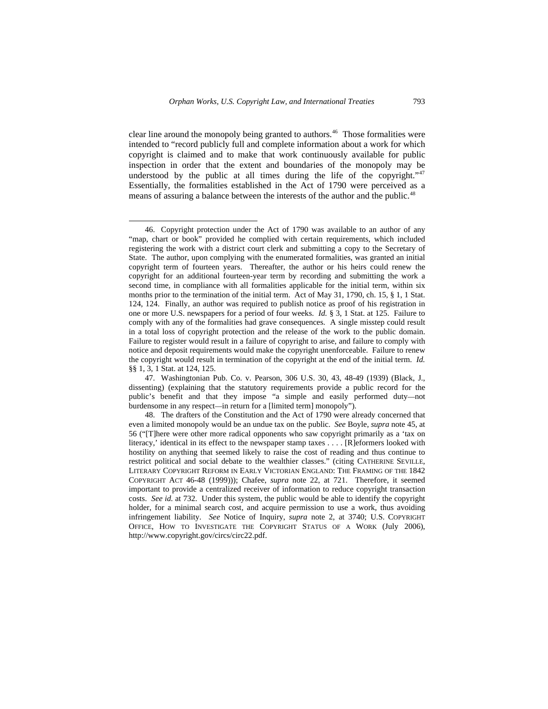clear line around the monopoly being granted to authors.<sup>46</sup> Those formalities were intended to "record publicly full and complete information about a work for which copyright is claimed and to make that work continuously available for public inspection in order that the extent and boundaries of the monopoly may be understood by the public at all times during the life of the copyright."<sup>[47](#page-6-1)</sup> Essentially, the formalities established in the Act of 1790 were perceived as a means of assuring a balance between the interests of the author and the public.<sup>[48](#page-6-2)</sup>

<span id="page-6-0"></span><sup>46.</sup> Copyright protection under the Act of 1790 was available to an author of any "map, chart or book" provided he complied with certain requirements, which included registering the work with a district court clerk and submitting a copy to the Secretary of State. The author, upon complying with the enumerated formalities, was granted an initial copyright term of fourteen years. Thereafter, the author or his heirs could renew the copyright for an additional fourteen-year term by recording and submitting the work a second time, in compliance with all formalities applicable for the initial term, within six months prior to the termination of the initial term. Act of May 31, 1790, ch. 15, § 1, 1 Stat. 124, 124. Finally, an author was required to publish notice as proof of his registration in one or more U.S. newspapers for a period of four weeks. *Id.* § 3, 1 Stat. at 125. Failure to comply with any of the formalities had grave consequences. A single misstep could result in a total loss of copyright protection and the release of the work to the public domain. Failure to register would result in a failure of copyright to arise, and failure to comply with notice and deposit requirements would make the copyright unenforceable. Failure to renew the copyright would result in termination of the copyright at the end of the initial term. *Id.*  §§ 1, 3, 1 Stat. at 124, 125.

<span id="page-6-1"></span><sup>47.</sup> Washingtonian Pub. Co. v. Pearson, 306 U.S. 30, 43, 48-49 (1939) (Black, J., dissenting) (explaining that the statutory requirements provide a public record for the public's benefit and that they impose "a simple and easily performed duty—not burdensome in any respect—in return for a [limited term] monopoly").

<span id="page-6-2"></span><sup>48.</sup> The drafters of the Constitution and the Act of 1790 were already concerned that even a limited monopoly would be an undue tax on the public. *See* Boyle, *supra* note 45, at 56 ("[T]here were other more radical opponents who saw copyright primarily as a 'tax on literacy,' identical in its effect to the newspaper stamp taxes . . . . [R]eformers looked with hostility on anything that seemed likely to raise the cost of reading and thus continue to restrict political and social debate to the wealthier classes." (citing CATHERINE SEVILLE, LITERARY COPYRIGHT REFORM IN EARLY VICTORIAN ENGLAND: THE FRAMING OF THE 1842 COPYRIGHT ACT 46-48 (1999))); Chafee, *supra* note 22, at 721. Therefore, it seemed important to provide a centralized receiver of information to reduce copyright transaction costs. *See id.* at 732. Under this system, the public would be able to identify the copyright holder, for a minimal search cost, and acquire permission to use a work, thus avoiding infringement liability. *See* Notice of Inquiry, *supra* note 2, at 3740; U.S. COPYRIGHT OFFICE, HOW TO INVESTIGATE THE COPYRIGHT STATUS OF A WORK (July 2006), http://www.copyright.gov/circs/circ22.pdf.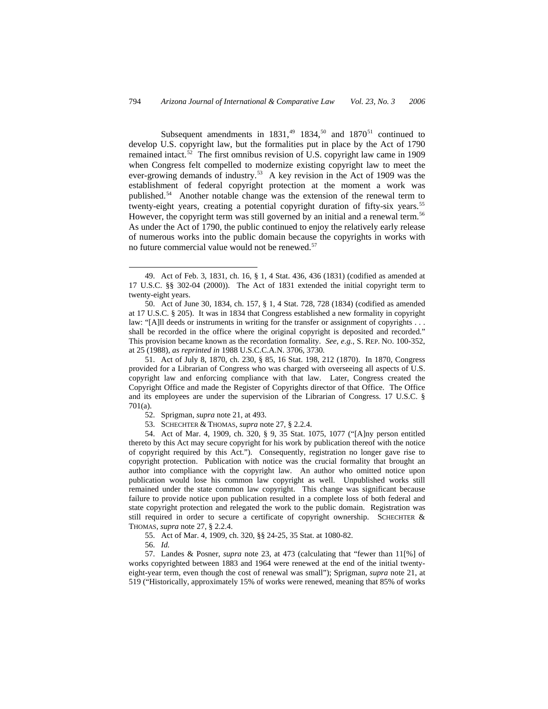Subsequent amendments in  $1831<sup>49</sup>$  $1831<sup>49</sup>$  $1831<sup>49</sup>$  1834,<sup>50</sup> and  $1870<sup>51</sup>$  $1870<sup>51</sup>$  $1870<sup>51</sup>$  continued to develop U.S. copyright law, but the formalities put in place by the Act of 1790 remained intact.<sup>[52](#page-7-3)</sup> The first omnibus revision of U.S. copyright law came in 1909 when Congress felt compelled to modernize existing copyright law to meet the ever-growing demands of industry.<sup>[53](#page-7-4)</sup> A key revision in the Act of 1909 was the establishment of federal copyright protection at the moment a work was published.[54](#page-7-5) Another notable change was the extension of the renewal term to twenty-eight years, creating a potential copyright duration of fifty-six years.<sup>[55](#page-7-6)</sup> However, the copyright term was still governed by an initial and a renewal term.<sup>[56](#page-7-7)</sup> As under the Act of 1790, the public continued to enjoy the relatively early release of numerous works into the public domain because the copyrights in works with no future commercial value would not be renewed.<sup>[57](#page-7-8)</sup>

<span id="page-7-2"></span>51. Act of July 8, 1870, ch. 230, § 85, 16 Stat. 198, 212 (1870). In 1870, Congress provided for a Librarian of Congress who was charged with overseeing all aspects of U.S. copyright law and enforcing compliance with that law. Later, Congress created the Copyright Office and made the Register of Copyrights director of that Office. The Office and its employees are under the supervision of the Librarian of Congress. 17 U.S.C. § 701(a).

<span id="page-7-5"></span><span id="page-7-4"></span><span id="page-7-3"></span>54. Act of Mar. 4, 1909, ch. 320, § 9, 35 Stat. 1075, 1077 ("[A]ny person entitled thereto by this Act may secure copyright for his work by publication thereof with the notice of copyright required by this Act."). Consequently, registration no longer gave rise to copyright protection. Publication with notice was the crucial formality that brought an author into compliance with the copyright law. An author who omitted notice upon publication would lose his common law copyright as well. Unpublished works still remained under the state common law copyright. This change was significant because failure to provide notice upon publication resulted in a complete loss of both federal and state copyright protection and relegated the work to the public domain. Registration was still required in order to secure a certificate of copyright ownership. SCHECHTER  $\&$ THOMAS, *supra* note 27, § 2.2.4.

- 55. Act of Mar. 4, 1909, ch. 320, §§ 24-25, 35 Stat. at 1080-82.
- 56. *Id.*

 $\overline{a}$ 

<span id="page-7-8"></span><span id="page-7-7"></span><span id="page-7-6"></span>57. Landes & Posner, *supra* note 23, at 473 (calculating that "fewer than 11[%] of works copyrighted between 1883 and 1964 were renewed at the end of the initial twentyeight-year term, even though the cost of renewal was small"); Sprigman, *supra* note 21, at 519 ("Historically, approximately 15% of works were renewed, meaning that 85% of works

<span id="page-7-0"></span><sup>49.</sup> Act of Feb. 3, 1831, ch. 16, § 1, 4 Stat. 436, 436 (1831) (codified as amended at 17 U.S.C. §§ 302-04 (2000)). The Act of 1831 extended the initial copyright term to twenty-eight years.

<span id="page-7-1"></span><sup>50.</sup> Act of June 30, 1834, ch. 157, § 1, 4 Stat. 728, 728 (1834) (codified as amended at 17 U.S.C. § 205). It was in 1834 that Congress established a new formality in copyright law: "[A]ll deeds or instruments in writing for the transfer or assignment of copyrights . . . shall be recorded in the office where the original copyright is deposited and recorded." This provision became known as the recordation formality. *See, e.g.*, S. REP. NO. 100-352, at 25 (1988), *as reprinted in* 1988 U.S.C.C.A.N. 3706, 3730.

<sup>52.</sup> Sprigman, *supra* note 21, at 493.

<sup>53.</sup> SCHECHTER & THOMAS, *supra* note 27, § 2.2.4.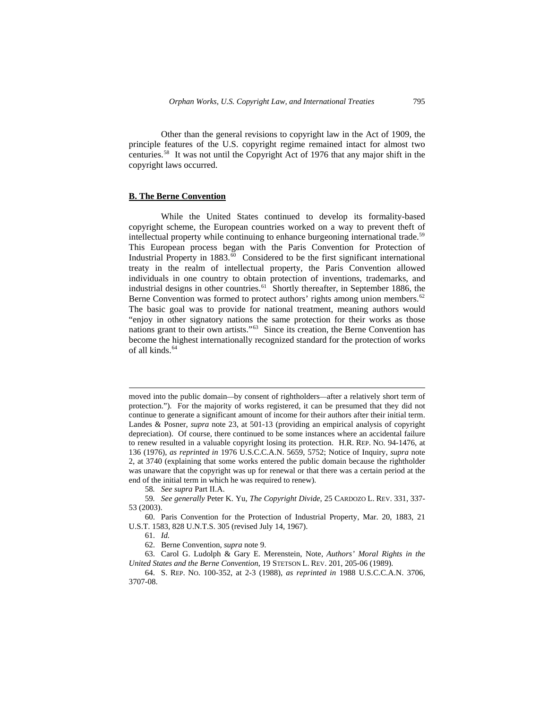Other than the general revisions to copyright law in the Act of 1909, the principle features of the U.S. copyright regime remained intact for almost two centuries.[58](#page-8-0) It was not until the Copyright Act of 1976 that any major shift in the copyright laws occurred.

### **B. The Berne Convention**

While the United States continued to develop its formality-based copyright scheme, the European countries worked on a way to prevent theft of intellectual property while continuing to enhance burgeoning international trade.<sup>[59](#page-8-1)</sup> This European process began with the Paris Convention for Protection of Industrial Property in  $1883.\overline{60}$  $1883.\overline{60}$  $1883.\overline{60}$  Considered to be the first significant international treaty in the realm of intellectual property, the Paris Convention allowed individuals in one country to obtain protection of inventions, trademarks, and industrial designs in other countries.<sup>[61](#page-8-3)</sup> Shortly thereafter, in September 1886, the Berne Convention was formed to protect authors' rights among union members.<sup>[62](#page-8-4)</sup> The basic goal was to provide for national treatment, meaning authors would "enjoy in other signatory nations the same protection for their works as those nations grant to their own artists."[63](#page-8-5) Since its creation, the Berne Convention has become the highest internationally recognized standard for the protection of works of all kinds.<sup>[64](#page-8-6)</sup>

58*. See supra* Part II.A.

<span id="page-8-1"></span><span id="page-8-0"></span>59*. See generally* Peter K. Yu, *The Copyright Divide*, 25 CARDOZO L. REV. 331, 337- 53 (2003).

 $\overline{a}$ 

<span id="page-8-5"></span><span id="page-8-4"></span>63. Carol G. Ludolph & Gary E. Merenstein, Note, *Authors' Moral Rights in the United States and the Berne Convention*, 19 STETSON L. REV. 201, 205-06 (1989).

<span id="page-8-6"></span>64. S. REP. NO. 100-352, at 2-3 (1988), *as reprinted in* 1988 U.S.C.C.A.N. 3706, 3707-08.

moved into the public domain—by consent of rightholders—after a relatively short term of protection."). For the majority of works registered, it can be presumed that they did not continue to generate a significant amount of income for their authors after their initial term. Landes & Posner, *supra* note 23, at 501-13 (providing an empirical analysis of copyright depreciation). Of course, there continued to be some instances where an accidental failure to renew resulted in a valuable copyright losing its protection. H.R. REP. NO. 94-1476, at 136 (1976), *as reprinted in* 1976 U.S.C.C.A.N. 5659, 5752; Notice of Inquiry, *supra* note 2, at 3740 (explaining that some works entered the public domain because the rightholder was unaware that the copyright was up for renewal or that there was a certain period at the end of the initial term in which he was required to renew).

<span id="page-8-3"></span><span id="page-8-2"></span><sup>60.</sup> Paris Convention for the Protection of Industrial Property, Mar. 20, 1883, 21 U.S.T. 1583, 828 U.N.T.S. 305 (revised July 14, 1967).

<sup>61.</sup> *Id.*

<sup>62.</sup> Berne Convention, *supra* note 9.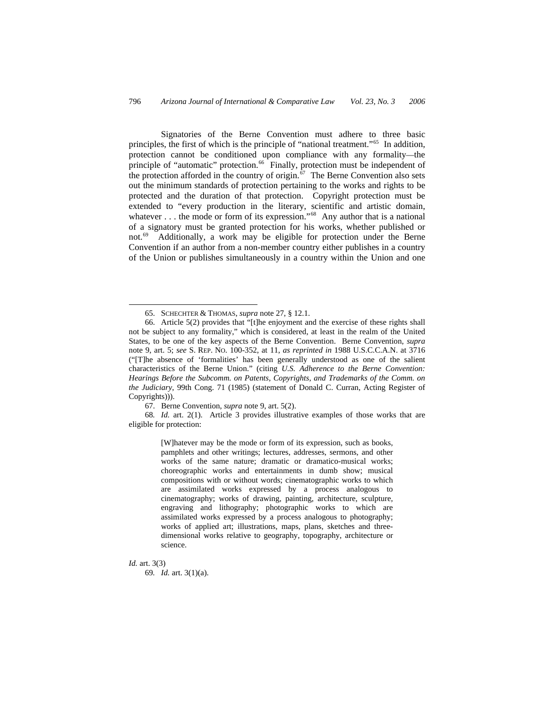Signatories of the Berne Convention must adhere to three basic principles, the first of which is the principle of "national treatment."[65](#page-9-0) In addition, protection cannot be conditioned upon compliance with any formality—the principle of "automatic" protection.<sup>[66](#page-9-1)</sup> Finally, protection must be independent of the protection afforded in the country of origin. $67$  The Berne Convention also sets out the minimum standards of protection pertaining to the works and rights to be protected and the duration of that protection. Copyright protection must be extended to "every production in the literary, scientific and artistic domain, whatever . . . the mode or form of its expression."<sup>[68](#page-9-3)</sup> Any author that is a national of a signatory must be granted protection for his works, whether published or not.<sup>[69](#page-9-4)</sup> Additionally, a work may be eligible for protection under the Berne Convention if an author from a non-member country either publishes in a country of the Union or publishes simultaneously in a country within the Union and one

67. Berne Convention, *supra* note 9, art. 5(2).

<span id="page-9-3"></span><span id="page-9-2"></span>68*. Id.* art. 2(1). Article 3 provides illustrative examples of those works that are eligible for protection:

> [W]hatever may be the mode or form of its expression, such as books, pamphlets and other writings; lectures, addresses, sermons, and other works of the same nature; dramatic or dramatico-musical works; choreographic works and entertainments in dumb show; musical compositions with or without words; cinematographic works to which are assimilated works expressed by a process analogous to cinematography; works of drawing, painting, architecture, sculpture, engraving and lithography; photographic works to which are assimilated works expressed by a process analogous to photography; works of applied art; illustrations, maps, plans, sketches and threedimensional works relative to geography, topography, architecture or science.

<span id="page-9-4"></span>*Id.* art. 3(3) 69*. Id.* art. 3(1)(a).

<sup>65.</sup> SCHECHTER & THOMAS, *supra* note 27, § 12.1.

<span id="page-9-1"></span><span id="page-9-0"></span><sup>66.</sup> Article 5(2) provides that "[t]he enjoyment and the exercise of these rights shall not be subject to any formality," which is considered, at least in the realm of the United States, to be one of the key aspects of the Berne Convention. Berne Convention, *supra*  note 9, art. 5; *see* S. REP. NO. 100-352, at 11, *as reprinted in* 1988 U.S.C.C.A.N. at 3716 ("[T]he absence of 'formalities' has been generally understood as one of the salient characteristics of the Berne Union." (citing *U.S. Adherence to the Berne Convention: Hearings Before the Subcomm. on Patents, Copyrights, and Trademarks of the Comm. on the Judiciary*, 99th Cong. 71 (1985) (statement of Donald C. Curran, Acting Register of Copyrights))).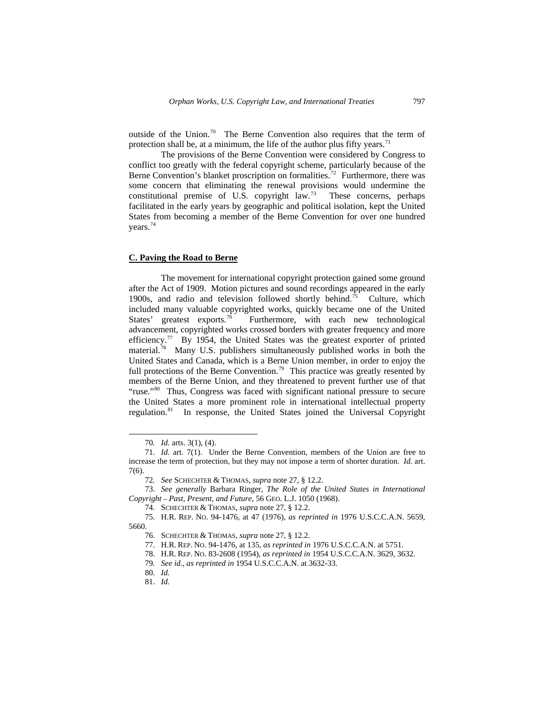outside of the Union.<sup>[70](#page-10-0)</sup> The Berne Convention also requires that the term of protection shall be, at a minimum, the life of the author plus fifty years.<sup>[71](#page-10-1)</sup>

The provisions of the Berne Convention were considered by Congress to conflict too greatly with the federal copyright scheme, particularly because of the Berne Convention's blanket proscription on formalities.<sup>[72](#page-10-2)</sup> Furthermore, there was some concern that eliminating the renewal provisions would undermine the constitutional premise of U.S. copyright law.<sup>[73](#page-10-3)</sup> These concerns, perhaps facilitated in the early years by geographic and political isolation, kept the United States from becoming a member of the Berne Convention for over one hundred years.[74](#page-10-4)

### **C. Paving the Road to Berne**

The movement for international copyright protection gained some ground after the Act of 1909. Motion pictures and sound recordings appeared in the early 1900s, and radio and television followed shortly behind.<sup>[75](#page-10-5)</sup> Culture, which included many valuable copyrighted works, quickly became one of the United States' greatest exports.<sup>[76](#page-10-6)</sup> Furthermore, with each new technological advancement, copyrighted works crossed borders with greater frequency and more efficiency.<sup>[77](#page-10-7)</sup> By 1954, the United States was the greatest exporter of printed material.[78](#page-10-8) Many U.S. publishers simultaneously published works in both the United States and Canada, which is a Berne Union member, in order to enjoy the full protections of the Berne Convention.<sup>[79](#page-10-9)</sup> This practice was greatly resented by members of the Berne Union, and they threatened to prevent further use of that "ruse."<sup>[80](#page-10-10)</sup> Thus, Congress was faced with significant national pressure to secure the United States a more prominent role in international intellectual property regulation.[81](#page-10-11) In response, the United States joined the Universal Copyright

<sup>70</sup>*. Id.* arts. 3(1), (4).

<span id="page-10-1"></span><span id="page-10-0"></span><sup>71</sup>*. Id.* art. 7(1). Under the Berne Convention, members of the Union are free to increase the term of protection, but they may not impose a term of shorter duration. *Id.* art. 7(6).

<sup>72</sup>*. See* SCHECHTER & THOMAS, *supra* note 27, § 12.2.

<span id="page-10-3"></span><span id="page-10-2"></span><sup>73.</sup> *See generally* Barbara Ringer, *The Role of the United States in International Copyright – Past, Present, and Future*, 56 GEO. L.J. 1050 (1968).

<sup>74.</sup> SCHECHTER & THOMAS, *supra* note 27, § 12.2.

<span id="page-10-11"></span><span id="page-10-10"></span><span id="page-10-9"></span><span id="page-10-8"></span><span id="page-10-7"></span><span id="page-10-6"></span><span id="page-10-5"></span><span id="page-10-4"></span><sup>75.</sup> H.R. REP. NO. 94-1476, at 47 (1976), *as reprinted in* 1976 U.S.C.C.A.N. 5659, 5660.

<sup>76.</sup> SCHECHTER & THOMAS, *supra* note 27, § 12.2.

<sup>77.</sup> H.R. REP. NO. 94-1476, at 135, *as reprinted in* 1976 U.S.C.C.A.N. at 5751.

<sup>78.</sup> H.R. REP. NO. 83-2608 (1954), *as reprinted in* 1954 U.S.C.C.A.N. 3629, 3632.

<sup>79</sup>*. See id.*, *as reprinted in* 1954 U.S.C.C.A.N. at 3632-33.

<sup>80.</sup> *Id.*

<sup>81.</sup> *Id.*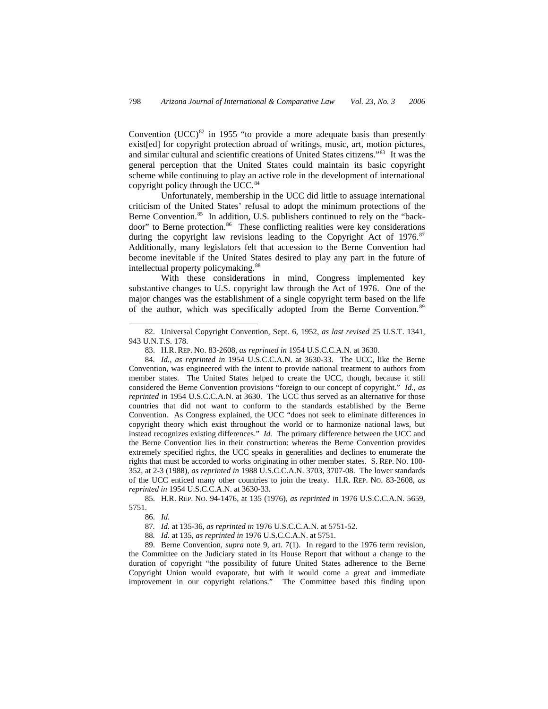Convention (UCC)<sup>[82](#page-11-0)</sup> in 1955 "to provide a more adequate basis than presently exist[ed] for copyright protection abroad of writings, music, art, motion pictures, and similar cultural and scientific creations of United States citizens."[83](#page-11-1) It was the general perception that the United States could maintain its basic copyright scheme while continuing to play an active role in the development of international copyright policy through the UCC.<sup>[84](#page-11-2)</sup>

Unfortunately, membership in the UCC did little to assuage international criticism of the United States' refusal to adopt the minimum protections of the Berne Convention.<sup>[85](#page-11-3)</sup> In addition, U.S. publishers continued to rely on the "back-door" to Berne protection.<sup>[86](#page-11-4)</sup> These conflicting realities were key considerations during the copyright law revisions leading to the Copyright Act of  $1976$ .<sup>[87](#page-11-5)</sup> Additionally, many legislators felt that accession to the Berne Convention had become inevitable if the United States desired to play any part in the future of intellectual property policymaking.<sup>[88](#page-11-6)</sup>

With these considerations in mind, Congress implemented key substantive changes to U.S. copyright law through the Act of 1976. One of the major changes was the establishment of a single copyright term based on the life of the author, which was specifically adopted from the Berne Convention.<sup>[89](#page-11-7)</sup>

<span id="page-11-4"></span><span id="page-11-3"></span>85. H.R. REP. NO. 94-1476, at 135 (1976), *as reprinted in* 1976 U.S.C.C.A.N. 5659, 5751.

86. *Id.*

-

87*. Id.* at 135-36, *as reprinted in* 1976 U.S.C.C.A.N. at 5751-52.

88*. Id.* at 135, *as reprinted in* 1976 U.S.C.C.A.N. at 5751.

<span id="page-11-7"></span><span id="page-11-6"></span><span id="page-11-5"></span>89. Berne Convention, *supra* note 9, art. 7(1). In regard to the 1976 term revision, the Committee on the Judiciary stated in its House Report that without a change to the duration of copyright "the possibility of future United States adherence to the Berne Copyright Union would evaporate, but with it would come a great and immediate improvement in our copyright relations." The Committee based this finding upon

<span id="page-11-0"></span><sup>82.</sup> Universal Copyright Convention, Sept. 6, 1952, *as last revised* 25 U.S.T. 1341, 943 U.N.T.S. 178.

<sup>83.</sup> H.R. REP. NO. 83-2608, *as reprinted in* 1954 U.S.C.C.A.N. at 3630.

<span id="page-11-2"></span><span id="page-11-1"></span><sup>84</sup>*. Id.*, *as reprinted in* 1954 U.S.C.C.A.N. at 3630-33. The UCC, like the Berne Convention, was engineered with the intent to provide national treatment to authors from member states. The United States helped to create the UCC, though, because it still considered the Berne Convention provisions "foreign to our concept of copyright." *Id.*, *as reprinted in* 1954 U.S.C.C.A.N. at 3630. The UCC thus served as an alternative for those countries that did not want to conform to the standards established by the Berne Convention. As Congress explained, the UCC "does not seek to eliminate differences in copyright theory which exist throughout the world or to harmonize national laws, but instead recognizes existing differences." *Id.* The primary difference between the UCC and the Berne Convention lies in their construction: whereas the Berne Convention provides extremely specified rights, the UCC speaks in generalities and declines to enumerate the rights that must be accorded to works originating in other member states. S. REP. NO. 100- 352, at 2-3 (1988), *as reprinted in* 1988 U.S.C.C.A.N. 3703, 3707-08. The lower standards of the UCC enticed many other countries to join the treaty. H.R. REP. NO. 83-2608, *as reprinted in* 1954 U.S.C.C.A.N. at 3630-33.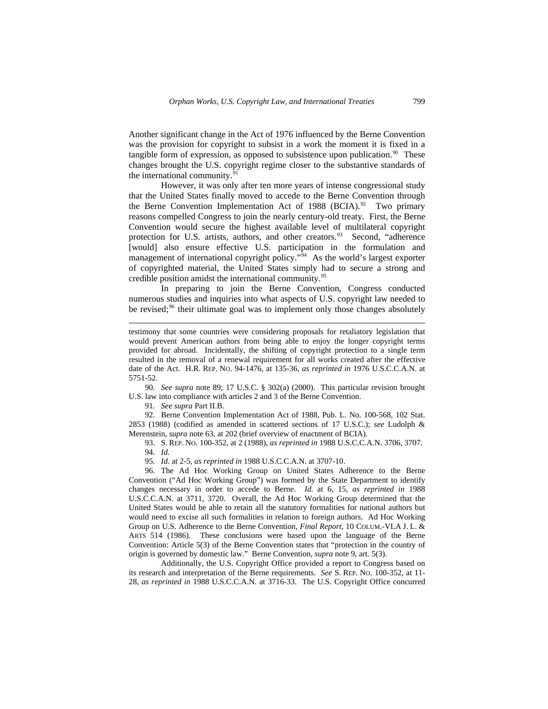Another significant change in the Act of 1976 influenced by the Berne Convention was the provision for copyright to subsist in a work the moment it is fixed in a tangible form of expression, as opposed to subsistence upon publication.<sup>[90](#page-12-0)</sup> These changes brought the U.S. copyright regime closer to the substantive standards of the international community.<sup>[91](#page-12-1)</sup>

However, it was only after ten more years of intense congressional study that the United States finally moved to accede to the Berne Convention through the Berne Convention Implementation Act of 1988 (BCIA).<sup>[92](#page-12-2)</sup> Two primary reasons compelled Congress to join the nearly century-old treaty. First, the Berne Convention would secure the highest available level of multilateral copyright protection for U.S. artists, authors, and other creators.<sup>[93](#page-12-3)</sup> Second, "adherence [would] also ensure effective U.S. participation in the formulation and management of international copyright policy."<sup>[94](#page-12-4)</sup> As the world's largest exporter of copyrighted material, the United States simply had to secure a strong and credible position amidst the international community.<sup>[95](#page-12-5)</sup>

In preparing to join the Berne Convention, Congress conducted numerous studies and inquiries into what aspects of U.S. copyright law needed to be revised; $96$  their ultimate goal was to implement only those changes absolutely

<span id="page-12-0"></span>90*. See supra* note 89; 17 U.S.C. § 302(a) (2000). This particular revision brought U.S. law into compliance with articles 2 and 3 of the Berne Convention.

91*. See supra* Part II.B.

 $\overline{a}$ 

<span id="page-12-3"></span><span id="page-12-2"></span><span id="page-12-1"></span>92. Berne Convention Implementation Act of 1988, Pub. L. No. 100-568, 102 Stat. 2853 (1988) (codified as amended in scattered sections of 17 U.S.C.); *see* Ludolph & Merenstein, *supra* note 63, at 202 (brief overview of enactment of BCIA).

93. S. REP. NO. 100-352, at 2 (1988), *as reprinted in* 1988 U.S.C.C.A.N. 3706, 3707. 94. *Id.* 

95*. Id.* at 2-5, *as reprinted in* 1988 U.S.C.C.A.N. at 3707-10.

<span id="page-12-6"></span><span id="page-12-5"></span><span id="page-12-4"></span>96. The Ad Hoc Working Group on United States Adherence to the Berne Convention ("Ad Hoc Working Group") was formed by the State Department to identify changes necessary in order to accede to Berne. *Id.* at 6, 15, *as reprinted in* 1988 U.S.C.C.A.N. at 3711, 3720. Overall, the Ad Hoc Working Group determined that the United States would be able to retain all the statutory formalities for national authors but would need to excise all such formalities in relation to foreign authors. Ad Hoc Working Group on U.S. Adherence to the Berne Convention, *Final Report*, 10 COLUM.-VLA J. L. & ARTS 514 (1986). These conclusions were based upon the language of the Berne Convention: Article 5(3) of the Berne Convention states that "protection in the country of origin is governed by domestic law." Berne Convention, *supra* note 9, art. 5(3).

Additionally, the U.S. Copyright Office provided a report to Congress based on its research and interpretation of the Berne requirements. *See* S. REP. NO. 100-352, at 11- 28, *as reprinted in* 1988 U.S.C.C.A.N. at 3716-33. The U.S. Copyright Office concurred

testimony that some countries were considering proposals for retaliatory legislation that would prevent American authors from being able to enjoy the longer copyright terms provided for abroad. Incidentally, the shifting of copyright protection to a single term resulted in the removal of a renewal requirement for all works created after the effective date of the Act. H.R. REP. NO. 94-1476, at 135-36, *as reprinted in* 1976 U.S.C.C.A.N. at 5751-52.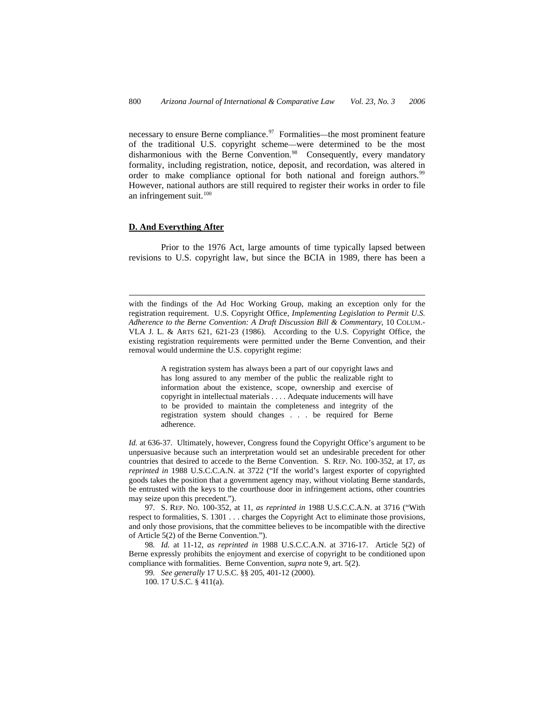necessary to ensure Berne compliance.<sup>[97](#page-13-0)</sup> Formalities—the most prominent feature of the traditional U.S. copyright scheme—were determined to be the most disharmonious with the Berne Convention.<sup>[98](#page-13-1)</sup> Consequently, every mandatory formality, including registration, notice, deposit, and recordation, was altered in order to make compliance optional for both national and foreign authors.<sup>[99](#page-13-2)</sup> However, national authors are still required to register their works in order to file an infringement suit. $100$ 

## **D. And Everything After**

 $\overline{a}$ 

Prior to the 1976 Act, large amounts of time typically lapsed between revisions to U.S. copyright law, but since the BCIA in 1989, there has been a

with the findings of the Ad Hoc Working Group, making an exception only for the registration requirement. U.S. Copyright Office, *Implementing Legislation to Permit U.S. Adherence to the Berne Convention: A Draft Discussion Bill & Commentary*, 10 COLUM.- VLA J. L. & ARTS 621, 621-23 (1986). According to the U.S. Copyright Office, the existing registration requirements were permitted under the Berne Convention, and their removal would undermine the U.S. copyright regime:

> A registration system has always been a part of our copyright laws and has long assured to any member of the public the realizable right to information about the existence, scope, ownership and exercise of copyright in intellectual materials . . . . Adequate inducements will have to be provided to maintain the completeness and integrity of the registration system should changes . . . be required for Berne adherence.

Id. at 636-37. Ultimately, however, Congress found the Copyright Office's argument to be unpersuasive because such an interpretation would set an undesirable precedent for other countries that desired to accede to the Berne Convention. S. REP. NO. 100-352, at 17, *as reprinted in* 1988 U.S.C.C.A.N. at 3722 ("If the world's largest exporter of copyrighted goods takes the position that a government agency may, without violating Berne standards, be entrusted with the keys to the courthouse door in infringement actions, other countries may seize upon this precedent.").

<span id="page-13-0"></span>97. S. REP. NO. 100-352, at 11, *as reprinted in* 1988 U.S.C.C.A.N. at 3716 ("With respect to formalities, S. 1301 . . . charges the Copyright Act to eliminate those provisions, and only those provisions, that the committee believes to be incompatible with the directive of Article 5(2) of the Berne Convention.").

<span id="page-13-3"></span><span id="page-13-2"></span><span id="page-13-1"></span>98*. Id.* at 11-12, *as reprinted in* 1988 U.S.C.C.A.N. at 3716-17. Article 5(2) of Berne expressly prohibits the enjoyment and exercise of copyright to be conditioned upon compliance with formalities. Berne Convention, *supra* note 9, art. 5(2).

99*. See generally* 17 U.S.C. §§ 205, 401-12 (2000).

100. 17 U.S.C. § 411(a).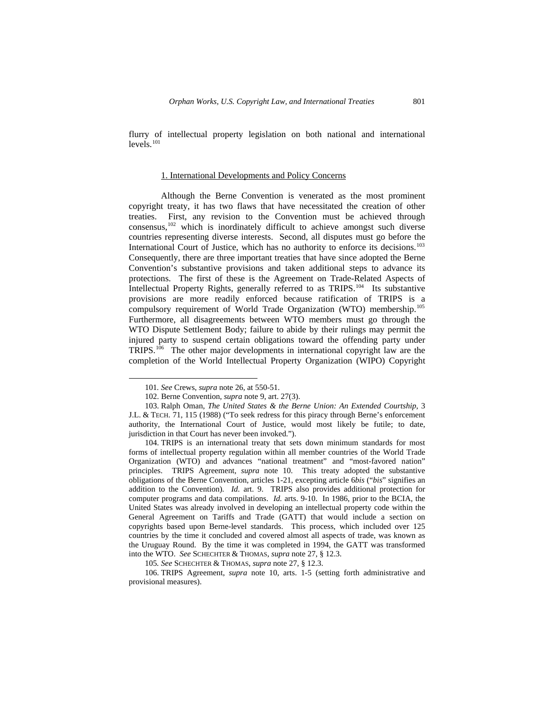flurry of intellectual property legislation on both national and international levels.<sup>[101](#page-14-0)</sup>

#### 1. International Developments and Policy Concerns

Although the Berne Convention is venerated as the most prominent copyright treaty, it has two flaws that have necessitated the creation of other treaties. First, any revision to the Convention must be achieved through consensus,<sup>[102](#page-14-1)</sup> which is inordinately difficult to achieve amongst such diverse countries representing diverse interests. Second, all disputes must go before the International Court of Justice, which has no authority to enforce its decisions.[103](#page-14-2) Consequently, there are three important treaties that have since adopted the Berne Convention's substantive provisions and taken additional steps to advance its protections. The first of these is the Agreement on Trade-Related Aspects of Intellectual Property Rights, generally referred to as TRIPS.<sup>[104](#page-14-3)</sup> Its substantive provisions are more readily enforced because ratification of TRIPS is a compulsory requirement of World Trade Organization (WTO) membership.[105](#page-14-4) Furthermore, all disagreements between WTO members must go through the WTO Dispute Settlement Body; failure to abide by their rulings may permit the injured party to suspend certain obligations toward the offending party under TRIPS.[106](#page-14-5) The other major developments in international copyright law are the completion of the World Intellectual Property Organization (WIPO) Copyright

-

<sup>101</sup>*. See* Crews, *supra* note 26, at 550-51.

<sup>102.</sup> Berne Convention, *supra* note 9, art. 27(3).

<span id="page-14-2"></span><span id="page-14-1"></span><span id="page-14-0"></span><sup>103.</sup> Ralph Oman, *The United States & the Berne Union: An Extended Courtship*, 3 J.L. & TECH. 71, 115 (1988) ("To seek redress for this piracy through Berne's enforcement authority, the International Court of Justice, would most likely be futile; to date, jurisdiction in that Court has never been invoked.").

<span id="page-14-3"></span><sup>104.</sup> TRIPS is an international treaty that sets down minimum standards for most forms of intellectual property regulation within all member countries of the World Trade Organization (WTO) and advances "national treatment" and "most-favored nation" principles. TRIPS Agreement, *supra* note 10. This treaty adopted the substantive obligations of the Berne Convention, articles 1-21, excepting article 6*bis* ("*bis*" signifies an addition to the Convention). *Id.* art. 9. TRIPS also provides additional protection for computer programs and data compilations. *Id.* arts. 9-10. In 1986, prior to the BCIA, the United States was already involved in developing an intellectual property code within the General Agreement on Tariffs and Trade (GATT) that would include a section on copyrights based upon Berne-level standards. This process, which included over 125 countries by the time it concluded and covered almost all aspects of trade, was known as the Uruguay Round. By the time it was completed in 1994, the GATT was transformed into the WTO. *See* SCHECHTER & THOMAS, *supra* note 27, § 12.3.

<sup>105</sup>*. See* SCHECHTER & THOMAS, *supra* note 27, § 12.3.

<span id="page-14-5"></span><span id="page-14-4"></span><sup>106.</sup> TRIPS Agreement, *supra* note 10, arts. 1-5 (setting forth administrative and provisional measures).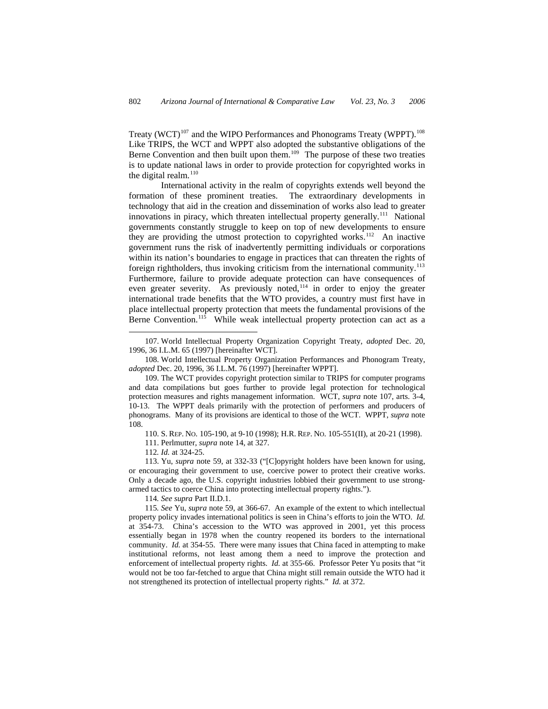Treaty (WCT)<sup>[107](#page-15-0)</sup> and the WIPO Performances and Phonograms Treaty (WPPT).<sup>[108](#page-15-1)</sup> Like TRIPS, the WCT and WPPT also adopted the substantive obligations of the Berne Convention and then built upon them.<sup>[109](#page-15-2)</sup> The purpose of these two treaties is to update national laws in order to provide protection for copyrighted works in the digital realm.<sup>[110](#page-15-3)</sup>

International activity in the realm of copyrights extends well beyond the formation of these prominent treaties. The extraordinary developments in technology that aid in the creation and dissemination of works also lead to greater innovations in piracy, which threaten intellectual property generally.<sup>111</sup> National governments constantly struggle to keep on top of new developments to ensure they are providing the utmost protection to copyrighted works.<sup>[112](#page-15-5)</sup> An inactive government runs the risk of inadvertently permitting individuals or corporations within its nation's boundaries to engage in practices that can threaten the rights of foreign rightholders, thus invoking criticism from the international community.<sup>[113](#page-15-6)</sup> Furthermore, failure to provide adequate protection can have consequences of even greater severity. As previously noted,<sup>[114](#page-15-7)</sup> in order to enjoy the greater international trade benefits that the WTO provides, a country must first have in place intellectual property protection that meets the fundamental provisions of the Berne Convention.<sup>[115](#page-15-8)</sup> While weak intellectual property protection can act as a

111. Perlmutter, *supra* note 14, at 327.

112*. Id.* at 324-25.

 $\overline{a}$ 

114*. See supra* Part II.D.1.

<span id="page-15-0"></span><sup>107.</sup> World Intellectual Property Organization Copyright Treaty, *adopted* Dec. 20, 1996, 36 I.L.M. 65 (1997) [hereinafter WCT].

<span id="page-15-1"></span><sup>108.</sup> World Intellectual Property Organization Performances and Phonogram Treaty, *adopted* Dec. 20, 1996, 36 I.L.M. 76 (1997) [hereinafter WPPT].

<span id="page-15-2"></span><sup>109.</sup> The WCT provides copyright protection similar to TRIPS for computer programs and data compilations but goes further to provide legal protection for technological protection measures and rights management information. WCT, *supra* note 107, arts. 3-4, 10-13. The WPPT deals primarily with the protection of performers and producers of phonograms. Many of its provisions are identical to those of the WCT. WPPT, *supra* note 108.

<sup>110.</sup> S. REP. NO. 105-190, at 9-10 (1998); H.R. REP. NO. 105-551(II), at 20-21 (1998).

<span id="page-15-6"></span><span id="page-15-5"></span><span id="page-15-4"></span><span id="page-15-3"></span><sup>113.</sup> Yu, *supra* note 59, at 332-33 ("[C]opyright holders have been known for using, or encouraging their government to use, coercive power to protect their creative works. Only a decade ago, the U.S. copyright industries lobbied their government to use strongarmed tactics to coerce China into protecting intellectual property rights.").

<span id="page-15-8"></span><span id="page-15-7"></span><sup>115</sup>*. See* Yu, *supra* note 59, at 366-67. An example of the extent to which intellectual property policy invades international politics is seen in China's efforts to join the WTO. *Id.*  at 354-73. China's accession to the WTO was approved in 2001, yet this process essentially began in 1978 when the country reopened its borders to the international community. *Id.* at 354-55. There were many issues that China faced in attempting to make institutional reforms, not least among them a need to improve the protection and enforcement of intellectual property rights. *Id.* at 355-66. Professor Peter Yu posits that "it would not be too far-fetched to argue that China might still remain outside the WTO had it not strengthened its protection of intellectual property rights." *Id.* at 372.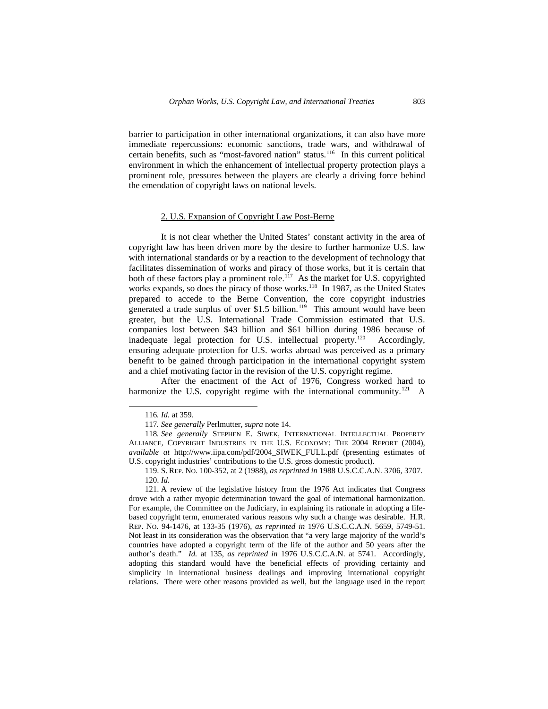barrier to participation in other international organizations, it can also have more immediate repercussions: economic sanctions, trade wars, and withdrawal of certain benefits, such as "most-favored nation" status.<sup>[116](#page-16-0)</sup> In this current political environment in which the enhancement of intellectual property protection plays a prominent role, pressures between the players are clearly a driving force behind the emendation of copyright laws on national levels.

### 2. U.S. Expansion of Copyright Law Post-Berne

It is not clear whether the United States' constant activity in the area of copyright law has been driven more by the desire to further harmonize U.S. law with international standards or by a reaction to the development of technology that facilitates dissemination of works and piracy of those works, but it is certain that both of these factors play a prominent role.<sup>[117](#page-16-1)</sup> As the market for U.S. copyrighted works expands, so does the piracy of those works.<sup>[118](#page-16-2)</sup> In 1987, as the United States prepared to accede to the Berne Convention, the core copyright industries generated a trade surplus of over \$1.5 billion.<sup>[119](#page-16-3)</sup> This amount would have been greater, but the U.S. International Trade Commission estimated that U.S. companies lost between \$43 billion and \$61 billion during 1986 because of inadequate legal protection for U.S. intellectual property.<sup>[120](#page-16-4)</sup> Accordingly, ensuring adequate protection for U.S. works abroad was perceived as a primary benefit to be gained through participation in the international copyright system and a chief motivating factor in the revision of the U.S. copyright regime.

After the enactment of the Act of 1976, Congress worked hard to harmonize the U.S. copyright regime with the international community.<sup>[121](#page-16-5)</sup> A

<sup>116</sup>*. Id.* at 359.

<sup>117</sup>*. See generally* Perlmutter, *supra* note 14.

<span id="page-16-2"></span><span id="page-16-1"></span><span id="page-16-0"></span><sup>118</sup>*. See generally* STEPHEN E. SIWEK, INTERNATIONAL INTELLECTUAL PROPERTY ALLIANCE, COPYRIGHT INDUSTRIES IN THE U.S. ECONOMY: THE 2004 REPORT (2004), *available at* http://www.iipa.com/pdf/2004\_SIWEK\_FULL.pdf (presenting estimates of U.S. copyright industries' contributions to the U.S. gross domestic product).

<sup>119.</sup> S. REP. NO. 100-352, at 2 (1988), *as reprinted in* 1988 U.S.C.C.A.N. 3706, 3707. 120. *Id.* 

<span id="page-16-5"></span><span id="page-16-4"></span><span id="page-16-3"></span><sup>121.</sup> A review of the legislative history from the 1976 Act indicates that Congress drove with a rather myopic determination toward the goal of international harmonization. For example, the Committee on the Judiciary, in explaining its rationale in adopting a lifebased copyright term, enumerated various reasons why such a change was desirable. H.R. REP. NO. 94-1476, at 133-35 (1976), *as reprinted in* 1976 U.S.C.C.A.N. 5659, 5749-51. Not least in its consideration was the observation that "a very large majority of the world's countries have adopted a copyright term of the life of the author and 50 years after the author's death." *Id.* at 135, *as reprinted in* 1976 U.S.C.C.A.N. at 5741. Accordingly, adopting this standard would have the beneficial effects of providing certainty and simplicity in international business dealings and improving international copyright relations. There were other reasons provided as well, but the language used in the report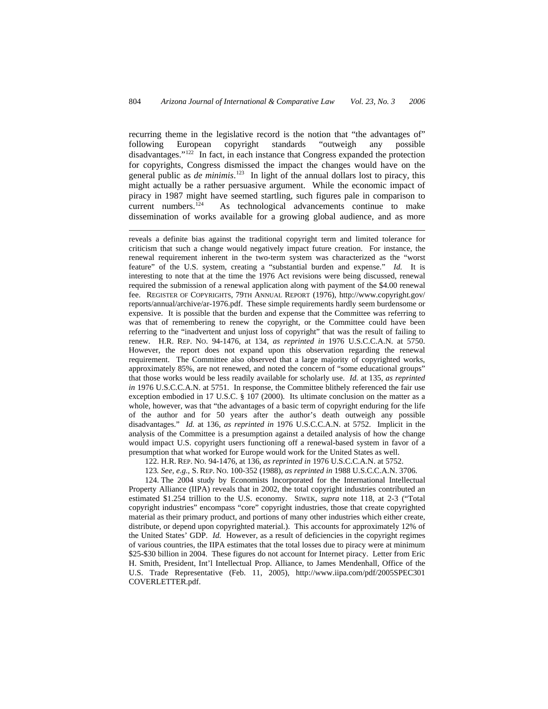recurring theme in the legislative record is the notion that "the advantages of" following European copyright standards "outweigh any possible disadvantages."[122](#page-17-0) In fact, in each instance that Congress expanded the protection for copyrights, Congress dismissed the impact the changes would have on the general public as *de minimis*. [123](#page-17-1) In light of the annual dollars lost to piracy, this might actually be a rather persuasive argument. While the economic impact of piracy in 1987 might have seemed startling, such figures pale in comparison to current numbers.[124](#page-17-2) As technological advancements continue to make dissemination of works available for a growing global audience, and as more

 $\overline{a}$ 

reveals a definite bias against the traditional copyright term and limited tolerance for criticism that such a change would negatively impact future creation. For instance, the renewal requirement inherent in the two-term system was characterized as the "worst feature" of the U.S. system, creating a "substantial burden and expense." *Id.* It is interesting to note that at the time the 1976 Act revisions were being discussed, renewal required the submission of a renewal application along with payment of the \$4.00 renewal fee. REGISTER OF COPYRIGHTS, 79TH ANNUAL REPORT (1976), http://www.copyright.gov/ reports/annual/archive/ar-1976.pdf. These simple requirements hardly seem burdensome or expensive. It is possible that the burden and expense that the Committee was referring to was that of remembering to renew the copyright, or the Committee could have been referring to the "inadvertent and unjust loss of copyright" that was the result of failing to renew. H.R. REP. NO. 94-1476, at 134, *as reprinted in* 1976 U.S.C.C.A.N. at 5750. However, the report does not expand upon this observation regarding the renewal requirement. The Committee also observed that a large majority of copyrighted works, approximately 85%, are not renewed, and noted the concern of "some educational groups" that those works would be less readily available for scholarly use. *Id.* at 135, *as reprinted in* 1976 U.S.C.C.A.N. at 5751. In response, the Committee blithely referenced the fair use exception embodied in 17 U.S.C. § 107 (2000). Its ultimate conclusion on the matter as a whole, however, was that "the advantages of a basic term of copyright enduring for the life of the author and for 50 years after the author's death outweigh any possible disadvantages." *Id.* at 136, *as reprinted in* 1976 U.S.C.C.A.N. at 5752. Implicit in the analysis of the Committee is a presumption against a detailed analysis of how the change would impact U.S. copyright users functioning off a renewal-based system in favor of a presumption that what worked for Europe would work for the United States as well.

122. H.R. REP. NO. 94-1476, at 136, *as reprinted in* 1976 U.S.C.C.A.N. at 5752.

123*. See, e.g.*, S. REP. NO. 100-352 (1988), *as reprinted in* 1988 U.S.C.C.A.N. 3706.

<span id="page-17-2"></span><span id="page-17-1"></span><span id="page-17-0"></span>124. The 2004 study by Economists Incorporated for the International Intellectual Property Alliance (IIPA) reveals that in 2002, the total copyright industries contributed an estimated \$1.254 trillion to the U.S. economy. SIWEK, *supra* note 118, at 2-3 ("Total copyright industries" encompass "core" copyright industries, those that create copyrighted material as their primary product, and portions of many other industries which either create, distribute, or depend upon copyrighted material.). This accounts for approximately 12% of the United States' GDP. *Id.* However, as a result of deficiencies in the copyright regimes of various countries, the IIPA estimates that the total losses due to piracy were at minimum \$25-\$30 billion in 2004. These figures do not account for Internet piracy. Letter from Eric H. Smith, President, Int'l Intellectual Prop. Alliance, to James Mendenhall, Office of the U.S. Trade Representative (Feb. 11, 2005), http://www.iipa.com/pdf/2005SPEC301 COVERLETTER.pdf.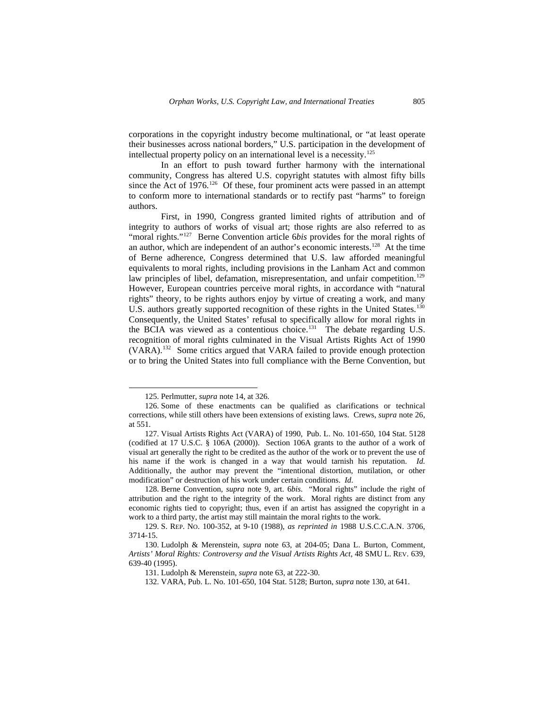corporations in the copyright industry become multinational, or "at least operate their businesses across national borders," U.S. participation in the development of intellectual property policy on an international level is a necessity.[125](#page-18-0)

In an effort to push toward further harmony with the international community, Congress has altered U.S. copyright statutes with almost fifty bills since the Act of 1976.<sup>[126](#page-18-1)</sup> Of these, four prominent acts were passed in an attempt to conform more to international standards or to rectify past "harms" to foreign authors.

First, in 1990, Congress granted limited rights of attribution and of integrity to authors of works of visual art; those rights are also referred to as "moral rights."<sup>[127](#page-18-2)</sup> Berne Convention article 6*bis* provides for the moral rights of an author, which are independent of an author's economic interests.[128](#page-18-3) At the time of Berne adherence, Congress determined that U.S. law afforded meaningful equivalents to moral rights, including provisions in the Lanham Act and common law principles of libel, defamation, misrepresentation, and unfair competition.<sup>[129](#page-18-4)</sup> However, European countries perceive moral rights, in accordance with "natural rights" theory, to be rights authors enjoy by virtue of creating a work, and many U.S. authors greatly supported recognition of these rights in the United States.<sup>[130](#page-18-5)</sup> Consequently, the United States' refusal to specifically allow for moral rights in the BCIA was viewed as a contentious choice.<sup>[131](#page-18-6)</sup> The debate regarding U.S. recognition of moral rights culminated in the Visual Artists Rights Act of 1990 (VARA).[132](#page-18-7) Some critics argued that VARA failed to provide enough protection or to bring the United States into full compliance with the Berne Convention, but

<sup>125.</sup> Perlmutter, *supra* note 14, at 326.

<span id="page-18-1"></span><span id="page-18-0"></span><sup>126.</sup> Some of these enactments can be qualified as clarifications or technical corrections, while still others have been extensions of existing laws. Crews, *supra* note 26, at 551.

<span id="page-18-2"></span><sup>127.</sup> Visual Artists Rights Act (VARA) of 1990, Pub. L. No. 101-650, 104 Stat. 5128 (codified at 17 U.S.C. § 106A (2000)). Section 106A grants to the author of a work of visual art generally the right to be credited as the author of the work or to prevent the use of his name if the work is changed in a way that would tarnish his reputation. *Id.* Additionally, the author may prevent the "intentional distortion, mutilation, or other modification" or destruction of his work under certain conditions. *Id*.

<span id="page-18-3"></span><sup>128.</sup> Berne Convention, *supra* note 9, art. 6*bis*. "Moral rights" include the right of attribution and the right to the integrity of the work. Moral rights are distinct from any economic rights tied to copyright; thus, even if an artist has assigned the copyright in a work to a third party, the artist may still maintain the moral rights to the work.

<span id="page-18-4"></span><sup>129.</sup> S. REP. NO. 100-352, at 9-10 (1988), *as reprinted in* 1988 U.S.C.C.A.N. 3706, 3714-15.

<span id="page-18-7"></span><span id="page-18-6"></span><span id="page-18-5"></span><sup>130.</sup> Ludolph & Merenstein, *supra* note 63, at 204-05; Dana L. Burton, Comment, *Artists' Moral Rights: Controversy and the Visual Artists Rights Act,* 48 SMU L. REV. 639, 639-40 (1995).

<sup>131.</sup> Ludolph & Merenstein, *supra* note 63, at 222-30.

<sup>132.</sup> VARA, Pub. L. No. 101-650, 104 Stat. 5128; Burton, *supra* note 130, at 641.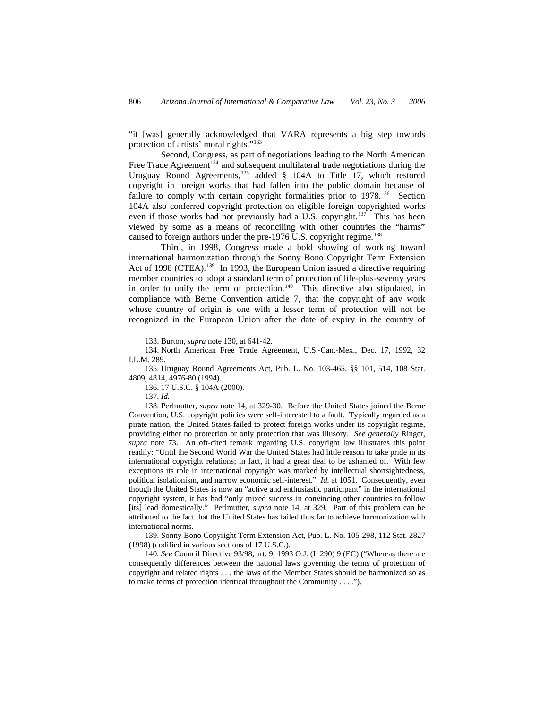"it [was] generally acknowledged that VARA represents a big step towards protection of artists' moral rights."[133](#page-19-0)

Second, Congress, as part of negotiations leading to the North American Free Trade Agreement<sup>[134](#page-19-1)</sup> and subsequent multilateral trade negotiations during the Uruguay Round Agreements,<sup>[135](#page-19-2)</sup> added § 104A to Title 17, which restored copyright in foreign works that had fallen into the public domain because of failure to comply with certain copyright formalities prior to 1978.<sup>[136](#page-19-3)</sup> Section 104A also conferred copyright protection on eligible foreign copyrighted works even if those works had not previously had a U.S. copyright.<sup>[137](#page-19-4)</sup> This has been viewed by some as a means of reconciling with other countries the "harms" caused to foreign authors under the pre-1976 U.S. copyright regime.<sup>[138](#page-19-5)</sup>

Third, in 1998, Congress made a bold showing of working toward international harmonization through the Sonny Bono Copyright Term Extension Act of 1998 (CTEA).<sup>[139](#page-19-6)</sup> In 1993, the European Union issued a directive requiring member countries to adopt a standard term of protection of life-plus-seventy years in order to unify the term of protection.<sup>[140](#page-19-7)</sup> This directive also stipulated, in compliance with Berne Convention article 7, that the copyright of any work whose country of origin is one with a lesser term of protection will not be recognized in the European Union after the date of expiry in the country of

136. 17 U.S.C. § 104A (2000).

137. *Id.*

-

<span id="page-19-5"></span><span id="page-19-4"></span><span id="page-19-3"></span>138. Perlmutter, *supra* note 14, at 329-30. Before the United States joined the Berne Convention, U.S. copyright policies were self-interested to a fault. Typically regarded as a pirate nation, the United States failed to protect foreign works under its copyright regime, providing either no protection or only protection that was illusory. *See generally* Ringer, *supra* note 73. An oft-cited remark regarding U.S. copyright law illustrates this point readily: "Until the Second World War the United States had little reason to take pride in its international copyright relations; in fact, it had a great deal to be ashamed of. With few exceptions its role in international copyright was marked by intellectual shortsightedness, political isolationism, and narrow economic self-interest." *Id.* at 1051. Consequently, even though the United States is now an "active and enthusiastic participant" in the international copyright system, it has had "only mixed success in convincing other countries to follow [its] lead domestically." Perlmutter, *supra* note 14, at 329. Part of this problem can be attributed to the fact that the United States has failed thus far to achieve harmonization with international norms.

<span id="page-19-6"></span>139. Sonny Bono Copyright Term Extension Act, Pub. L. No. 105-298, 112 Stat. 2827 (1998) (codified in various sections of 17 U.S.C.).

<span id="page-19-7"></span>140*. See* Council Directive 93/98, art. 9, 1993 O.J. (L 290) 9 (EC) ("Whereas there are consequently differences between the national laws governing the terms of protection of copyright and related rights . . . the laws of the Member States should be harmonized so as to make terms of protection identical throughout the Community . . . .").

<sup>133.</sup> Burton, *supra* note 130, at 641-42.

<span id="page-19-1"></span><span id="page-19-0"></span><sup>134.</sup> North American Free Trade Agreement, U.S.-Can.-Mex., Dec. 17, 1992, 32 I.L.M. 289.

<span id="page-19-2"></span><sup>135.</sup> Uruguay Round Agreements Act, Pub. L. No. 103-465, §§ 101, 514, 108 Stat. 4809, 4814, 4976-80 (1994).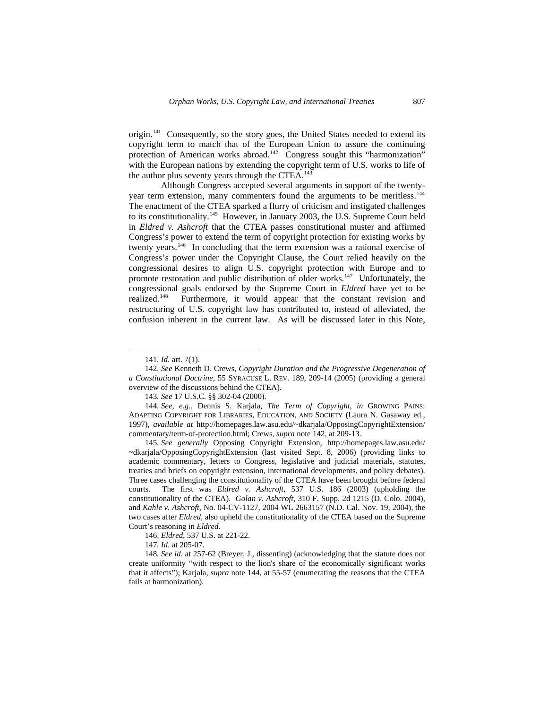origin.[141](#page-20-0) Consequently, so the story goes, the United States needed to extend its copyright term to match that of the European Union to assure the continuing protection of American works abroad.<sup>[142](#page-20-1)</sup> Congress sought this "harmonization" with the European nations by extending the copyright term of U.S. works to life of the author plus seventy years through the CTEA.<sup>[143](#page-20-2)</sup>

Although Congress accepted several arguments in support of the twentyyear term extension, many commenters found the arguments to be meritless.[144](#page-20-3) The enactment of the CTEA sparked a flurry of criticism and instigated challenges to its constitutionality.<sup>[145](#page-20-4)</sup> However, in January 2003, the U.S. Supreme Court held in *Eldred v. Ashcroft* that the CTEA passes constitutional muster and affirmed Congress's power to extend the term of copyright protection for existing works by twenty years.[146](#page-20-5) In concluding that the term extension was a rational exercise of Congress's power under the Copyright Clause, the Court relied heavily on the congressional desires to align U.S. copyright protection with Europe and to promote restoration and public distribution of older works.<sup>[147](#page-20-6)</sup> Unfortunately, the congressional goals endorsed by the Supreme Court in *Eldred* have yet to be realized.<sup>[148](#page-20-7)</sup> Furthermore, it would appear that the constant revision and restructuring of U.S. copyright law has contributed to, instead of alleviated, the confusion inherent in the current law. As will be discussed later in this Note,

-

<span id="page-20-4"></span>145*. See generally* Opposing Copyright Extension, http://homepages.law.asu.edu/ ~dkarjala/OpposingCopyrightExtension (last visited Sept. 8, 2006) (providing links to academic commentary, letters to Congress, legislative and judicial materials, statutes, treaties and briefs on copyright extension, international developments, and policy debates). Three cases challenging the constitutionality of the CTEA have been brought before federal courts. The first was *Eldred v. Ashcroft*, 537 U.S. 186 (2003) (upholding the constitutionality of the CTEA). *Golan v. Ashcroft*, 310 F. Supp. 2d 1215 (D. Colo. 2004), and *Kahle v. Ashcroft*, No. 04-CV-1127, 2004 WL 2663157 (N.D. Cal. Nov. 19, 2004), the two cases after *Eldred*, also upheld the constitutionality of the CTEA based on the Supreme Court's reasoning in *Eldred.*

<sup>141</sup>*. Id.* art. 7(1).

<span id="page-20-1"></span><span id="page-20-0"></span><sup>142</sup>*. See* Kenneth D. Crews, *Copyright Duration and the Progressive Degeneration of a Constitutional Doctrine*, 55 SYRACUSE L. REV. 189, 209-14 (2005) (providing a general overview of the discussions behind the CTEA).

<sup>143</sup>*. See* 17 U.S.C. §§ 302-04 (2000).

<span id="page-20-3"></span><span id="page-20-2"></span><sup>144</sup>*. See, e.g.*, Dennis S. Karjala, *The Term of Copyright*, *in* GROWING PAINS: ADAPTING COPYRIGHT FOR LIBRARIES, EDUCATION, AND SOCIETY (Laura N. Gasaway ed., 1997), *available at* http://homepages.law.asu.edu/~dkarjala/OpposingCopyrightExtension/ commentary/term-of-protection.html; Crews, *supra* note 142, at 209-13.

<sup>146.</sup> *Eldred*, 537 U.S. at 221-22.

<sup>147</sup>*. Id.* at 205-07.

<span id="page-20-7"></span><span id="page-20-6"></span><span id="page-20-5"></span><sup>148</sup>*. See id.* at 257-62 (Breyer, J., dissenting) (acknowledging that the statute does not create uniformity "with respect to the lion's share of the economically significant works that it affects"); Karjala, *supra* note 144, at 55-57 (enumerating the reasons that the CTEA fails at harmonization).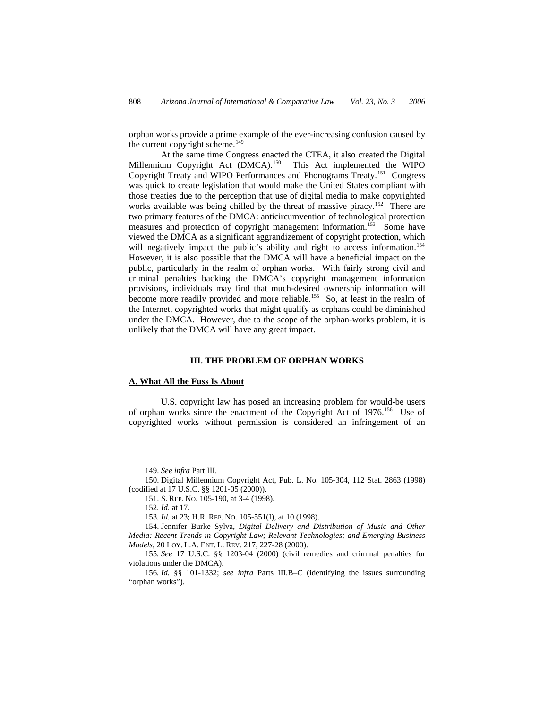orphan works provide a prime example of the ever-increasing confusion caused by the current copyright scheme.<sup>[149](#page-21-0)</sup>

At the same time Congress enacted the CTEA, it also created the Digital Millennium Copyright Act (DMCA).<sup>[150](#page-21-1)</sup> This Act implemented the WIPO Copyright Treaty and WIPO Performances and Phonograms Treaty.[151](#page-21-2) Congress was quick to create legislation that would make the United States compliant with those treaties due to the perception that use of digital media to make copyrighted works available was being chilled by the threat of massive piracy.<sup>[152](#page-21-3)</sup> There are two primary features of the DMCA: anticircumvention of technological protection measures and protection of copyright management information.<sup>[153](#page-21-4)</sup> Some have viewed the DMCA as a significant aggrandizement of copyright protection, which will negatively impact the public's ability and right to access information.<sup>[154](#page-21-5)</sup> However, it is also possible that the DMCA will have a beneficial impact on the public, particularly in the realm of orphan works. With fairly strong civil and criminal penalties backing the DMCA's copyright management information provisions, individuals may find that much-desired ownership information will become more readily provided and more reliable.<sup>[155](#page-21-6)</sup> So, at least in the realm of the Internet, copyrighted works that might qualify as orphans could be diminished under the DMCA. However, due to the scope of the orphan-works problem, it is unlikely that the DMCA will have any great impact.

## **III. THE PROBLEM OF ORPHAN WORKS**

## **A. What All the Fuss Is About**

U.S. copyright law has posed an increasing problem for would-be users of orphan works since the enactment of the Copyright Act of 1976.[156](#page-21-7) Use of copyrighted works without permission is considered an infringement of an

-

<sup>149.</sup> *See infra* Part III.

<span id="page-21-2"></span><span id="page-21-1"></span><span id="page-21-0"></span><sup>150.</sup> Digital Millennium Copyright Act, Pub. L. No. 105-304, 112 Stat. 2863 (1998) (codified at 17 U.S.C. §§ 1201-05 (2000)).

<sup>151.</sup> S. REP. NO. 105-190, at 3-4 (1998).

<sup>152</sup>*. Id.* at 17.

<sup>153</sup>*. Id.* at 23; H.R. REP. NO. 105-551(I), at 10 (1998).

<span id="page-21-5"></span><span id="page-21-4"></span><span id="page-21-3"></span><sup>154.</sup> Jennifer Burke Sylva, *Digital Delivery and Distribution of Music and Other Media: Recent Trends in Copyright Law; Relevant Technologies; and Emerging Business Models*, 20 LOY. L.A. ENT. L. REV. 217, 227-28 (2000).

<span id="page-21-6"></span><sup>155</sup>*. See* 17 U.S.C. §§ 1203-04 (2000) (civil remedies and criminal penalties for violations under the DMCA).

<span id="page-21-7"></span><sup>156</sup>*. Id.* §§ 101-1332; *see infra* Parts III.B–C (identifying the issues surrounding "orphan works").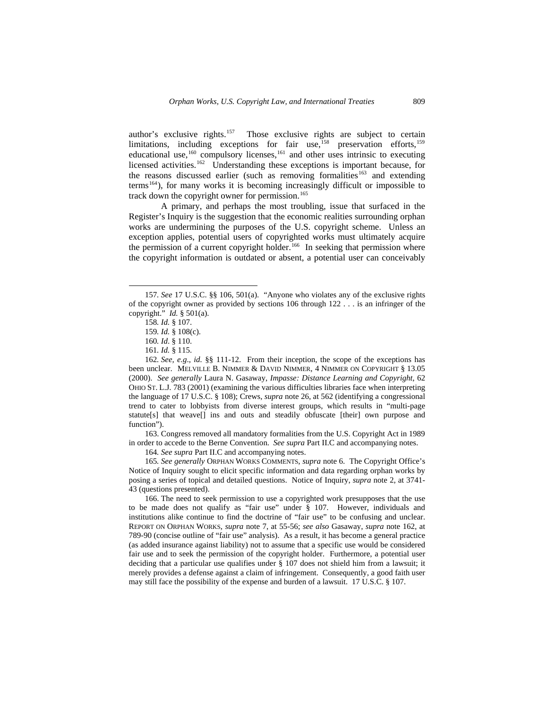author's exclusive rights.[157](#page-22-0) Those exclusive rights are subject to certain limitations, including exceptions for fair use,<sup>[158](#page-22-1)</sup> preservation efforts,<sup>[159](#page-22-2)</sup> educational use,<sup>[160](#page-22-3)</sup> compulsory licenses,<sup>[161](#page-22-4)</sup> and other uses intrinsic to executing licensed activities.<sup>[162](#page-22-5)</sup> Understanding these exceptions is important because, for the reasons discussed earlier (such as removing formalities<sup>[163](#page-22-6)</sup> and extending terms<sup>[164](#page-22-7)</sup>), for many works it is becoming increasingly difficult or impossible to track down the copyright owner for permission.<sup>[165](#page-22-8)</sup>

A primary, and perhaps the most troubling, issue that surfaced in the Register's Inquiry is the suggestion that the economic realities surrounding orphan works are undermining the purposes of the U.S. copyright scheme. Unless an exception applies, potential users of copyrighted works must ultimately acquire the permission of a current copyright holder.<sup>[166](#page-22-9)</sup> In seeking that permission where the copyright information is outdated or absent, a potential user can conceivably

 $\overline{a}$ 

<span id="page-22-6"></span>163. Congress removed all mandatory formalities from the U.S. Copyright Act in 1989 in order to accede to the Berne Convention. *See supra* Part II.C and accompanying notes.

164*. See supra* Part II.C and accompanying notes.

<span id="page-22-8"></span><span id="page-22-7"></span>165*. See generally* ORPHAN WORKS COMMENTS, *supra* note 6. The Copyright Office's Notice of Inquiry sought to elicit specific information and data regarding orphan works by posing a series of topical and detailed questions. Notice of Inquiry, *supra* note 2, at 3741- 43 (questions presented).

<span id="page-22-9"></span>166. The need to seek permission to use a copyrighted work presupposes that the use to be made does not qualify as "fair use" under § 107. However, individuals and institutions alike continue to find the doctrine of "fair use" to be confusing and unclear. REPORT ON ORPHAN WORKS, *supra* note 7, at 55-56; *see also* Gasaway, *supra* note 162, at 789-90 (concise outline of "fair use" analysis). As a result, it has become a general practice (as added insurance against liability) not to assume that a specific use would be considered fair use and to seek the permission of the copyright holder. Furthermore, a potential user deciding that a particular use qualifies under § 107 does not shield him from a lawsuit; it merely provides a defense against a claim of infringement. Consequently, a good faith user may still face the possibility of the expense and burden of a lawsuit. 17 U.S.C. § 107.

<span id="page-22-1"></span><span id="page-22-0"></span><sup>157</sup>*. See* 17 U.S.C. §§ 106, 501(a). "Anyone who violates any of the exclusive rights of the copyright owner as provided by sections 106 through 122 . . . is an infringer of the copyright." *Id.* § 501(a).

<sup>158</sup>*. Id.* § 107.

<sup>159</sup>*. Id.* § 108(c).

<sup>160</sup>*. Id*. § 110.

<sup>161</sup>*. Id.* § 115.

<span id="page-22-5"></span><span id="page-22-4"></span><span id="page-22-3"></span><span id="page-22-2"></span><sup>162</sup>*. See, e.g*., *id.* §§ 111-12. From their inception, the scope of the exceptions has been unclear. MELVILLE B. NIMMER & DAVID NIMMER, 4 NIMMER ON COPYRIGHT § 13.05 (2000). *See generally* Laura N. Gasaway, *Impasse: Distance Learning and Copyright*, 62 OHIO ST. L.J. 783 (2001) (examining the various difficulties libraries face when interpreting the language of 17 U.S.C. § 108); Crews, *supra* note 26, at 562 (identifying a congressional trend to cater to lobbyists from diverse interest groups, which results in "multi-page statute[s] that weave[] ins and outs and steadily obfuscate [their] own purpose and function").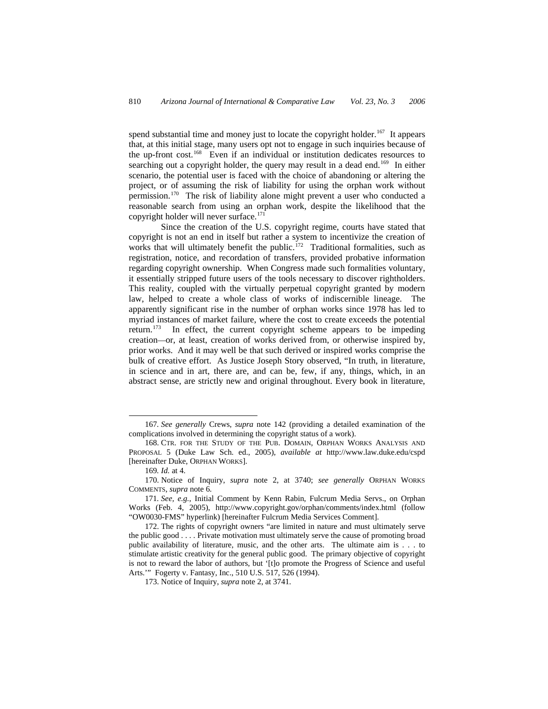spend substantial time and money just to locate the copyright holder.<sup>[167](#page-23-0)</sup> It appears that, at this initial stage, many users opt not to engage in such inquiries because of the up-front cost.[168](#page-23-1) Even if an individual or institution dedicates resources to searching out a copyright holder, the query may result in a dead end.<sup>[169](#page-23-2)</sup> In either scenario, the potential user is faced with the choice of abandoning or altering the project, or of assuming the risk of liability for using the orphan work without permission.[170](#page-23-3) The risk of liability alone might prevent a user who conducted a reasonable search from using an orphan work, despite the likelihood that the copyright holder will never surface.<sup>[171](#page-23-4)</sup>

Since the creation of the U.S. copyright regime, courts have stated that copyright is not an end in itself but rather a system to incentivize the creation of works that will ultimately benefit the public.<sup>[172](#page-23-5)</sup> Traditional formalities, such as registration, notice, and recordation of transfers, provided probative information regarding copyright ownership. When Congress made such formalities voluntary, it essentially stripped future users of the tools necessary to discover rightholders. This reality, coupled with the virtually perpetual copyright granted by modern law, helped to create a whole class of works of indiscernible lineage. The apparently significant rise in the number of orphan works since 1978 has led to myriad instances of market failure, where the cost to create exceeds the potential return.[173](#page-23-6) In effect, the current copyright scheme appears to be impeding creation—or, at least, creation of works derived from, or otherwise inspired by, prior works. And it may well be that such derived or inspired works comprise the bulk of creative effort. As Justice Joseph Story observed, "In truth, in literature, in science and in art, there are, and can be, few, if any, things, which, in an abstract sense, are strictly new and original throughout. Every book in literature,

-

<span id="page-23-0"></span><sup>167</sup>*. See generally* Crews, *supra* note 142 (providing a detailed examination of the complications involved in determining the copyright status of a work).

<span id="page-23-1"></span><sup>168.</sup> CTR. FOR THE STUDY OF THE PUB. DOMAIN, ORPHAN WORKS ANALYSIS AND PROPOSAL 5 (Duke Law Sch. ed., 2005), *available at* http://www.law.duke.edu/cspd [hereinafter Duke, ORPHAN WORKS].

<sup>169</sup>*. Id.* at 4.

<span id="page-23-3"></span><span id="page-23-2"></span><sup>170.</sup> Notice of Inquiry, *supra* note 2, at 3740; *see generally* ORPHAN WORKS COMMENTS, *supra* note 6.

<span id="page-23-4"></span><sup>171</sup>*. See, e.g.*, Initial Comment by Kenn Rabin, Fulcrum Media Servs., on Orphan Works (Feb. 4, 2005), http://www.copyright.gov/orphan/comments/index.html (follow "OW0030-FMS" hyperlink) [hereinafter Fulcrum Media Services Comment].

<span id="page-23-6"></span><span id="page-23-5"></span><sup>172.</sup> The rights of copyright owners "are limited in nature and must ultimately serve the public good . . . . Private motivation must ultimately serve the cause of promoting broad public availability of literature, music, and the other arts. The ultimate aim is . . . to stimulate artistic creativity for the general public good. The primary objective of copyright is not to reward the labor of authors, but '[t]o promote the Progress of Science and useful Arts.'" Fogerty v. Fantasy, Inc., 510 U.S. 517, 526 (1994).

<sup>173.</sup> Notice of Inquiry, *supra* note 2, at 3741.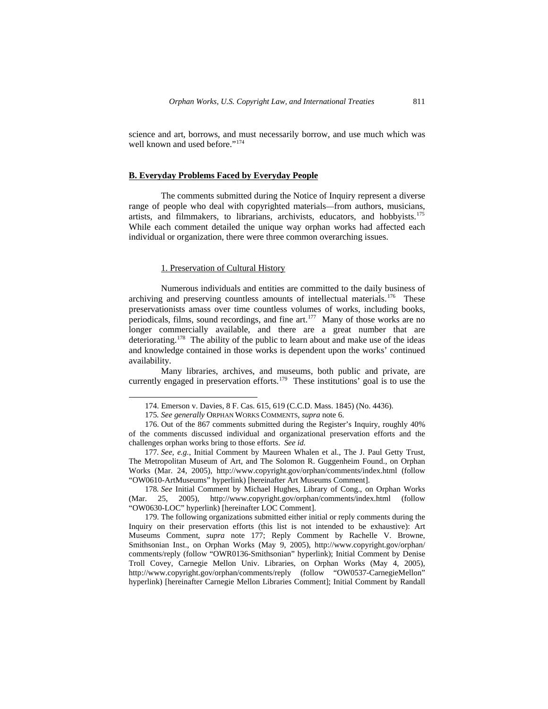science and art, borrows, and must necessarily borrow, and use much which was well known and used before."<sup>[174](#page-24-0)</sup>

#### **B. Everyday Problems Faced by Everyday People**

The comments submitted during the Notice of Inquiry represent a diverse range of people who deal with copyrighted materials—from authors, musicians, artists, and filmmakers, to librarians, archivists, educators, and hobbyists.<sup>[175](#page-24-1)</sup> While each comment detailed the unique way orphan works had affected each individual or organization, there were three common overarching issues.

### 1. Preservation of Cultural History

 $\overline{a}$ 

Numerous individuals and entities are committed to the daily business of archiving and preserving countless amounts of intellectual materials.<sup>[176](#page-24-2)</sup> These preservationists amass over time countless volumes of works, including books, periodicals, films, sound recordings, and fine art.<sup>[177](#page-24-3)</sup> Many of those works are no longer commercially available, and there are a great number that are deteriorating.<sup>[178](#page-24-4)</sup> The ability of the public to learn about and make use of the ideas and knowledge contained in those works is dependent upon the works' continued availability.

Many libraries, archives, and museums, both public and private, are currently engaged in preservation efforts.<sup>[179](#page-24-5)</sup> These institutions' goal is to use the

<span id="page-24-4"></span>178*. See* Initial Comment by Michael Hughes, Library of Cong., on Orphan Works (Mar. 25, 2005), http://www.copyright.gov/orphan/comments/index.html (follow "OW0630-LOC" hyperlink) [hereinafter LOC Comment].

<sup>174.</sup> Emerson v. Davies, 8 F. Cas. 615, 619 (C.C.D. Mass. 1845) (No. 4436).

<sup>175</sup>*. See generally* ORPHAN WORKS COMMENTS, *supra* note 6.

<span id="page-24-2"></span><span id="page-24-1"></span><span id="page-24-0"></span><sup>176.</sup> Out of the 867 comments submitted during the Register's Inquiry, roughly 40% of the comments discussed individual and organizational preservation efforts and the challenges orphan works bring to those efforts. *See id.*

<span id="page-24-3"></span><sup>177</sup>*. See, e.g.*, Initial Comment by Maureen Whalen et al., The J. Paul Getty Trust, The Metropolitan Museum of Art, and The Solomon R. Guggenheim Found., on Orphan Works (Mar. 24, 2005), http://www.copyright.gov/orphan/comments/index.html (follow "OW0610-ArtMuseums" hyperlink) [hereinafter Art Museums Comment].

<span id="page-24-5"></span><sup>179.</sup> The following organizations submitted either initial or reply comments during the Inquiry on their preservation efforts (this list is not intended to be exhaustive): Art Museums Comment, *supra* note 177; Reply Comment by Rachelle V. Browne, Smithsonian Inst., on Orphan Works (May 9, 2005), http://www.copyright.gov/orphan/ comments/reply (follow "OWR0136-Smithsonian" hyperlink); Initial Comment by Denise Troll Covey, Carnegie Mellon Univ. Libraries, on Orphan Works (May 4, 2005), http://www.copyright.gov/orphan/comments/reply (follow "OW0537-CarnegieMellon" hyperlink) [hereinafter Carnegie Mellon Libraries Comment]; Initial Comment by Randall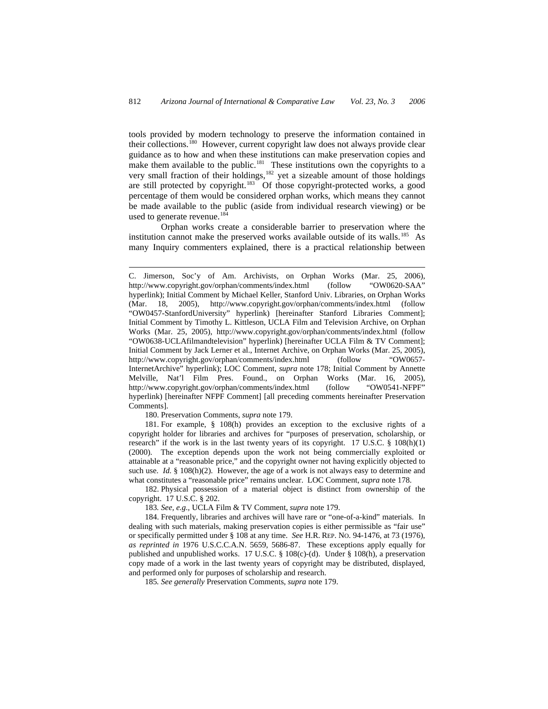tools provided by modern technology to preserve the information contained in their collections.<sup>[180](#page-25-0)</sup> However, current copyright law does not always provide clear guidance as to how and when these institutions can make preservation copies and make them available to the public.<sup>[181](#page-25-1)</sup> These institutions own the copyrights to a very small fraction of their holdings,<sup>[182](#page-25-2)</sup> yet a sizeable amount of those holdings are still protected by copyright.[183](#page-25-3) Of those copyright-protected works, a good percentage of them would be considered orphan works, which means they cannot be made available to the public (aside from individual research viewing) or be used to generate revenue.<sup>[184](#page-25-4)</sup>

Orphan works create a considerable barrier to preservation where the institution cannot make the preserved works available outside of its walls.<sup>[185](#page-25-5)</sup> As many Inquiry commenters explained, there is a practical relationship between

180. Preservation Comments, *supra* note 179.

 $\overline{a}$ 

<span id="page-25-1"></span><span id="page-25-0"></span>181. For example, § 108(h) provides an exception to the exclusive rights of a copyright holder for libraries and archives for "purposes of preservation, scholarship, or research" if the work is in the last twenty years of its copyright. 17 U.S.C.  $\S$  108(h)(1) (2000). The exception depends upon the work not being commercially exploited or attainable at a "reasonable price," and the copyright owner not having explicitly objected to such use. *Id.* § 108(h)(2). However, the age of a work is not always easy to determine and what constitutes a "reasonable price" remains unclear. LOC Comment, *supra* note 178.

<span id="page-25-2"></span>182. Physical possession of a material object is distinct from ownership of the copyright. 17 U.S.C. § 202.

183*. See, e.g.*, UCLA Film & TV Comment, *supra* note 179.

<span id="page-25-5"></span><span id="page-25-4"></span><span id="page-25-3"></span>184. Frequently, libraries and archives will have rare or "one-of-a-kind" materials. In dealing with such materials, making preservation copies is either permissible as "fair use" or specifically permitted under § 108 at any time. *See* H.R. REP. NO. 94-1476, at 73 (1976), *as reprinted in* 1976 U.S.C.C.A.N. 5659, 5686-87. These exceptions apply equally for published and unpublished works. 17 U.S.C. § 108(c)-(d). Under § 108(h), a preservation copy made of a work in the last twenty years of copyright may be distributed, displayed, and performed only for purposes of scholarship and research.

185*. See generally* Preservation Comments, *supra* note 179.

C. Jimerson, Soc'y of Am. Archivists, on Orphan Works (Mar. 25, 2006), http://www.copyright.gov/orphan/comments/index.html (follow "OW0620-SAA" hyperlink); Initial Comment by Michael Keller, Stanford Univ. Libraries, on Orphan Works (Mar. 18, 2005), http://www.copyright.gov/orphan/comments/index.html (follow "OW0457-StanfordUniversity" hyperlink) [hereinafter Stanford Libraries Comment]; Initial Comment by Timothy L. Kittleson, UCLA Film and Television Archive, on Orphan Works (Mar. 25, 2005), http://www.copyright.gov/orphan/comments/index.html (follow "OW0638-UCLAfilmandtelevision" hyperlink) [hereinafter UCLA Film & TV Comment]; Initial Comment by Jack Lerner et al., Internet Archive, on Orphan Works (Mar. 25, 2005), http://www.copyright.gov/orphan/comments/index.html (follow "OW0657- InternetArchive" hyperlink); LOC Comment, *supra* note 178; Initial Comment by Annette Melville, Nat'l Film Pres. Found., on Orphan Works (Mar. 16, 2005), http://www.copyright.gov/orphan/comments/index.html (follow "OW0541-NFPF" hyperlink) [hereinafter NFPF Comment] [all preceding comments hereinafter Preservation Comments].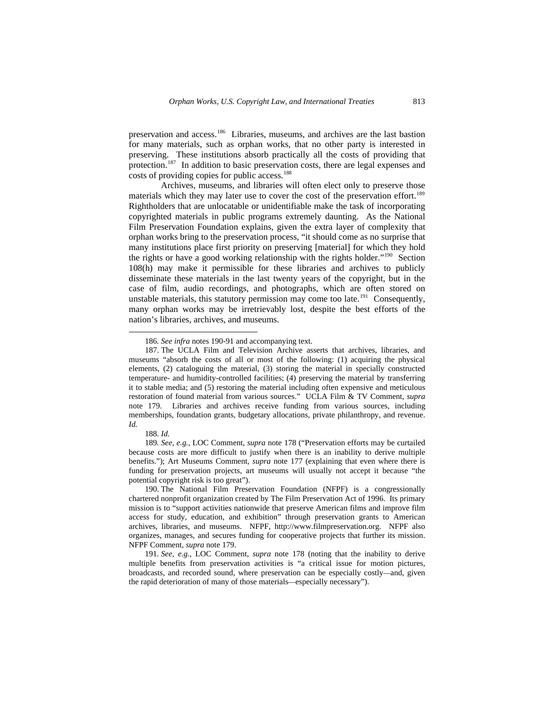preservation and access.[186](#page-26-0) Libraries, museums, and archives are the last bastion for many materials, such as orphan works, that no other party is interested in preserving. These institutions absorb practically all the costs of providing that protection.[187](#page-26-1) In addition to basic preservation costs, there are legal expenses and costs of providing copies for public access.<sup>[188](#page-26-2)</sup>

Archives, museums, and libraries will often elect only to preserve those materials which they may later use to cover the cost of the preservation effort.<sup>[189](#page-26-3)</sup> Rightholders that are unlocatable or unidentifiable make the task of incorporating copyrighted materials in public programs extremely daunting. As the National Film Preservation Foundation explains, given the extra layer of complexity that orphan works bring to the preservation process, "it should come as no surprise that many institutions place first priority on preserving [material] for which they hold the rights or have a good working relationship with the rights holder."<sup>[190](#page-26-4)</sup> Section 108(h) may make it permissible for these libraries and archives to publicly disseminate these materials in the last twenty years of the copyright, but in the case of film, audio recordings, and photographs, which are often stored on unstable materials, this statutory permission may come too late.<sup>[191](#page-26-5)</sup> Consequently, many orphan works may be irretrievably lost, despite the best efforts of the nation's libraries, archives, and museums.

188. *Id.* 

 $\overline{a}$ 

<span id="page-26-3"></span><span id="page-26-2"></span>189*. See, e.g.*, LOC Comment, *supra* note 178 ("Preservation efforts may be curtailed because costs are more difficult to justify when there is an inability to derive multiple benefits."); Art Museums Comment, *supra* note 177 (explaining that even where there is funding for preservation projects, art museums will usually not accept it because "the potential copyright risk is too great").

<sup>186</sup>*. See infra* notes 190-91 and accompanying text.

<span id="page-26-1"></span><span id="page-26-0"></span><sup>187.</sup> The UCLA Film and Television Archive asserts that archives, libraries, and museums "absorb the costs of all or most of the following: (1) acquiring the physical elements, (2) cataloguing the material, (3) storing the material in specially constructed temperature- and humidity-controlled facilities; (4) preserving the material by transferring it to stable media; and (5) restoring the material including often expensive and meticulous restoration of found material from various sources." UCLA Film & TV Comment, *supra*  note 179. Libraries and archives receive funding from various sources, including memberships, foundation grants, budgetary allocations, private philanthropy, and revenue. *Id.* 

<span id="page-26-4"></span><sup>190.</sup> The National Film Preservation Foundation (NFPF) is a congressionally chartered nonprofit organization created by The Film Preservation Act of 1996. Its primary mission is to "support activities nationwide that preserve American films and improve film access for study, education, and exhibition" through preservation grants to American archives, libraries, and museums. NFPF, http://www.filmpreservation.org. NFPF also organizes, manages, and secures funding for cooperative projects that further its mission. NFPF Comment, *supra* note 179.

<span id="page-26-5"></span><sup>191</sup>*. See, e.g.*, LOC Comment, *supra* note 178 (noting that the inability to derive multiple benefits from preservation activities is "a critical issue for motion pictures, broadcasts, and recorded sound, where preservation can be especially costly—and, given the rapid deterioration of many of those materials—especially necessary").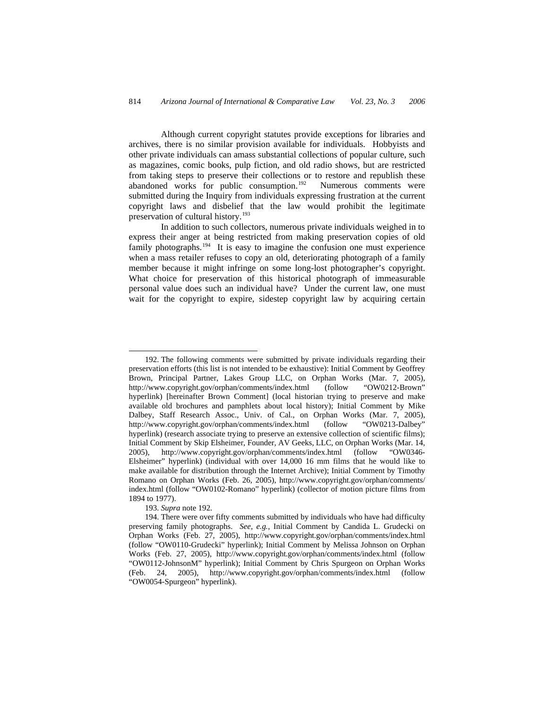Although current copyright statutes provide exceptions for libraries and archives, there is no similar provision available for individuals. Hobbyists and other private individuals can amass substantial collections of popular culture, such as magazines, comic books, pulp fiction, and old radio shows, but are restricted from taking steps to preserve their collections or to restore and republish these abandoned works for public consumption.<sup>[192](#page-27-0)</sup> Numerous comments were submitted during the Inquiry from individuals expressing frustration at the current copyright laws and disbelief that the law would prohibit the legitimate preservation of cultural history.<sup>[193](#page-27-1)</sup>

In addition to such collectors, numerous private individuals weighed in to express their anger at being restricted from making preservation copies of old family photographs.<sup>[194](#page-27-2)</sup> It is easy to imagine the confusion one must experience when a mass retailer refuses to copy an old, deteriorating photograph of a family member because it might infringe on some long-lost photographer's copyright. What choice for preservation of this historical photograph of immeasurable personal value does such an individual have? Under the current law, one must wait for the copyright to expire, sidestep copyright law by acquiring certain

193. *Supra* note 192.

-

<span id="page-27-0"></span><sup>192.</sup> The following comments were submitted by private individuals regarding their preservation efforts (this list is not intended to be exhaustive): Initial Comment by Geoffrey Brown, Principal Partner, Lakes Group LLC, on Orphan Works (Mar. 7, 2005), http://www.copyright.gov/orphan/comments/index.html (follow "OW0212-Brown" hyperlink) [hereinafter Brown Comment] (local historian trying to preserve and make available old brochures and pamphlets about local history); Initial Comment by Mike Dalbey, Staff Research Assoc., Univ. of Cal., on Orphan Works (Mar. 7, 2005), http://www.copyright.gov/orphan/comments/index.html (follow "OW0213-Dalbey" hyperlink) (research associate trying to preserve an extensive collection of scientific films); Initial Comment by Skip Elsheimer, Founder, AV Geeks, LLC, on Orphan Works (Mar. 14, 2005), http://www.copyright.gov/orphan/comments/index.html (follow "OW0346- Elsheimer" hyperlink) (individual with over 14,000 16 mm films that he would like to make available for distribution through the Internet Archive); Initial Comment by Timothy Romano on Orphan Works (Feb. 26, 2005), http://www.copyright.gov/orphan/comments/ index.html (follow "OW0102-Romano" hyperlink) (collector of motion picture films from 1894 to 1977).

<span id="page-27-2"></span><span id="page-27-1"></span><sup>194.</sup> There were over fifty comments submitted by individuals who have had difficulty preserving family photographs. *See, e.g.*, Initial Comment by Candida L. Grudecki on Orphan Works (Feb. 27, 2005), http://www.copyright.gov/orphan/comments/index.html (follow "OW0110-Grudecki" hyperlink); Initial Comment by Melissa Johnson on Orphan Works (Feb. 27, 2005), http://www.copyright.gov/orphan/comments/index.html (follow "OW0112-JohnsonM" hyperlink); Initial Comment by Chris Spurgeon on Orphan Works (Feb. 24, 2005), http://www.copyright.gov/orphan/comments/index.html (follow "OW0054-Spurgeon" hyperlink).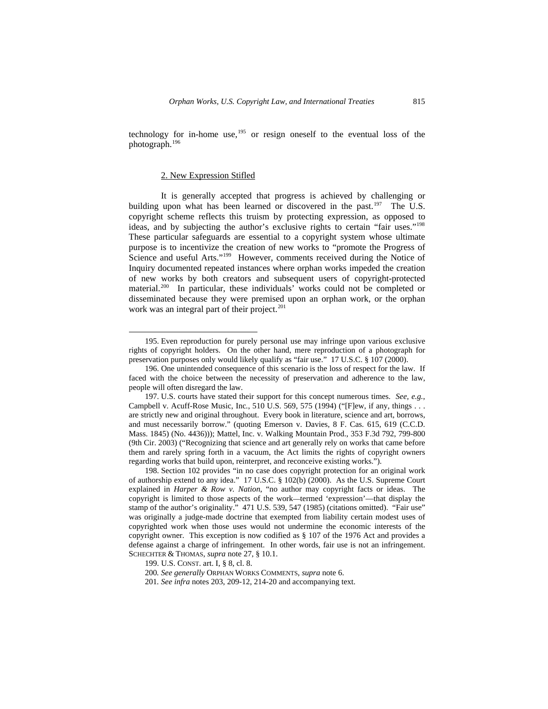technology for in-home use,<sup>[195](#page-28-0)</sup> or resign oneself to the eventual loss of the photograph.[196](#page-28-1)

## 2. New Expression Stifled

 $\overline{a}$ 

It is generally accepted that progress is achieved by challenging or building upon what has been learned or discovered in the past. $197$  The U.S. copyright scheme reflects this truism by protecting expression, as opposed to ideas, and by subjecting the author's exclusive rights to certain "fair uses."[198](#page-28-3) These particular safeguards are essential to a copyright system whose ultimate purpose is to incentivize the creation of new works to "promote the Progress of Science and useful Arts."<sup>199</sup> However, comments received during the Notice of Inquiry documented repeated instances where orphan works impeded the creation of new works by both creators and subsequent users of copyright-protected material.[200](#page-28-5) In particular, these individuals' works could not be completed or disseminated because they were premised upon an orphan work, or the orphan work was an integral part of their project. $201$ 

<span id="page-28-0"></span><sup>195.</sup> Even reproduction for purely personal use may infringe upon various exclusive rights of copyright holders. On the other hand, mere reproduction of a photograph for preservation purposes only would likely qualify as "fair use." 17 U.S.C. § 107 (2000).

<span id="page-28-1"></span><sup>196.</sup> One unintended consequence of this scenario is the loss of respect for the law. If faced with the choice between the necessity of preservation and adherence to the law, people will often disregard the law.

<span id="page-28-2"></span><sup>197.</sup> U.S. courts have stated their support for this concept numerous times. *See, e.g.*, Campbell v. Acuff-Rose Music, Inc*.*, 510 U.S. 569, 575 (1994) ("[F]ew, if any, things . . . are strictly new and original throughout. Every book in literature, science and art, borrows, and must necessarily borrow." (quoting Emerson v. Davies, 8 F. Cas. 615, 619 (C.C.D. Mass. 1845) (No. 4436))); Mattel, Inc. v. Walking Mountain Prod., 353 F.3d 792, 799-800 (9th Cir. 2003) ("Recognizing that science and art generally rely on works that came before them and rarely spring forth in a vacuum, the Act limits the rights of copyright owners regarding works that build upon, reinterpret, and reconceive existing works.").

<span id="page-28-3"></span><sup>198.</sup> Section 102 provides "in no case does copyright protection for an original work of authorship extend to any idea." 17 U.S.C. § 102(b) (2000). As the U.S. Supreme Court explained in *Harper & Row v. Nation*, "no author may copyright facts or ideas. The copyright is limited to those aspects of the work—termed 'expression'—that display the stamp of the author's originality." 471 U.S. 539, 547 (1985) (citations omitted). "Fair use" was originally a judge-made doctrine that exempted from liability certain modest uses of copyrighted work when those uses would not undermine the economic interests of the copyright owner. This exception is now codified as § 107 of the 1976 Act and provides a defense against a charge of infringement. In other words, fair use is not an infringement. SCHECHTER & THOMAS, *supra* note 27, § 10.1.

<span id="page-28-4"></span><sup>199.</sup> U.S. CONST. art. I, § 8, cl. 8.

<span id="page-28-5"></span><sup>200</sup>*. See generally* ORPHAN WORKS COMMENTS, *supra* note 6.

<span id="page-28-6"></span><sup>201</sup>*. See infra* notes 203, 209-12, 214-20 and accompanying text.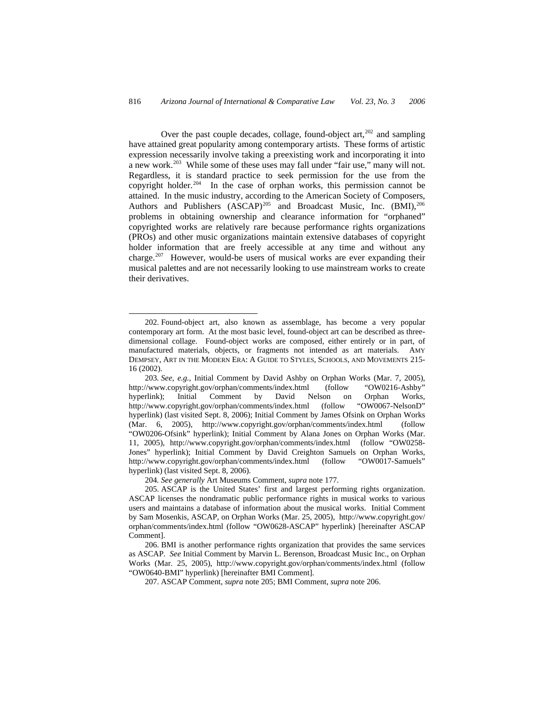Over the past couple decades, collage, found-object art, $202$  and sampling have attained great popularity among contemporary artists. These forms of artistic expression necessarily involve taking a preexisting work and incorporating it into a new work.[203](#page-29-1) While some of these uses may fall under "fair use," many will not. Regardless, it is standard practice to seek permission for the use from the copyright holder.<sup>[204](#page-29-2)</sup> In the case of orphan works, this permission cannot be attained. In the music industry, according to the American Society of Composers, Authors and Publishers (ASCAP)<sup>[205](#page-29-3)</sup> and Broadcast Music, Inc. (BMI),<sup>[206](#page-29-4)</sup> problems in obtaining ownership and clearance information for "orphaned" copyrighted works are relatively rare because performance rights organizations (PROs) and other music organizations maintain extensive databases of copyright holder information that are freely accessible at any time and without any charge.<sup>[207](#page-29-5)</sup> However, would-be users of musical works are ever expanding their musical palettes and are not necessarily looking to use mainstream works to create their derivatives.

204*. See generally* Art Museums Comment, *supra* note 177.

1

207. ASCAP Comment, *supra* note 205; BMI Comment, *supra* note 206.

<span id="page-29-0"></span><sup>202.</sup> Found-object art, also known as assemblage, has become a very popular contemporary art form. At the most basic level, found-object art can be described as threedimensional collage. Found-object works are composed, either entirely or in part, of manufactured materials, objects, or fragments not intended as art materials. AMY DEMPSEY, ART IN THE MODERN ERA: A GUIDE TO STYLES, SCHOOLS, AND MOVEMENTS 215- 16 (2002).

<span id="page-29-1"></span><sup>203</sup>*. See, e.g.*, Initial Comment by David Ashby on Orphan Works (Mar. 7, 2005), http://www.copyright.gov/orphan/comments/index.html (follow "OW0216-Ashby" hyperlink); Initial Comment by David Nelson on Orphan Works, http://www.copyright.gov/orphan/comments/index.html (follow "OW0067-NelsonD" http://www.copyright.gov/orphan/comments/index.html (follow hyperlink) (last visited Sept. 8, 2006); Initial Comment by James Ofsink on Orphan Works (Mar. 6, 2005), http://www.copyright.gov/orphan/comments/index.html (follow "OW0206-Ofsink" hyperlink); Initial Comment by Alana Jones on Orphan Works (Mar. 11, 2005), http://www.copyright.gov/orphan/comments/index.html (follow "OW0258- Jones" hyperlink); Initial Comment by David Creighton Samuels on Orphan Works, http://www.copyright.gov/orphan/comments/index.html (follow "OW0017-Samuels" hyperlink) (last visited Sept. 8, 2006).

<span id="page-29-3"></span><span id="page-29-2"></span><sup>205.</sup> ASCAP is the United States' first and largest performing rights organization. ASCAP licenses the nondramatic public performance rights in musical works to various users and maintains a database of information about the musical works. Initial Comment by Sam Mosenkis, ASCAP, on Orphan Works (Mar. 25, 2005), http://www.copyright.gov/ orphan/comments/index.html (follow "OW0628-ASCAP" hyperlink) [hereinafter ASCAP Comment].

<span id="page-29-5"></span><span id="page-29-4"></span><sup>206.</sup> BMI is another performance rights organization that provides the same services as ASCAP. *See* Initial Comment by Marvin L. Berenson, Broadcast Music Inc., on Orphan Works (Mar. 25, 2005), http://www.copyright.gov/orphan/comments/index.html (follow "OW0640-BMI" hyperlink) [hereinafter BMI Comment].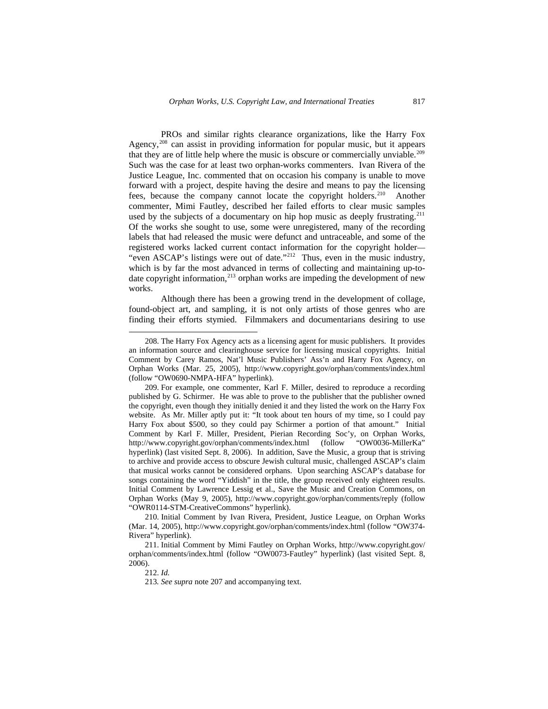PROs and similar rights clearance organizations, like the Harry Fox Agency, $208$  can assist in providing information for popular music, but it appears that they are of little help where the music is obscure or commercially unviable.<sup>[209](#page-30-1)</sup> Such was the case for at least two orphan-works commenters. Ivan Rivera of the Justice League, Inc. commented that on occasion his company is unable to move forward with a project, despite having the desire and means to pay the licensing fees, because the company cannot locate the copyright holders.[210](#page-30-2) Another commenter, Mimi Fautley, described her failed efforts to clear music samples used by the subjects of a documentary on hip hop music as deeply frustrating.<sup>[211](#page-30-3)</sup> Of the works she sought to use, some were unregistered, many of the recording labels that had released the music were defunct and untraceable, and some of the registered works lacked current contact information for the copyright holder— "even ASCAP's listings were out of date."<sup>[212](#page-30-4)</sup> Thus, even in the music industry, which is by far the most advanced in terms of collecting and maintaining up-todate copyright information, $^{213}$  $^{213}$  $^{213}$  orphan works are impeding the development of new works.

Although there has been a growing trend in the development of collage, found-object art, and sampling, it is not only artists of those genres who are finding their efforts stymied. Filmmakers and documentarians desiring to use

212. *Id.* 

-

213*. See supra* note 207 and accompanying text.

<span id="page-30-0"></span><sup>208.</sup> The Harry Fox Agency acts as a licensing agent for music publishers. It provides an information source and clearinghouse service for licensing musical copyrights. Initial Comment by Carey Ramos, Nat'l Music Publishers' Ass'n and Harry Fox Agency, on Orphan Works (Mar. 25, 2005), http://www.copyright.gov/orphan/comments/index.html (follow "OW0690-NMPA-HFA" hyperlink).

<span id="page-30-1"></span><sup>209.</sup> For example, one commenter, Karl F. Miller, desired to reproduce a recording published by G. Schirmer. He was able to prove to the publisher that the publisher owned the copyright, even though they initially denied it and they listed the work on the Harry Fox website. As Mr. Miller aptly put it: "It took about ten hours of my time, so I could pay Harry Fox about \$500, so they could pay Schirmer a portion of that amount." Initial Comment by Karl F. Miller, President, Pierian Recording Soc'y, on Orphan Works, http://www.copyright.gov/orphan/comments/index.html (follow hyperlink) (last visited Sept. 8, 2006). In addition, Save the Music, a group that is striving to archive and provide access to obscure Jewish cultural music, challenged ASCAP's claim that musical works cannot be considered orphans. Upon searching ASCAP's database for songs containing the word "Yiddish" in the title, the group received only eighteen results. Initial Comment by Lawrence Lessig et al., Save the Music and Creation Commons, on Orphan Works (May 9, 2005), http://www.copyright.gov/orphan/comments/reply (follow "OWR0114-STM-CreativeCommons" hyperlink).

<span id="page-30-2"></span><sup>210.</sup> Initial Comment by Ivan Rivera, President, Justice League, on Orphan Works (Mar. 14, 2005), http://www.copyright.gov/orphan/comments/index.html (follow "OW374- Rivera" hyperlink).

<span id="page-30-5"></span><span id="page-30-4"></span><span id="page-30-3"></span><sup>211.</sup> Initial Comment by Mimi Fautley on Orphan Works, http://www.copyright.gov/ orphan/comments/index.html (follow "OW0073-Fautley" hyperlink) (last visited Sept. 8, 2006).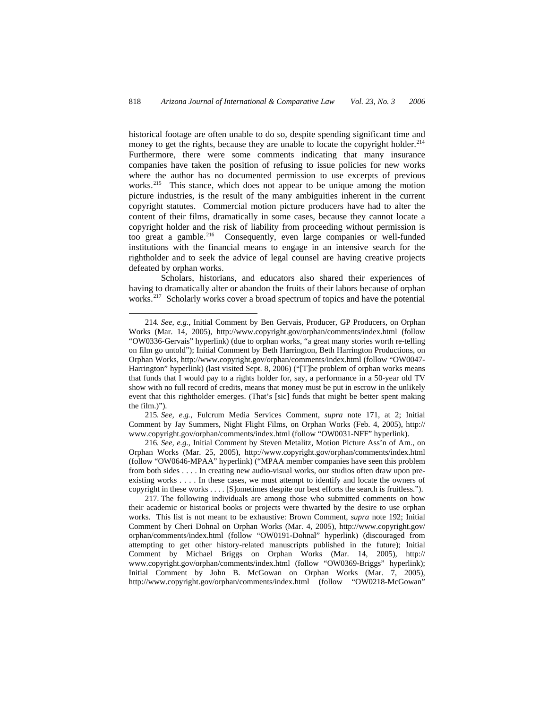historical footage are often unable to do so, despite spending significant time and money to get the rights, because they are unable to locate the copyright holder. $^{214}$  $^{214}$  $^{214}$ Furthermore, there were some comments indicating that many insurance companies have taken the position of refusing to issue policies for new works where the author has no documented permission to use excerpts of previous works.<sup>[215](#page-31-1)</sup> This stance, which does not appear to be unique among the motion picture industries, is the result of the many ambiguities inherent in the current copyright statutes. Commercial motion picture producers have had to alter the content of their films, dramatically in some cases, because they cannot locate a copyright holder and the risk of liability from proceeding without permission is too great a gamble.<sup>[216](#page-31-2)</sup> Consequently, even large companies or well-funded institutions with the financial means to engage in an intensive search for the rightholder and to seek the advice of legal counsel are having creative projects defeated by orphan works.

Scholars, historians, and educators also shared their experiences of having to dramatically alter or abandon the fruits of their labors because of orphan works.<sup>[217](#page-31-3)</sup> Scholarly works cover a broad spectrum of topics and have the potential

 $\overline{a}$ 

<span id="page-31-1"></span>215*. See, e.g.*, Fulcrum Media Services Comment, *supra* note 171, at 2; Initial Comment by Jay Summers, Night Flight Films, on Orphan Works (Feb. 4, 2005), http:// www.copyright.gov/orphan/comments/index.html (follow "OW0031-NFF" hyperlink).

<span id="page-31-2"></span>216*. See, e.g.*, Initial Comment by Steven Metalitz, Motion Picture Ass'n of Am., on Orphan Works (Mar. 25, 2005), http://www.copyright.gov/orphan/comments/index.html (follow "OW0646-MPAA" hyperlink) ("MPAA member companies have seen this problem from both sides . . . . In creating new audio-visual works, our studios often draw upon preexisting works . . . . In these cases, we must attempt to identify and locate the owners of copyright in these works . . . . [S]ometimes despite our best efforts the search is fruitless.").

<span id="page-31-3"></span>217. The following individuals are among those who submitted comments on how their academic or historical books or projects were thwarted by the desire to use orphan works. This list is not meant to be exhaustive: Brown Comment, *supra* note 192; Initial Comment by Cheri Dohnal on Orphan Works (Mar. 4, 2005), http://www.copyright.gov/ orphan/comments/index.html (follow "OW0191-Dohnal" hyperlink) (discouraged from attempting to get other history-related manuscripts published in the future); Initial Comment by Michael Briggs on Orphan Works (Mar. 14, 2005), http:// www.copyright.gov/orphan/comments/index.html (follow "OW0369-Briggs" hyperlink); Initial Comment by John B. McGowan on Orphan Works (Mar. 7, 2005), http://www.copyright.gov/orphan/comments/index.html (follow "OW0218-McGowan"

<span id="page-31-0"></span><sup>214</sup>*. See, e.g.*, Initial Comment by Ben Gervais, Producer, GP Producers, on Orphan Works (Mar. 14, 2005), http://www.copyright.gov/orphan/comments/index.html (follow "OW0336-Gervais" hyperlink) (due to orphan works, "a great many stories worth re-telling on film go untold"); Initial Comment by Beth Harrington, Beth Harrington Productions, on Orphan Works, http://www.copyright.gov/orphan/comments/index.html (follow "OW0047- Harrington" hyperlink) (last visited Sept. 8, 2006) ("[T]he problem of orphan works means that funds that I would pay to a rights holder for, say, a performance in a 50-year old TV show with no full record of credits, means that money must be put in escrow in the unlikely event that this rightholder emerges. (That's [sic] funds that might be better spent making the film.)").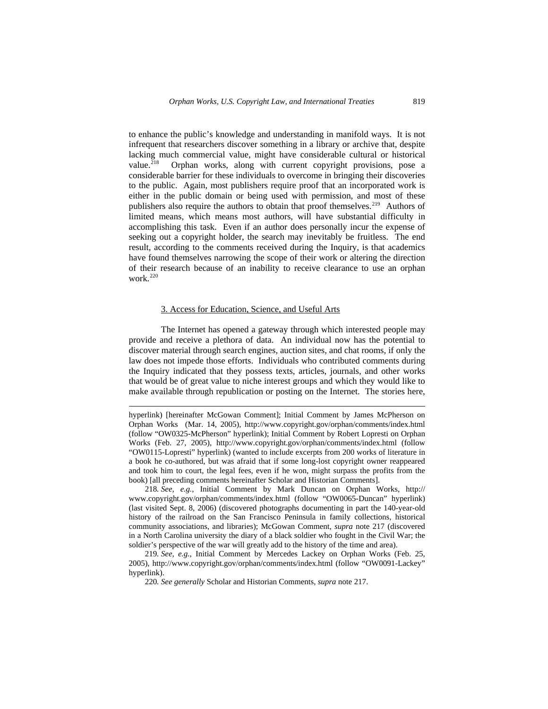to enhance the public's knowledge and understanding in manifold ways. It is not infrequent that researchers discover something in a library or archive that, despite lacking much commercial value, might have considerable cultural or historical value.<sup>[218](#page-32-0)</sup> Orphan works, along with current copyright provisions, pose a considerable barrier for these individuals to overcome in bringing their discoveries to the public. Again, most publishers require proof that an incorporated work is either in the public domain or being used with permission, and most of these publishers also require the authors to obtain that proof themselves.<sup>[219](#page-32-1)</sup> Authors of limited means, which means most authors, will have substantial difficulty in accomplishing this task. Even if an author does personally incur the expense of seeking out a copyright holder, the search may inevitably be fruitless. The end result, according to the comments received during the Inquiry, is that academics have found themselves narrowing the scope of their work or altering the direction of their research because of an inability to receive clearance to use an orphan work.<sup>[220](#page-32-2)</sup>

## 3. Access for Education, Science, and Useful Arts

 $\overline{a}$ 

The Internet has opened a gateway through which interested people may provide and receive a plethora of data. An individual now has the potential to discover material through search engines, auction sites, and chat rooms, if only the law does not impede those efforts. Individuals who contributed comments during the Inquiry indicated that they possess texts, articles, journals, and other works that would be of great value to niche interest groups and which they would like to make available through republication or posting on the Internet. The stories here,

<span id="page-32-0"></span>218*. See, e.g.*, Initial Comment by Mark Duncan on Orphan Works, http:// www.copyright.gov/orphan/comments/index.html (follow "OW0065-Duncan" hyperlink) (last visited Sept. 8, 2006) (discovered photographs documenting in part the 140-year-old history of the railroad on the San Francisco Peninsula in family collections, historical community associations, and libraries); McGowan Comment, *supra* note 217 (discovered in a North Carolina university the diary of a black soldier who fought in the Civil War; the soldier's perspective of the war will greatly add to the history of the time and area).

<span id="page-32-2"></span><span id="page-32-1"></span>219*. See, e.g.*, Initial Comment by Mercedes Lackey on Orphan Works (Feb. 25, 2005), http://www.copyright.gov/orphan/comments/index.html (follow "OW0091-Lackey" hyperlink).

220*. See generally* Scholar and Historian Comments, *supra* note 217.

hyperlink) [hereinafter McGowan Comment]; Initial Comment by James McPherson on Orphan Works (Mar. 14, 2005), http://www.copyright.gov/orphan/comments/index.html (follow "OW0325-McPherson" hyperlink); Initial Comment by Robert Lopresti on Orphan Works (Feb. 27, 2005), http://www.copyright.gov/orphan/comments/index.html (follow "OW0115-Lopresti" hyperlink) (wanted to include excerpts from 200 works of literature in a book he co-authored, but was afraid that if some long-lost copyright owner reappeared and took him to court, the legal fees, even if he won, might surpass the profits from the book) [all preceding comments hereinafter Scholar and Historian Comments].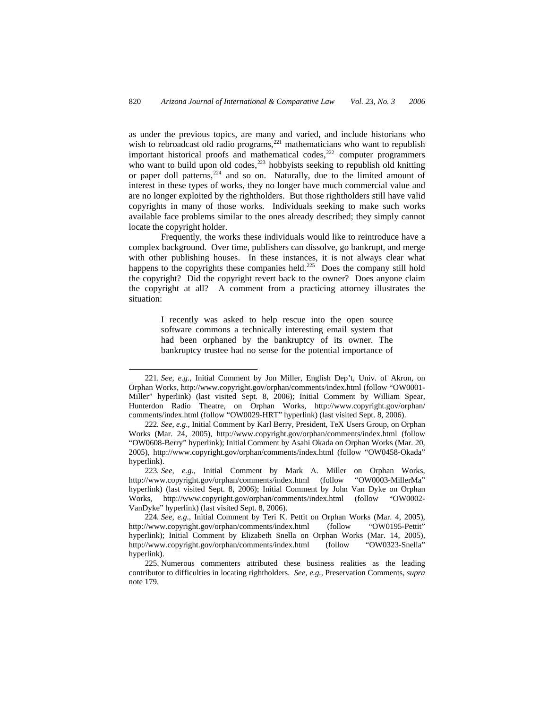as under the previous topics, are many and varied, and include historians who wish to rebroadcast old radio programs,<sup>[221](#page-33-0)</sup> mathematicians who want to republish important historical proofs and mathematical codes, $^{222}$  $^{222}$  $^{222}$  computer programmers who want to build upon old codes,<sup>[223](#page-33-2)</sup> hobbyists seeking to republish old knitting or paper doll patterns,<sup>[224](#page-33-3)</sup> and so on. Naturally, due to the limited amount of interest in these types of works, they no longer have much commercial value and are no longer exploited by the rightholders. But those rightholders still have valid copyrights in many of those works. Individuals seeking to make such works available face problems similar to the ones already described; they simply cannot locate the copyright holder.

Frequently, the works these individuals would like to reintroduce have a complex background. Over time, publishers can dissolve, go bankrupt, and merge with other publishing houses. In these instances, it is not always clear what happens to the copyrights these companies held.<sup>[225](#page-33-4)</sup> Does the company still hold the copyright? Did the copyright revert back to the owner? Does anyone claim the copyright at all? A comment from a practicing attorney illustrates the situation:

> I recently was asked to help rescue into the open source software commons a technically interesting email system that had been orphaned by the bankruptcy of its owner. The bankruptcy trustee had no sense for the potential importance of

-

<span id="page-33-0"></span><sup>221</sup>*. See, e.g.*, Initial Comment by Jon Miller, English Dep't, Univ. of Akron, on Orphan Works, http://www.copyright.gov/orphan/comments/index.html (follow "OW0001- Miller" hyperlink) (last visited Sept. 8, 2006); Initial Comment by William Spear, Hunterdon Radio Theatre, on Orphan Works, http://www.copyright.gov/orphan/ comments/index.html (follow "OW0029-HRT" hyperlink) (last visited Sept. 8, 2006).

<span id="page-33-1"></span><sup>222</sup>*. See, e.g.*, Initial Comment by Karl Berry, President, TeX Users Group, on Orphan Works (Mar. 24, 2005), http://www.copyright.gov/orphan/comments/index.html (follow "OW0608-Berry" hyperlink); Initial Comment by Asahi Okada on Orphan Works (Mar. 20, 2005), http://www.copyright.gov/orphan/comments/index.html (follow "OW0458-Okada" hyperlink).

<span id="page-33-2"></span><sup>223</sup>*. See, e.g.*, Initial Comment by Mark A. Miller on Orphan Works, http://www.copyright.gov/orphan/comments/index.html (follow "OW0003-MillerMa" hyperlink) (last visited Sept. 8, 2006); Initial Comment by John Van Dyke on Orphan Works, http://www.copyright.gov/orphan/comments/index.html (follow "OW0002- VanDyke" hyperlink) (last visited Sept. 8, 2006).

<span id="page-33-3"></span><sup>224</sup>*. See, e.g.*, Initial Comment by Teri K. Pettit on Orphan Works (Mar. 4, 2005), http://www.copyright.gov/orphan/comments/index.html (follow "OW0195-Pettit" hyperlink); Initial Comment by Elizabeth Snella on Orphan Works (Mar. 14, 2005), http://www.copyright.gov/orphan/comments/index.html (follow "OW0323-Snella" hyperlink).

<span id="page-33-4"></span><sup>225.</sup> Numerous commenters attributed these business realities as the leading contributor to difficulties in locating rightholders. *See, e.g.*, Preservation Comments, *supra*  note 179.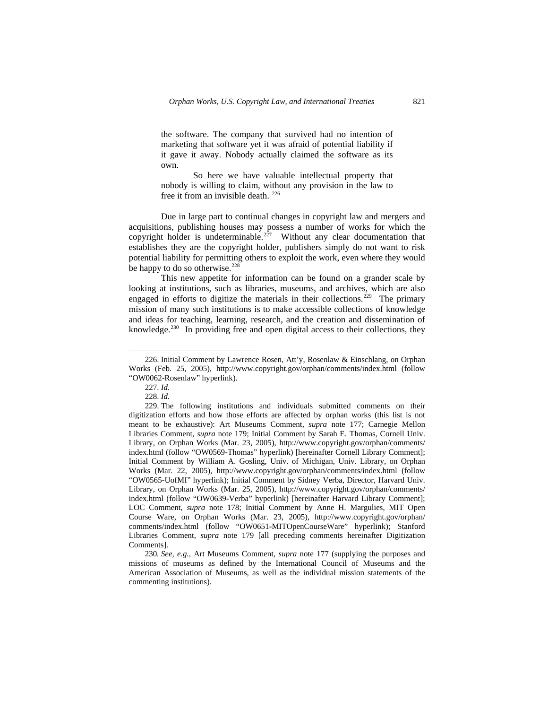the software. The company that survived had no intention of marketing that software yet it was afraid of potential liability if it gave it away. Nobody actually claimed the software as its own.

So here we have valuable intellectual property that nobody is willing to claim, without any provision in the law to free it from an invisible death. [226](#page-34-0)

Due in large part to continual changes in copyright law and mergers and acquisitions, publishing houses may possess a number of works for which the copyright holder is undeterminable.<sup>[227](#page-34-1)</sup> Without any clear documentation that establishes they are the copyright holder, publishers simply do not want to risk potential liability for permitting others to exploit the work, even where they would be happy to do so otherwise.<sup>[228](#page-34-2)</sup>

This new appetite for information can be found on a grander scale by looking at institutions, such as libraries, museums, and archives, which are also engaged in efforts to digitize the materials in their collections.<sup>[229](#page-34-3)</sup> The primary mission of many such institutions is to make accessible collections of knowledge and ideas for teaching, learning, research, and the creation and dissemination of knowledge.<sup>[230](#page-34-4)</sup> In providing free and open digital access to their collections, they

-

<span id="page-34-0"></span><sup>226.</sup> Initial Comment by Lawrence Rosen, Att'y, Rosenlaw & Einschlang, on Orphan Works (Feb. 25, 2005), http://www.copyright.gov/orphan/comments/index.html (follow "OW0062-Rosenlaw" hyperlink).

<sup>227.</sup> *Id.* 

<sup>228.</sup> *Id.*

<span id="page-34-3"></span><span id="page-34-2"></span><span id="page-34-1"></span><sup>229.</sup> The following institutions and individuals submitted comments on their digitization efforts and how those efforts are affected by orphan works (this list is not meant to be exhaustive): Art Museums Comment, *supra* note 177; Carnegie Mellon Libraries Comment, *supra* note 179; Initial Comment by Sarah E. Thomas, Cornell Univ. Library, on Orphan Works (Mar. 23, 2005), http://www.copyright.gov/orphan/comments/ index.html (follow "OW0569-Thomas" hyperlink) [hereinafter Cornell Library Comment]; Initial Comment by William A. Gosling, Univ. of Michigan, Univ. Library, on Orphan Works (Mar. 22, 2005), http://www.copyright.gov/orphan/comments/index.html (follow "OW0565-UofMI" hyperlink); Initial Comment by Sidney Verba, Director, Harvard Univ. Library, on Orphan Works (Mar. 25, 2005), http://www.copyright.gov/orphan/comments/ index.html (follow "OW0639-Verba" hyperlink) [hereinafter Harvard Library Comment]; LOC Comment, *supra* note 178; Initial Comment by Anne H. Margulies, MIT Open Course Ware, on Orphan Works (Mar. 23, 2005), http://www.copyright.gov/orphan/ comments/index.html (follow "OW0651-MITOpenCourseWare" hyperlink); Stanford Libraries Comment, *supra* note 179 [all preceding comments hereinafter Digitization Comments].

<span id="page-34-4"></span><sup>230</sup>*. See, e.g.*, Art Museums Comment, *supra* note 177 (supplying the purposes and missions of museums as defined by the International Council of Museums and the American Association of Museums, as well as the individual mission statements of the commenting institutions).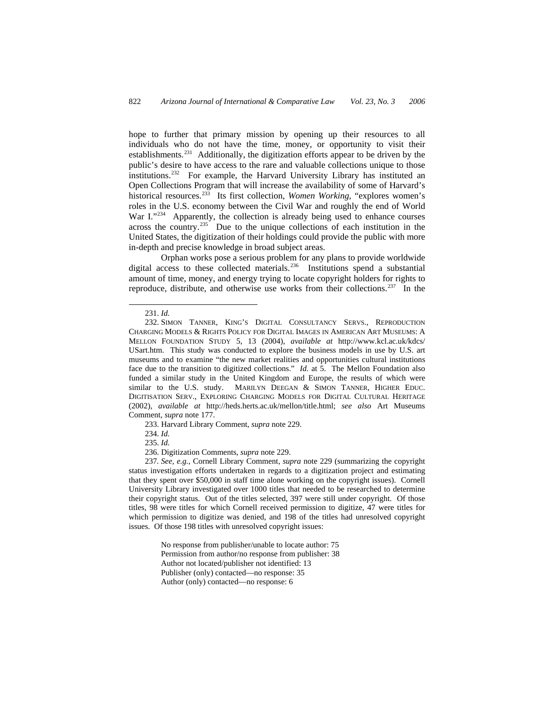hope to further that primary mission by opening up their resources to all individuals who do not have the time, money, or opportunity to visit their establishments.[231](#page-35-0) Additionally, the digitization efforts appear to be driven by the public's desire to have access to the rare and valuable collections unique to those institutions[.232](#page-35-1) For example, the Harvard University Library has instituted an Open Collections Program that will increase the availability of some of Harvard's historical resources.[233](#page-35-2) Its first collection, *Women Working*, "explores women's roles in the U.S. economy between the Civil War and roughly the end of World War I."<sup>[234](#page-35-3)</sup> Apparently, the collection is already being used to enhance courses across the country.[235](#page-35-4) Due to the unique collections of each institution in the United States, the digitization of their holdings could provide the public with more in-depth and precise knowledge in broad subject areas.

Orphan works pose a serious problem for any plans to provide worldwide digital access to these collected materials.<sup>[236](#page-35-5)</sup> Institutions spend a substantial amount of time, money, and energy trying to locate copyright holders for rights to reproduce, distribute, and otherwise use works from their collections.[237](#page-35-6) In the

 $\overline{a}$ 

233. Harvard Library Comment, *supra* note 229.

234. *Id.* 

235. *Id.*

236. Digitization Comments, *supra* note 229.

<span id="page-35-6"></span><span id="page-35-5"></span><span id="page-35-4"></span><span id="page-35-3"></span><span id="page-35-2"></span>237*. See, e.g.*, Cornell Library Comment, *supra* note 229 (summarizing the copyright status investigation efforts undertaken in regards to a digitization project and estimating that they spent over \$50,000 in staff time alone working on the copyright issues). Cornell University Library investigated over 1000 titles that needed to be researched to determine their copyright status. Out of the titles selected, 397 were still under copyright. Of those titles, 98 were titles for which Cornell received permission to digitize, 47 were titles for which permission to digitize was denied, and 198 of the titles had unresolved copyright issues. Of those 198 titles with unresolved copyright issues:

> No response from publisher/unable to locate author: 75 Permission from author/no response from publisher: 38 Author not located/publisher not identified: 13 Publisher (only) contacted—no response: 35 Author (only) contacted—no response: 6

<sup>231.</sup> *Id.* 

<span id="page-35-1"></span><span id="page-35-0"></span><sup>232.</sup> SIMON TANNER, KING'S DIGITAL CONSULTANCY SERVS., REPRODUCTION CHARGING MODELS & RIGHTS POLICY FOR DIGITAL IMAGES IN AMERICAN ART MUSEUMS: A MELLON FOUNDATION STUDY 5, 13 (2004), *available at* http://www.kcl.ac.uk/kdcs/ USart.htm. This study was conducted to explore the business models in use by U.S. art museums and to examine "the new market realities and opportunities cultural institutions face due to the transition to digitized collections." *Id.* at 5. The Mellon Foundation also funded a similar study in the United Kingdom and Europe, the results of which were similar to the U.S. study. MARILYN DEEGAN & SIMON TANNER, HIGHER EDUC. DIGITISATION SERV., EXPLORING CHARGING MODELS FOR DIGITAL CULTURAL HERITAGE (2002), *available at* http://heds.herts.ac.uk/mellon/title.html; *see also* Art Museums Comment, *supra* note 177.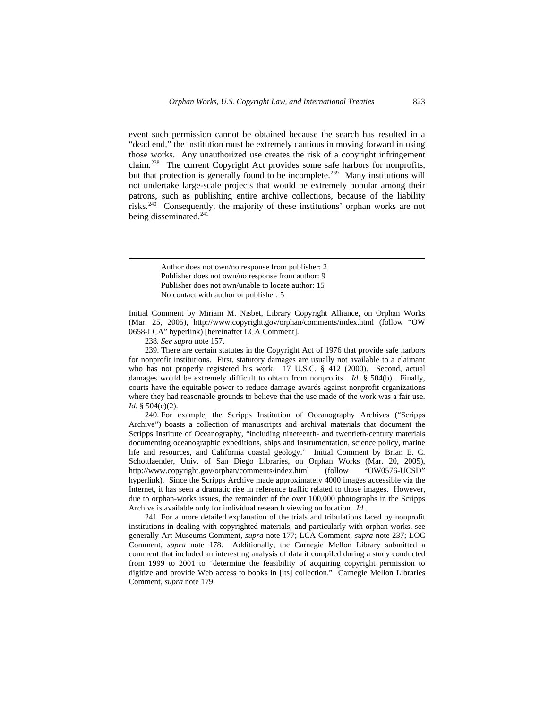event such permission cannot be obtained because the search has resulted in a "dead end," the institution must be extremely cautious in moving forward in using those works. Any unauthorized use creates the risk of a copyright infringement claim.[238](#page-36-0) The current Copyright Act provides some safe harbors for nonprofits, but that protection is generally found to be incomplete.<sup>[239](#page-36-1)</sup> Many institutions will not undertake large-scale projects that would be extremely popular among their patrons, such as publishing entire archive collections, because of the liability risks.[240](#page-36-2) Consequently, the majority of these institutions' orphan works are not being disseminated.<sup>[241](#page-36-3)</sup>

> Author does not own/no response from publisher: 2 Publisher does not own/no response from author: 9 Publisher does not own/unable to locate author: 15 No contact with author or publisher: 5

Initial Comment by Miriam M. Nisbet, Library Copyright Alliance, on Orphan Works (Mar. 25, 2005), http://www.copyright.gov/orphan/comments/index.html (follow "OW 0658-LCA" hyperlink) [hereinafter LCA Comment].

238*. See supra* note 157.

 $\overline{a}$ 

<span id="page-36-1"></span><span id="page-36-0"></span>239. There are certain statutes in the Copyright Act of 1976 that provide safe harbors for nonprofit institutions. First, statutory damages are usually not available to a claimant who has not properly registered his work. 17 U.S.C. § 412 (2000). Second, actual damages would be extremely difficult to obtain from nonprofits. *Id.* § 504(b). Finally, courts have the equitable power to reduce damage awards against nonprofit organizations where they had reasonable grounds to believe that the use made of the work was a fair use. *Id.* § 504(c)(2).

<span id="page-36-2"></span>240. For example, the Scripps Institution of Oceanography Archives ("Scripps Archive") boasts a collection of manuscripts and archival materials that document the Scripps Institute of Oceanography, "including nineteenth- and twentieth-century materials documenting oceanographic expeditions, ships and instrumentation, science policy, marine life and resources, and California coastal geology." Initial Comment by Brian E. C. Schottlaender, Univ. of San Diego Libraries, on Orphan Works (Mar. 20, 2005), http://www.copyright.gov/orphan/comments/index.html (follow "OW0576-UCSD" hyperlink). Since the Scripps Archive made approximately 4000 images accessible via the Internet, it has seen a dramatic rise in reference traffic related to those images. However, due to orphan-works issues, the remainder of the over 100,000 photographs in the Scripps Archive is available only for individual research viewing on location. *Id.*.

<span id="page-36-3"></span>241. For a more detailed explanation of the trials and tribulations faced by nonprofit institutions in dealing with copyrighted materials, and particularly with orphan works, see generally Art Museums Comment, *supra* note 177; LCA Comment, *supra* note 237; LOC Comment, *supra* note 178. Additionally, the Carnegie Mellon Library submitted a comment that included an interesting analysis of data it compiled during a study conducted from 1999 to 2001 to "determine the feasibility of acquiring copyright permission to digitize and provide Web access to books in [its] collection." Carnegie Mellon Libraries Comment, *supra* note 179.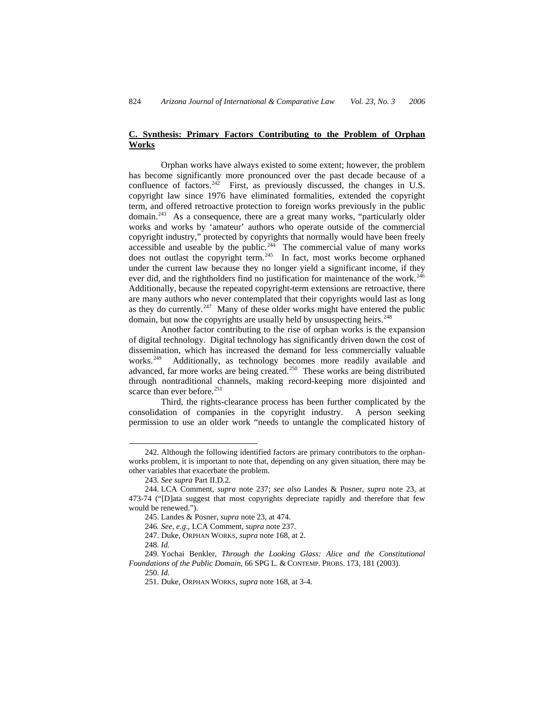# **C. Synthesis: Primary Factors Contributing to the Problem of Orphan Works**

Orphan works have always existed to some extent; however, the problem has become significantly more pronounced over the past decade because of a confluence of factors.<sup>[242](#page-37-0)</sup> First, as previously discussed, the changes in U.S. copyright law since 1976 have eliminated formalities, extended the copyright term, and offered retroactive protection to foreign works previously in the public domain.[243](#page-37-1) As a consequence, there are a great many works, "particularly older works and works by 'amateur' authors who operate outside of the commercial copyright industry," protected by copyrights that normally would have been freely accessible and useable by the public.<sup>[244](#page-37-2)</sup> The commercial value of many works does not outlast the copyright term.<sup>[245](#page-37-3)</sup> In fact, most works become orphaned under the current law because they no longer yield a significant income, if they ever did, and the rightholders find no justification for maintenance of the work.<sup>[246](#page-37-4)</sup> Additionally, because the repeated copyright-term extensions are retroactive, there are many authors who never contemplated that their copyrights would last as long as they do currently.<sup>[247](#page-37-5)</sup> Many of these older works might have entered the public domain, but now the copyrights are usually held by unsuspecting heirs.<sup>[248](#page-37-6)</sup>

Another factor contributing to the rise of orphan works is the expansion of digital technology. Digital technology has significantly driven down the cost of dissemination, which has increased the demand for less commercially valuable works.<sup>[249](#page-37-7)</sup> Additionally, as technology becomes more readily available and advanced, far more works are being created.<sup>[250](#page-37-8)</sup> These works are being distributed through nontraditional channels, making record-keeping more disjointed and scarce than ever before.<sup>[251](#page-37-9)</sup>

Third, the rights-clearance process has been further complicated by the consolidation of companies in the copyright industry. A person seeking permission to use an older work "needs to untangle the complicated history of

<span id="page-37-0"></span><sup>242.</sup> Although the following identified factors are primary contributors to the orphanworks problem, it is important to note that, depending on any given situation, there may be other variables that exacerbate the problem.

<sup>243</sup>*. See supra* Part II.D.2.

<span id="page-37-3"></span><span id="page-37-2"></span><span id="page-37-1"></span><sup>244.</sup> LCA Comment, *supra* note 237; *see also* Landes & Posner, *supra* note 23, at 473-74 ("[D]ata suggest that most copyrights depreciate rapidly and therefore that few would be renewed.").

<sup>245.</sup> Landes & Posner, *supra* note 23, at 474.

<sup>246</sup>*. See, e.g*., LCA Comment, *supra* note 237.

<sup>247.</sup> Duke, ORPHAN WORKS, *supra* note 168, at 2.

<sup>248.</sup> *Id.*

<span id="page-37-9"></span><span id="page-37-8"></span><span id="page-37-7"></span><span id="page-37-6"></span><span id="page-37-5"></span><span id="page-37-4"></span><sup>249.</sup> Yochai Benkler, *Through the Looking Glass: Alice and the Constitutional Foundations of the Public Domain*, 66 SPG L. & CONTEMP. PROBS. 173, 181 (2003).

<sup>250.</sup> *Id.* 

<sup>251.</sup> Duke, ORPHAN WORKS, *supra* note 168, at 3-4.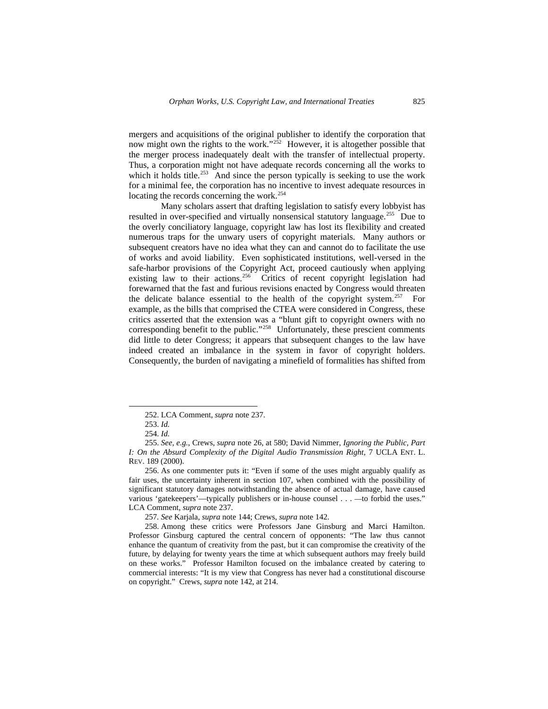mergers and acquisitions of the original publisher to identify the corporation that now might own the rights to the work." $252$  However, it is altogether possible that the merger process inadequately dealt with the transfer of intellectual property. Thus, a corporation might not have adequate records concerning all the works to which it holds title.<sup>[253](#page-38-1)</sup> And since the person typically is seeking to use the work for a minimal fee, the corporation has no incentive to invest adequate resources in locating the records concerning the work[.254](#page-38-2)

Many scholars assert that drafting legislation to satisfy every lobbyist has resulted in over-specified and virtually nonsensical statutory language.<sup>[255](#page-38-3)</sup> Due to the overly conciliatory language, copyright law has lost its flexibility and created numerous traps for the unwary users of copyright materials. Many authors or subsequent creators have no idea what they can and cannot do to facilitate the use of works and avoid liability. Even sophisticated institutions, well-versed in the safe-harbor provisions of the Copyright Act, proceed cautiously when applying existing law to their actions.<sup>[256](#page-38-4)</sup> Critics of recent copyright legislation had forewarned that the fast and furious revisions enacted by Congress would threaten the delicate balance essential to the health of the copyright system.<sup>[257](#page-38-5)</sup> For example, as the bills that comprised the CTEA were considered in Congress, these critics asserted that the extension was a "blunt gift to copyright owners with no corresponding benefit to the public."<sup>[258](#page-38-6)</sup> Unfortunately, these prescient comments did little to deter Congress; it appears that subsequent changes to the law have indeed created an imbalance in the system in favor of copyright holders. Consequently, the burden of navigating a minefield of formalities has shifted from

<span id="page-38-0"></span>1

257*. See* Karjala, *supra* note 144; Crews, *supra* note 142.

<sup>252.</sup> LCA Comment, *supra* note 237.

<sup>253.</sup> *Id.* 

<sup>254.</sup> *Id.* 

<span id="page-38-3"></span><span id="page-38-2"></span><span id="page-38-1"></span><sup>255.</sup> *See, e.g.*, Crews, *supra* note 26, at 580; David Nimmer, *Ignoring the Public, Part I: On the Absurd Complexity of the Digital Audio Transmission Right*, 7 UCLA ENT. L. REV. 189 (2000).

<span id="page-38-4"></span><sup>256.</sup> As one commenter puts it: "Even if some of the uses might arguably qualify as fair uses, the uncertainty inherent in section 107, when combined with the possibility of significant statutory damages notwithstanding the absence of actual damage, have caused various 'gatekeepers'—typically publishers or in-house counsel . . . —to forbid the uses." LCA Comment, *supra* note 237.

<span id="page-38-6"></span><span id="page-38-5"></span><sup>258.</sup> Among these critics were Professors Jane Ginsburg and Marci Hamilton. Professor Ginsburg captured the central concern of opponents: "The law thus cannot enhance the quantum of creativity from the past, but it can compromise the creativity of the future, by delaying for twenty years the time at which subsequent authors may freely build on these works." Professor Hamilton focused on the imbalance created by catering to commercial interests: "It is my view that Congress has never had a constitutional discourse on copyright." Crews, *supra* note 142, at 214.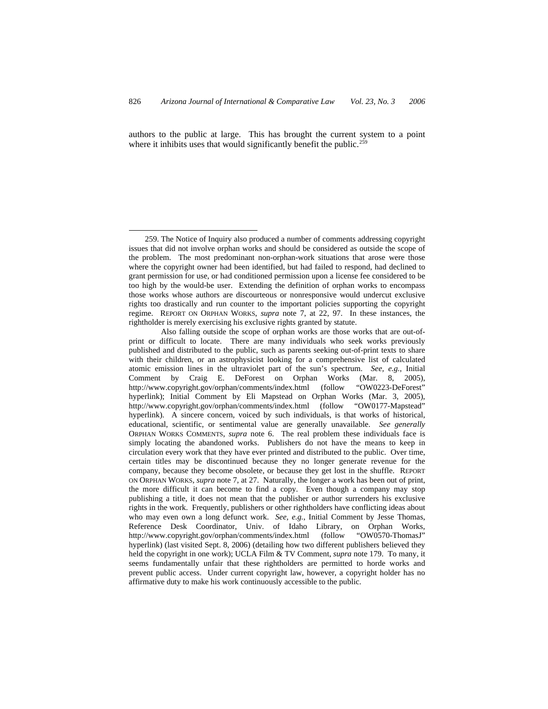authors to the public at large. This has brought the current system to a point where it inhibits uses that would significantly benefit the public.<sup>[259](#page-39-0)</sup>

-

<span id="page-39-0"></span><sup>259.</sup> The Notice of Inquiry also produced a number of comments addressing copyright issues that did not involve orphan works and should be considered as outside the scope of the problem. The most predominant non-orphan-work situations that arose were those where the copyright owner had been identified, but had failed to respond, had declined to grant permission for use, or had conditioned permission upon a license fee considered to be too high by the would-be user. Extending the definition of orphan works to encompass those works whose authors are discourteous or nonresponsive would undercut exclusive rights too drastically and run counter to the important policies supporting the copyright regime. REPORT ON ORPHAN WORKS, *supra* note 7, at 22, 97. In these instances, the rightholder is merely exercising his exclusive rights granted by statute.

Also falling outside the scope of orphan works are those works that are out-ofprint or difficult to locate. There are many individuals who seek works previously published and distributed to the public, such as parents seeking out-of-print texts to share with their children, or an astrophysicist looking for a comprehensive list of calculated atomic emission lines in the ultraviolet part of the sun's spectrum. *See, e.g.*, Initial Comment by Craig E. DeForest on Orphan Works (Mar. 8, 2005), http://www.copyright.gov/orphan/comments/index.html (follow "OW0223-DeForest" hyperlink); Initial Comment by Eli Mapstead on Orphan Works (Mar. 3, 2005), http://www.copyright.gov/orphan/comments/index.html (follow "OW0177-Mapstead" hyperlink). A sincere concern, voiced by such individuals, is that works of historical, educational, scientific, or sentimental value are generally unavailable. *See generally*  ORPHAN WORKS COMMENTS, *supra* note 6. The real problem these individuals face is simply locating the abandoned works. Publishers do not have the means to keep in circulation every work that they have ever printed and distributed to the public. Over time, certain titles may be discontinued because they no longer generate revenue for the company, because they become obsolete, or because they get lost in the shuffle. REPORT ON ORPHAN WORKS, *supra* note 7, at 27. Naturally, the longer a work has been out of print, the more difficult it can become to find a copy. Even though a company may stop publishing a title, it does not mean that the publisher or author surrenders his exclusive rights in the work. Frequently, publishers or other rightholders have conflicting ideas about who may even own a long defunct work. *See, e.g.*, Initial Comment by Jesse Thomas, Reference Desk Coordinator, Univ. of Idaho Library, on Orphan Works, http://www.copyright.gov/orphan/comments/index.html (follow "OW0570-ThomasJ" hyperlink) (last visited Sept. 8, 2006) (detailing how two different publishers believed they held the copyright in one work); UCLA Film & TV Comment, *supra* note 179. To many, it seems fundamentally unfair that these rightholders are permitted to horde works and prevent public access. Under current copyright law, however, a copyright holder has no affirmative duty to make his work continuously accessible to the public.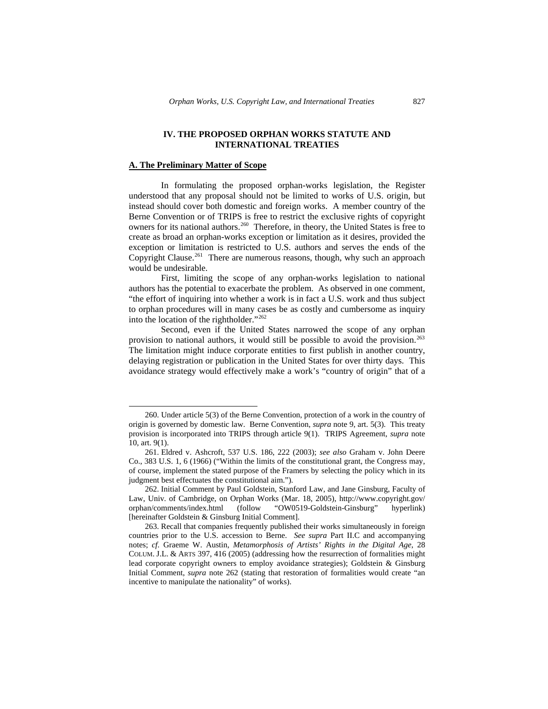## **IV. THE PROPOSED ORPHAN WORKS STATUTE AND INTERNATIONAL TREATIES**

#### **A. The Preliminary Matter of Scope**

1

In formulating the proposed orphan-works legislation, the Register understood that any proposal should not be limited to works of U.S. origin, but instead should cover both domestic and foreign works. A member country of the Berne Convention or of TRIPS is free to restrict the exclusive rights of copyright owners for its national authors.<sup>[260](#page-40-0)</sup> Therefore, in theory, the United States is free to create as broad an orphan-works exception or limitation as it desires, provided the exception or limitation is restricted to U.S. authors and serves the ends of the Copyright Clause.<sup>[261](#page-40-1)</sup> There are numerous reasons, though, why such an approach would be undesirable.

First, limiting the scope of any orphan-works legislation to national authors has the potential to exacerbate the problem. As observed in one comment, "the effort of inquiring into whether a work is in fact a U.S. work and thus subject to orphan procedures will in many cases be as costly and cumbersome as inquiry into the location of the rightholder."[262](#page-40-2)

Second, even if the United States narrowed the scope of any orphan provision to national authors, it would still be possible to avoid the provision.<sup>[263](#page-40-3)</sup> The limitation might induce corporate entities to first publish in another country, delaying registration or publication in the United States for over thirty days. This avoidance strategy would effectively make a work's "country of origin" that of a

<span id="page-40-0"></span><sup>260.</sup> Under article 5(3) of the Berne Convention, protection of a work in the country of origin is governed by domestic law. Berne Convention, *supra* note 9, art. 5(3). This treaty provision is incorporated into TRIPS through article 9(1). TRIPS Agreement, *supra* note 10, art. 9(1).

<span id="page-40-1"></span><sup>261.</sup> Eldred v. Ashcroft, 537 U.S. 186, 222 (2003); *see also* Graham v. John Deere Co., 383 U.S. 1, 6 (1966) ("Within the limits of the constitutional grant, the Congress may, of course, implement the stated purpose of the Framers by selecting the policy which in its judgment best effectuates the constitutional aim.").

<span id="page-40-2"></span><sup>262.</sup> Initial Comment by Paul Goldstein, Stanford Law, and Jane Ginsburg, Faculty of Law, Univ. of Cambridge, on Orphan Works (Mar. 18, 2005), http://www.copyright.gov/ orphan/comments/index.html (follow "OW0519-Goldstein-Ginsburg" hyperlink) [hereinafter Goldstein & Ginsburg Initial Comment].

<span id="page-40-3"></span><sup>263.</sup> Recall that companies frequently published their works simultaneously in foreign countries prior to the U.S. accession to Berne. *See supra* Part II.C and accompanying notes; *cf.* Graeme W. Austin, *Metamorphosis of Artists' Rights in the Digital Age*, 28 COLUM. J.L. & ARTS 397, 416 (2005) (addressing how the resurrection of formalities might lead corporate copyright owners to employ avoidance strategies); Goldstein & Ginsburg Initial Comment, *supra* note 262 (stating that restoration of formalities would create "an incentive to manipulate the nationality" of works).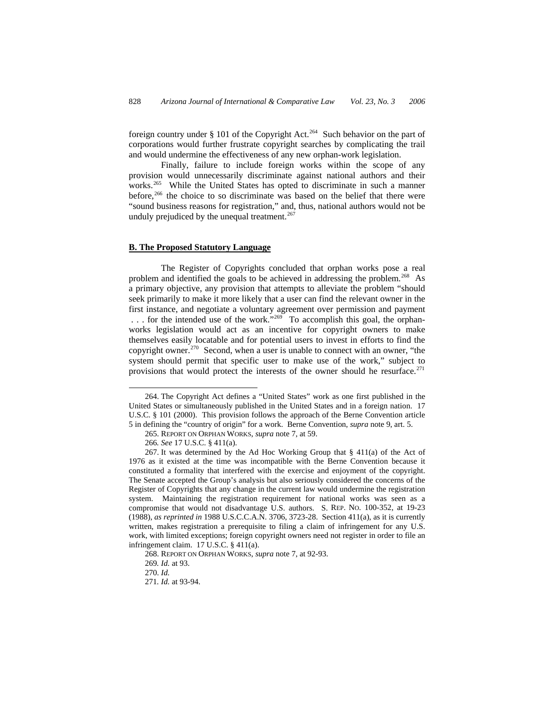foreign country under  $\S$  101 of the Copyright Act.<sup>[264](#page-41-0)</sup> Such behavior on the part of corporations would further frustrate copyright searches by complicating the trail and would undermine the effectiveness of any new orphan-work legislation.

Finally, failure to include foreign works within the scope of any provision would unnecessarily discriminate against national authors and their works.<sup>[265](#page-41-1)</sup> While the United States has opted to discriminate in such a manner before,<sup>[266](#page-41-2)</sup> the choice to so discriminate was based on the belief that there were "sound business reasons for registration," and, thus, national authors would not be unduly prejudiced by the unequal treatment.<sup>[267](#page-41-3)</sup>

## **B. The Proposed Statutory Language**

The Register of Copyrights concluded that orphan works pose a real problem and identified the goals to be achieved in addressing the problem.<sup>[268](#page-41-4)</sup> As a primary objective, any provision that attempts to alleviate the problem "should seek primarily to make it more likely that a user can find the relevant owner in the first instance, and negotiate a voluntary agreement over permission and payment ... for the intended use of the work."<sup>269</sup> To accomplish this goal, the orphanworks legislation would act as an incentive for copyright owners to make themselves easily locatable and for potential users to invest in efforts to find the copyright owner.<sup>[270](#page-41-6)</sup> Second, when a user is unable to connect with an owner, "the system should permit that specific user to make use of the work," subject to provisions that would protect the interests of the owner should he resurface.<sup>[271](#page-41-7)</sup>

-

<span id="page-41-0"></span><sup>264.</sup> The Copyright Act defines a "United States" work as one first published in the United States or simultaneously published in the United States and in a foreign nation. 17 U.S.C. § 101 (2000). This provision follows the approach of the Berne Convention article 5 in defining the "country of origin" for a work. Berne Convention, *supra* note 9, art. 5.

<sup>265.</sup> REPORT ON ORPHAN WORKS, *supra* note 7, at 59.

<sup>266</sup>*. See* 17 U.S.C. § 411(a).

<span id="page-41-3"></span><span id="page-41-2"></span><span id="page-41-1"></span><sup>267.</sup> It was determined by the Ad Hoc Working Group that § 411(a) of the Act of 1976 as it existed at the time was incompatible with the Berne Convention because it constituted a formality that interfered with the exercise and enjoyment of the copyright. The Senate accepted the Group's analysis but also seriously considered the concerns of the Register of Copyrights that any change in the current law would undermine the registration system. Maintaining the registration requirement for national works was seen as a compromise that would not disadvantage U.S. authors. S. REP. NO. 100-352, at 19-23 (1988), *as reprinted in* 1988 U.S.C.C.A.N. 3706, 3723-28. Section 411(a), as it is currently written, makes registration a prerequisite to filing a claim of infringement for any U.S. work, with limited exceptions; foreign copyright owners need not register in order to file an infringement claim. 17 U.S.C. § 411(a).

<span id="page-41-4"></span><sup>268.</sup> REPORT ON ORPHAN WORKS, *supra* note 7, at 92-93.

<span id="page-41-5"></span><sup>269</sup>*. Id.* at 93.

<sup>270.</sup> *Id.* 

<span id="page-41-7"></span><span id="page-41-6"></span><sup>271</sup>*. Id.* at 93-94.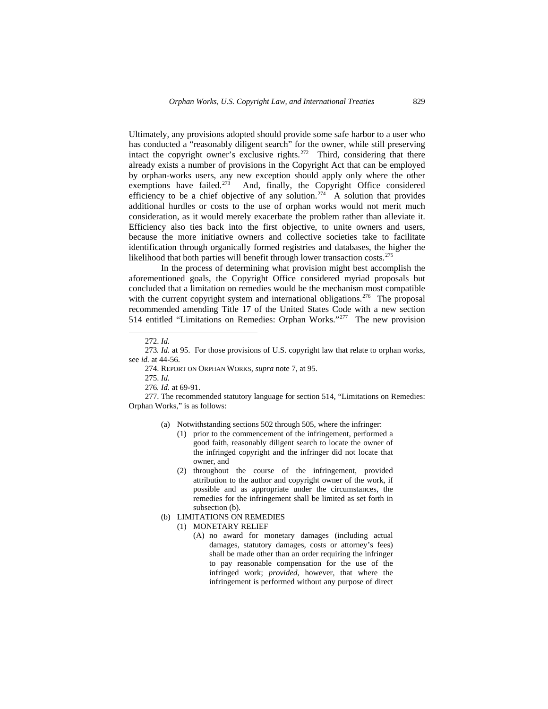Ultimately, any provisions adopted should provide some safe harbor to a user who has conducted a "reasonably diligent search" for the owner, while still preserving intact the copyright owner's exclusive rights.<sup>[272](#page-42-0)</sup> Third, considering that there already exists a number of provisions in the Copyright Act that can be employed by orphan-works users, any new exception should apply only where the other exemptions have failed. $273$  And, finally, the Copyright Office considered efficiency to be a chief objective of any solution.<sup>[274](#page-42-2)</sup> A solution that provides additional hurdles or costs to the use of orphan works would not merit much consideration, as it would merely exacerbate the problem rather than alleviate it. Efficiency also ties back into the first objective, to unite owners and users, because the more initiative owners and collective societies take to facilitate identification through organically formed registries and databases, the higher the likelihood that both parties will benefit through lower transaction costs.<sup>275</sup>

In the process of determining what provision might best accomplish the aforementioned goals, the Copyright Office considered myriad proposals but concluded that a limitation on remedies would be the mechanism most compatible with the current copyright system and international obligations.<sup>[276](#page-42-4)</sup> The proposal recommended amending Title 17 of the United States Code with a new section 514 entitled "Limitations on Remedies: Orphan Works."[277](#page-42-5) The new provision

- (a) Notwithstanding sections 502 through 505, where the infringer:
	- (1) prior to the commencement of the infringement, performed a good faith, reasonably diligent search to locate the owner of the infringed copyright and the infringer did not locate that owner, and
	- (2) throughout the course of the infringement, provided attribution to the author and copyright owner of the work, if possible and as appropriate under the circumstances, the remedies for the infringement shall be limited as set forth in subsection (b).
- (b) LIMITATIONS ON REMEDIES
	- (1) MONETARY RELIEF
		- (A) no award for monetary damages (including actual damages, statutory damages, costs or attorney's fees) shall be made other than an order requiring the infringer to pay reasonable compensation for the use of the infringed work; *provided*, however, that where the infringement is performed without any purpose of direct

<sup>272.</sup> *Id.* 

<span id="page-42-2"></span><span id="page-42-1"></span><span id="page-42-0"></span><sup>273</sup>*. Id.* at 95. For those provisions of U.S. copyright law that relate to orphan works, see *id.* at 44-56.

<sup>274.</sup> REPORT ON ORPHAN WORKS, *supra* note 7, at 95.

<sup>275.</sup> *Id.*

<sup>276</sup>*. Id.* at 69-91.

<span id="page-42-5"></span><span id="page-42-4"></span><span id="page-42-3"></span><sup>277.</sup> The recommended statutory language for section 514, "Limitations on Remedies: Orphan Works," is as follows: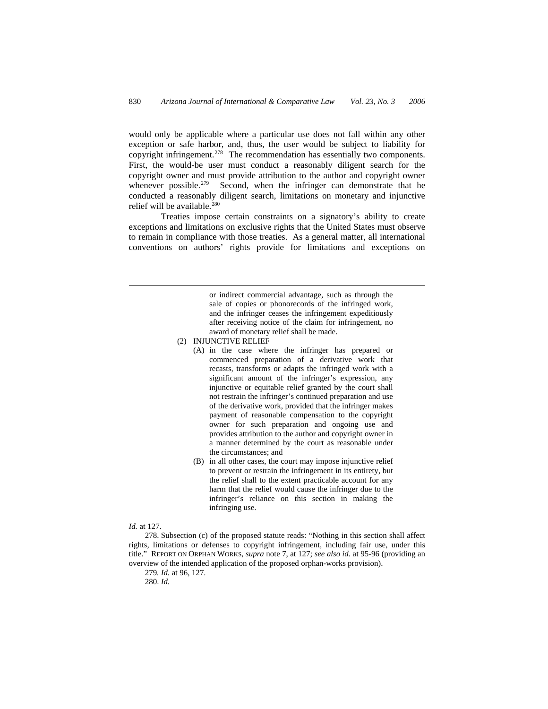would only be applicable where a particular use does not fall within any other exception or safe harbor, and, thus, the user would be subject to liability for copyright infringement.[278](#page-43-0) The recommendation has essentially two components. First, the would-be user must conduct a reasonably diligent search for the copyright owner and must provide attribution to the author and copyright owner whenever possible.<sup>[279](#page-43-1)</sup> Second, when the infringer can demonstrate that he conducted a reasonably diligent search, limitations on monetary and injunctive relief will be available.<sup>[280](#page-43-2)</sup>

Treaties impose certain constraints on a signatory's ability to create exceptions and limitations on exclusive rights that the United States must observe to remain in compliance with those treaties. As a general matter, all international conventions on authors' rights provide for limitations and exceptions on

> or indirect commercial advantage, such as through the sale of copies or phonorecords of the infringed work, and the infringer ceases the infringement expeditiously after receiving notice of the claim for infringement, no award of monetary relief shall be made.

- (2) INJUNCTIVE RELIEF
	- (A) in the case where the infringer has prepared or commenced preparation of a derivative work that recasts, transforms or adapts the infringed work with a significant amount of the infringer's expression, any injunctive or equitable relief granted by the court shall not restrain the infringer's continued preparation and use of the derivative work, provided that the infringer makes payment of reasonable compensation to the copyright owner for such preparation and ongoing use and provides attribution to the author and copyright owner in a manner determined by the court as reasonable under the circumstances; and
		- (B) in all other cases, the court may impose injunctive relief to prevent or restrain the infringement in its entirety, but the relief shall to the extent practicable account for any harm that the relief would cause the infringer due to the infringer's reliance on this section in making the infringing use.

*Id.* at 127.

 $\overline{a}$ 

<span id="page-43-2"></span><span id="page-43-1"></span><span id="page-43-0"></span>278. Subsection (c) of the proposed statute reads: "Nothing in this section shall affect rights, limitations or defenses to copyright infringement, including fair use, under this title." REPORT ON ORPHAN WORKS, *supra* note 7, at 127; *see also id.* at 95-96 (providing an overview of the intended application of the proposed orphan-works provision).

279*. Id.* at 96, 127.

280. *Id.*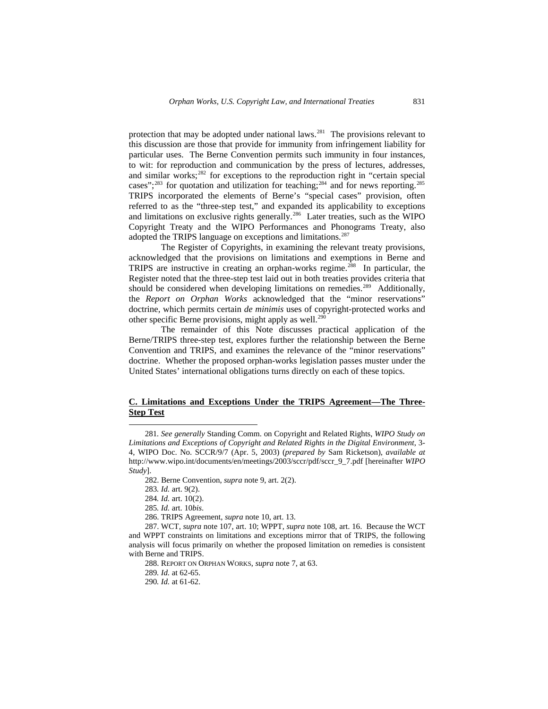protection that may be adopted under national laws.<sup>[281](#page-44-0)</sup> The provisions relevant to this discussion are those that provide for immunity from infringement liability for particular uses. The Berne Convention permits such immunity in four instances, to wit: for reproduction and communication by the press of lectures, addresses, and similar works;<sup>[282](#page-44-1)</sup> for exceptions to the reproduction right in "certain special cases";<sup>[283](#page-44-2)</sup> for quotation and utilization for teaching;<sup>[284](#page-44-3)</sup> and for news reporting.<sup>[285](#page-44-4)</sup> TRIPS incorporated the elements of Berne's "special cases" provision, often referred to as the "three-step test," and expanded its applicability to exceptions and limitations on exclusive rights generally.<sup>[286](#page-44-5)</sup> Later treaties, such as the WIPO Copyright Treaty and the WIPO Performances and Phonograms Treaty, also adopted the TRIPS language on exceptions and limitations.<sup>[287](#page-44-6)</sup>

The Register of Copyrights, in examining the relevant treaty provisions, acknowledged that the provisions on limitations and exemptions in Berne and TRIPS are instructive in creating an orphan-works regime.<sup>[288](#page-44-7)</sup> In particular, the Register noted that the three-step test laid out in both treaties provides criteria that should be considered when developing limitations on remedies.<sup>[289](#page-44-8)</sup> Additionally, the *Report on Orphan Works* acknowledged that the "minor reservations" doctrine, which permits certain *de minimis* uses of copyright-protected works and other specific Berne provisions, might apply as well.<sup>[290](#page-44-9)</sup>

The remainder of this Note discusses practical application of the Berne/TRIPS three-step test, explores further the relationship between the Berne Convention and TRIPS, and examines the relevance of the "minor reservations" doctrine. Whether the proposed orphan-works legislation passes muster under the United States' international obligations turns directly on each of these topics.

## **C. Limitations and Exceptions Under the TRIPS Agreement—The Three-Step Test**

-

288. REPORT ON ORPHAN WORKS, *supra* note 7, at 63.

<span id="page-44-1"></span><span id="page-44-0"></span><sup>281</sup>*. See generally* Standing Comm. on Copyright and Related Rights, *WIPO Study on Limitations and Exceptions of Copyright and Related Rights in the Digital Environment*, 3- 4, WIPO Doc. No. SCCR/9/7 (Apr. 5, 2003) (*prepared by* Sam Ricketson), *available at*  http://www.wipo.int/documents/en/meetings/2003/sccr/pdf/sccr\_9\_7.pdf [hereinafter *WIPO Study*].

<sup>282.</sup> Berne Convention, *supra* note 9, art. 2(2).

<sup>283</sup>*. Id.* art. 9(2).

<sup>284</sup>*. Id.* art. 10(2).

<sup>285</sup>*. Id.* art. 10*bis*.

<sup>286.</sup> TRIPS Agreement, *supra* note 10, art. 13.

<span id="page-44-9"></span><span id="page-44-8"></span><span id="page-44-7"></span><span id="page-44-6"></span><span id="page-44-5"></span><span id="page-44-4"></span><span id="page-44-3"></span><span id="page-44-2"></span><sup>287.</sup> WCT, *supra* note 107, art. 10; WPPT, *supra* note 108, art. 16. Because the WCT and WPPT constraints on limitations and exceptions mirror that of TRIPS, the following analysis will focus primarily on whether the proposed limitation on remedies is consistent with Berne and TRIPS.

<sup>289</sup>*. Id.* at 62-65.

<sup>290</sup>*. Id.* at 61-62.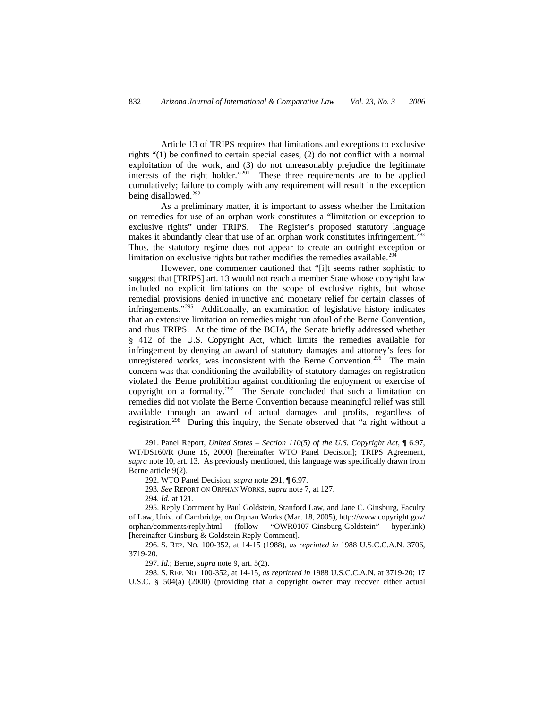Article 13 of TRIPS requires that limitations and exceptions to exclusive rights "(1) be confined to certain special cases, (2) do not conflict with a normal exploitation of the work, and (3) do not unreasonably prejudice the legitimate interests of the right holder."<sup>[291](#page-45-0)</sup> These three requirements are to be applied cumulatively; failure to comply with any requirement will result in the exception being disallowed.<sup>[292](#page-45-1)</sup>

As a preliminary matter, it is important to assess whether the limitation on remedies for use of an orphan work constitutes a "limitation or exception to exclusive rights" under TRIPS. The Register's proposed statutory language makes it abundantly clear that use of an orphan work constitutes infringement.<sup>[293](#page-45-2)</sup> Thus, the statutory regime does not appear to create an outright exception or limitation on exclusive rights but rather modifies the remedies available.<sup>[294](#page-45-3)</sup>

However, one commenter cautioned that "[i]t seems rather sophistic to suggest that [TRIPS] art. 13 would not reach a member State whose copyright law included no explicit limitations on the scope of exclusive rights, but whose remedial provisions denied injunctive and monetary relief for certain classes of infringements."[295](#page-45-4) Additionally, an examination of legislative history indicates that an extensive limitation on remedies might run afoul of the Berne Convention, and thus TRIPS. At the time of the BCIA, the Senate briefly addressed whether § 412 of the U.S. Copyright Act, which limits the remedies available for infringement by denying an award of statutory damages and attorney's fees for unregistered works, was inconsistent with the Berne Convention.<sup>[296](#page-45-5)</sup> The main concern was that conditioning the availability of statutory damages on registration violated the Berne prohibition against conditioning the enjoyment or exercise of copyright on a formality.<sup>[297](#page-45-6)</sup> The Senate concluded that such a limitation on remedies did not violate the Berne Convention because meaningful relief was still available through an award of actual damages and profits, regardless of registration.[298](#page-45-7) During this inquiry, the Senate observed that "a right without a

<span id="page-45-0"></span><sup>291.</sup> Panel Report, *United States – Section 110(5) of the U.S. Copyright Act*, ¶ 6.97, WT/DS160/R (June 15, 2000) [hereinafter WTO Panel Decision]; TRIPS Agreement, *supra* note 10, art. 13. As previously mentioned, this language was specifically drawn from Berne article 9(2).

<sup>292.</sup> WTO Panel Decision, *supra* note 291, ¶ 6.97.

<sup>293</sup>*. See* REPORT ON ORPHAN WORKS, *supra* note 7, at 127.

<sup>294</sup>*. Id.* at 121.

<span id="page-45-4"></span><span id="page-45-3"></span><span id="page-45-2"></span><span id="page-45-1"></span><sup>295.</sup> Reply Comment by Paul Goldstein, Stanford Law, and Jane C. Ginsburg, Faculty of Law, Univ. of Cambridge, on Orphan Works (Mar. 18, 2005), http://www.copyright.gov/ orphan/comments/reply.html (follow "OWR0107-Ginsburg-Goldstein" hyperlink) [hereinafter Ginsburg & Goldstein Reply Comment].

<span id="page-45-5"></span><sup>296.</sup> S. REP. NO. 100-352, at 14-15 (1988), *as reprinted in* 1988 U.S.C.C.A.N. 3706, 3719-20.

<sup>297.</sup> *Id.*; Berne, *supra* note 9, art. 5(2).

<span id="page-45-7"></span><span id="page-45-6"></span><sup>298.</sup> S. REP. NO. 100-352, at 14-15, *as reprinted in* 1988 U.S.C.C.A.N. at 3719-20; 17 U.S.C. § 504(a) (2000) (providing that a copyright owner may recover either actual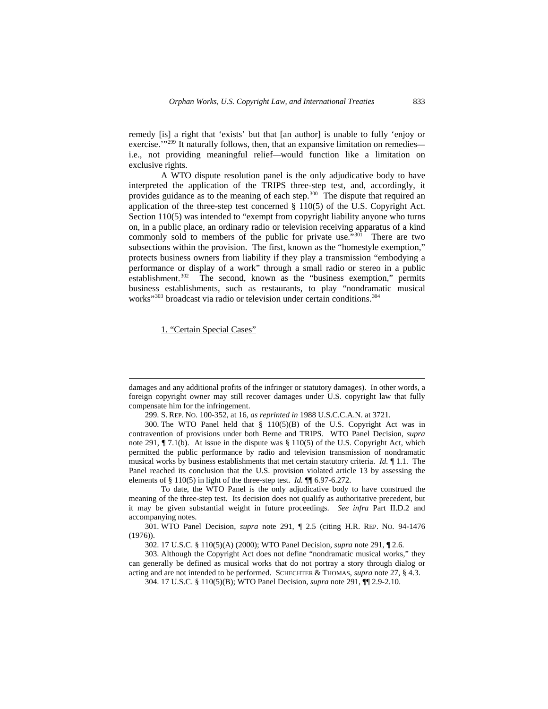remedy [is] a right that 'exists' but that [an author] is unable to fully 'enjoy or exercise."<sup>[299](#page-46-0)</sup> It naturally follows, then, that an expansive limitation on remedies i.e., not providing meaningful relief—would function like a limitation on exclusive rights.

A WTO dispute resolution panel is the only adjudicative body to have interpreted the application of the TRIPS three-step test, and, accordingly, it provides guidance as to the meaning of each step.<sup>[300](#page-46-1)</sup> The dispute that required an application of the three-step test concerned § 110(5) of the U.S. Copyright Act. Section 110(5) was intended to "exempt from copyright liability anyone who turns on, in a public place, an ordinary radio or television receiving apparatus of a kind commonly sold to members of the public for private use."<sup>[301](#page-46-2)</sup> There are two subsections within the provision. The first, known as the "homestyle exemption," protects business owners from liability if they play a transmission "embodying a performance or display of a work" through a small radio or stereo in a public establishment.<sup>[302](#page-46-3)</sup> The second, known as the "business exemption," permits business establishments, such as restaurants, to play "nondramatic musical works"<sup>[303](#page-46-4)</sup> broadcast via radio or television under certain conditions.<sup>[304](#page-46-5)</sup>

1. "Certain Special Cases"

damages and any additional profits of the infringer or statutory damages). In other words, a foreign copyright owner may still recover damages under U.S. copyright law that fully compensate him for the infringement.

<sup>299.</sup> S. REP. NO. 100-352, at 16, *as reprinted in* 1988 U.S.C.C.A.N. at 3721.

<span id="page-46-1"></span><span id="page-46-0"></span><sup>300.</sup> The WTO Panel held that § 110(5)(B) of the U.S. Copyright Act was in contravention of provisions under both Berne and TRIPS. WTO Panel Decision, *supra*  note 291,  $\P$  7.1(b). At issue in the dispute was § 110(5) of the U.S. Copyright Act, which permitted the public performance by radio and television transmission of nondramatic musical works by business establishments that met certain statutory criteria. *Id.* ¶ 1.1. The Panel reached its conclusion that the U.S. provision violated article 13 by assessing the elements of § 110(5) in light of the three-step test. *Id.* ¶¶ 6.97-6.272.

To date, the WTO Panel is the only adjudicative body to have construed the meaning of the three-step test. Its decision does not qualify as authoritative precedent, but it may be given substantial weight in future proceedings. *See infra* Part II.D.2 and accompanying notes.

<span id="page-46-2"></span><sup>301.</sup> WTO Panel Decision, *supra* note 291, ¶ 2.5 (citing H.R. REP. NO. 94-1476 (1976)).

<sup>302. 17</sup> U.S.C. § 110(5)(A) (2000); WTO Panel Decision, *supra* note 291, ¶ 2.6.

<span id="page-46-5"></span><span id="page-46-4"></span><span id="page-46-3"></span><sup>303.</sup> Although the Copyright Act does not define "nondramatic musical works," they can generally be defined as musical works that do not portray a story through dialog or acting and are not intended to be performed. SCHECHTER & THOMAS, *supra* note 27, § 4.3.

<sup>304. 17</sup> U.S.C. § 110(5)(B); WTO Panel Decision, *supra* note 291, ¶¶ 2.9-2.10.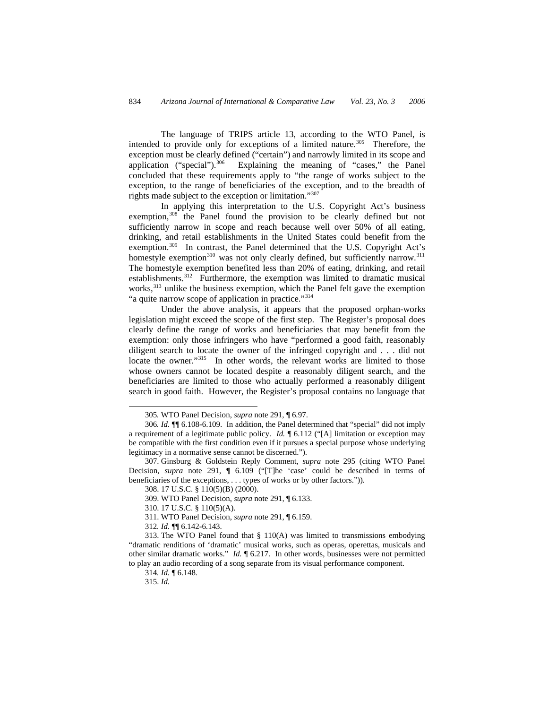The language of TRIPS article 13, according to the WTO Panel, is intended to provide only for exceptions of a limited nature.<sup>[305](#page-47-0)</sup> Therefore, the exception must be clearly defined ("certain") and narrowly limited in its scope and application ("special").<sup>[306](#page-47-1)</sup> Explaining the meaning of "cases," the Panel concluded that these requirements apply to "the range of works subject to the exception, to the range of beneficiaries of the exception, and to the breadth of rights made subject to the exception or limitation."[307](#page-47-2)

In applying this interpretation to the U.S. Copyright Act's business exemption,<sup>[308](#page-47-3)</sup> the Panel found the provision to be clearly defined but not sufficiently narrow in scope and reach because well over 50% of all eating, drinking, and retail establishments in the United States could benefit from the exemption.<sup>[309](#page-47-4)</sup> In contrast, the Panel determined that the U.S. Copyright Act's homestyle exemption<sup>310</sup> was not only clearly defined, but sufficiently narrow.<sup>[311](#page-47-6)</sup> The homestyle exemption benefited less than 20% of eating, drinking, and retail establishments.<sup>[312](#page-47-7)</sup> Furthermore, the exemption was limited to dramatic musical works,<sup>[313](#page-47-8)</sup> unlike the business exemption, which the Panel felt gave the exemption "a quite narrow scope of application in practice."<sup>[314](#page-47-9)</sup>

Under the above analysis, it appears that the proposed orphan-works legislation might exceed the scope of the first step. The Register's proposal does clearly define the range of works and beneficiaries that may benefit from the exemption: only those infringers who have "performed a good faith, reasonably diligent search to locate the owner of the infringed copyright and . . . did not locate the owner."<sup>[315](#page-47-10)</sup> In other words, the relevant works are limited to those whose owners cannot be located despite a reasonably diligent search, and the beneficiaries are limited to those who actually performed a reasonably diligent search in good faith. However, the Register's proposal contains no language that

<sup>305</sup>*.* WTO Panel Decision, *supra* note 291, ¶ 6.97.

<span id="page-47-1"></span><span id="page-47-0"></span><sup>306</sup>*. Id.* ¶¶ 6.108-6.109. In addition, the Panel determined that "special" did not imply a requirement of a legitimate public policy. *Id.* ¶ 6.112 ("[A] limitation or exception may be compatible with the first condition even if it pursues a special purpose whose underlying legitimacy in a normative sense cannot be discerned.").

<span id="page-47-3"></span><span id="page-47-2"></span><sup>307.</sup> Ginsburg & Goldstein Reply Comment, *supra* note 295 (citing WTO Panel Decision, *supra* note 291, ¶ 6.109 ("[T]he 'case' could be described in terms of beneficiaries of the exceptions, . . . types of works or by other factors.")).

<sup>308. 17</sup> U.S.C. § 110(5)(B) (2000).

<sup>309.</sup> WTO Panel Decision, *supra* note 291, ¶ 6.133.

<sup>310. 17</sup> U.S.C. § 110(5)(A).

<sup>311.</sup> WTO Panel Decision, *supra* note 291, ¶ 6.159.

<sup>312</sup>*. Id.* ¶¶ 6.142-6.143.

<span id="page-47-10"></span><span id="page-47-9"></span><span id="page-47-8"></span><span id="page-47-7"></span><span id="page-47-6"></span><span id="page-47-5"></span><span id="page-47-4"></span><sup>313.</sup> The WTO Panel found that § 110(A) was limited to transmissions embodying "dramatic renditions of 'dramatic' musical works, such as operas, operettas, musicals and other similar dramatic works." *Id.* ¶ 6.217. In other words, businesses were not permitted to play an audio recording of a song separate from its visual performance component.

<sup>314</sup>*. Id.* ¶ 6.148.

<sup>315.</sup> *Id.*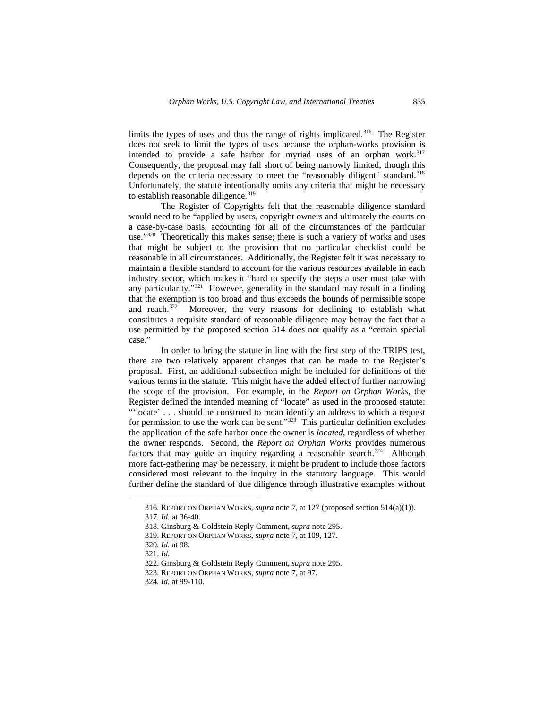limits the types of uses and thus the range of rights implicated.<sup>[316](#page-48-0)</sup> The Register does not seek to limit the types of uses because the orphan-works provision is intended to provide a safe harbor for myriad uses of an orphan work.<sup>[317](#page-48-1)</sup> Consequently, the proposal may fall short of being narrowly limited, though this depends on the criteria necessary to meet the "reasonably diligent" standard.<sup>[318](#page-48-2)</sup> Unfortunately, the statute intentionally omits any criteria that might be necessary to establish reasonable diligence.<sup>[319](#page-48-3)</sup>

The Register of Copyrights felt that the reasonable diligence standard would need to be "applied by users, copyright owners and ultimately the courts on a case-by-case basis, accounting for all of the circumstances of the particular use."<sup>[320](#page-48-4)</sup> Theoretically this makes sense; there is such a variety of works and uses that might be subject to the provision that no particular checklist could be reasonable in all circumstances. Additionally, the Register felt it was necessary to maintain a flexible standard to account for the various resources available in each industry sector, which makes it "hard to specify the steps a user must take with any particularity."[321](#page-48-5) However, generality in the standard may result in a finding that the exemption is too broad and thus exceeds the bounds of permissible scope and reach.<sup>322</sup> Moreover, the very reasons for declining to establish what constitutes a requisite standard of reasonable diligence may betray the fact that a use permitted by the proposed section 514 does not qualify as a "certain special case."

In order to bring the statute in line with the first step of the TRIPS test, there are two relatively apparent changes that can be made to the Register's proposal. First, an additional subsection might be included for definitions of the various terms in the statute. This might have the added effect of further narrowing the scope of the provision. For example, in the *Report on Orphan Works*, the Register defined the intended meaning of "locate" as used in the proposed statute: "'locate' . . . should be construed to mean identify an address to which a request for permission to use the work can be sent."[323](#page-48-7) This particular definition excludes the application of the safe harbor once the owner is *located*, regardless of whether the owner responds. Second, the *Report on Orphan Works* provides numerous factors that may guide an inquiry regarding a reasonable search. $324$  Although more fact-gathering may be necessary, it might be prudent to include those factors considered most relevant to the inquiry in the statutory language. This would further define the standard of due diligence through illustrative examples without

<span id="page-48-0"></span><sup>316.</sup> REPORT ON ORPHAN WORKS, *supra* note 7, at 127 (proposed section 514(a)(1)).

<span id="page-48-1"></span><sup>317</sup>*. Id.* at 36-40.

<span id="page-48-2"></span><sup>318.</sup> Ginsburg & Goldstein Reply Comment, *supra* note 295.

<sup>319.</sup> REPORT ON ORPHAN WORKS, *supra* note 7, at 109, 127.

<span id="page-48-4"></span><span id="page-48-3"></span><sup>320</sup>*. Id.* at 98.

<span id="page-48-6"></span><span id="page-48-5"></span><sup>321.</sup> *Id.* 

<sup>322.</sup> Ginsburg & Goldstein Reply Comment, *supra* note 295.

<sup>323.</sup> REPORT ON ORPHAN WORKS, *supra* note 7, at 97.

<span id="page-48-8"></span><span id="page-48-7"></span><sup>324</sup>*. Id.* at 99-110.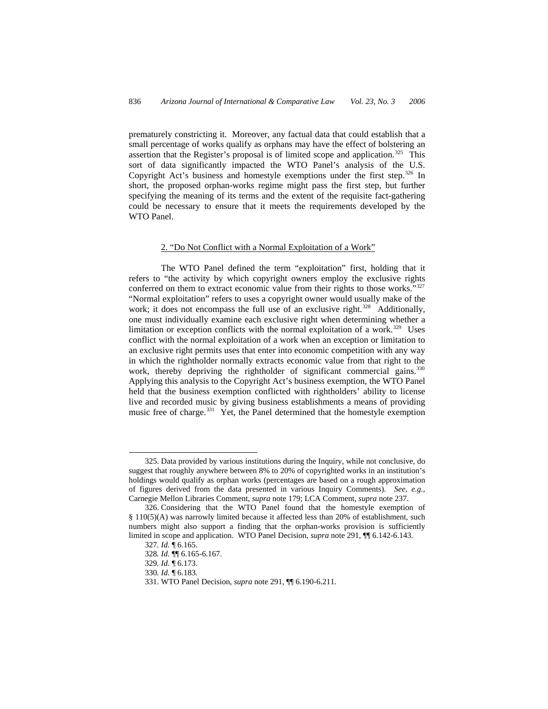prematurely constricting it. Moreover, any factual data that could establish that a small percentage of works qualify as orphans may have the effect of bolstering an assertion that the Register's proposal is of limited scope and application.<sup>325</sup> This sort of data significantly impacted the WTO Panel's analysis of the U.S. Copyright Act's business and homestyle exemptions under the first step.<sup>[326](#page-49-1)</sup> In short, the proposed orphan-works regime might pass the first step, but further specifying the meaning of its terms and the extent of the requisite fact-gathering could be necessary to ensure that it meets the requirements developed by the WTO Panel.

## 2. "Do Not Conflict with a Normal Exploitation of a Work"

The WTO Panel defined the term "exploitation" first, holding that it refers to "the activity by which copyright owners employ the exclusive rights conferred on them to extract economic value from their rights to those works."[327](#page-49-2) "Normal exploitation" refers to uses a copyright owner would usually make of the work; it does not encompass the full use of an exclusive right.<sup>[328](#page-49-3)</sup> Additionally, one must individually examine each exclusive right when determining whether a limitation or exception conflicts with the normal exploitation of a work.<sup>[329](#page-49-4)</sup> Uses conflict with the normal exploitation of a work when an exception or limitation to an exclusive right permits uses that enter into economic competition with any way in which the rightholder normally extracts economic value from that right to the work, thereby depriving the rightholder of significant commercial gains.<sup>[330](#page-49-5)</sup> Applying this analysis to the Copyright Act's business exemption, the WTO Panel held that the business exemption conflicted with rightholders' ability to license live and recorded music by giving business establishments a means of providing music free of charge.<sup>[331](#page-49-6)</sup> Yet, the Panel determined that the homestyle exemption

1

<span id="page-49-0"></span><sup>325.</sup> Data provided by various institutions during the Inquiry, while not conclusive, do suggest that roughly anywhere between 8% to 20% of copyrighted works in an institution's holdings would qualify as orphan works (percentages are based on a rough approximation of figures derived from the data presented in various Inquiry Comments). *See, e.g.*, Carnegie Mellon Libraries Comment, *supra* note 179; LCA Comment, *supra* note 237.

<span id="page-49-5"></span><span id="page-49-4"></span><span id="page-49-3"></span><span id="page-49-2"></span><span id="page-49-1"></span><sup>326.</sup> Considering that the WTO Panel found that the homestyle exemption of § 110(5)(A) was narrowly limited because it affected less than 20% of establishment, such numbers might also support a finding that the orphan-works provision is sufficiently limited in scope and application. WTO Panel Decision, *supra* note 291, ¶¶ 6.142-6.143.

<sup>327</sup>*. Id.* ¶ 6.165.

<sup>328</sup>*. Id.* ¶¶ 6.165-6.167.

<sup>329</sup>*. Id.* ¶ 6.173.

<span id="page-49-6"></span><sup>330</sup>*. Id.* ¶ 6.183.

<sup>331.</sup> WTO Panel Decision, *supra* note 291, ¶¶ 6.190-6.211.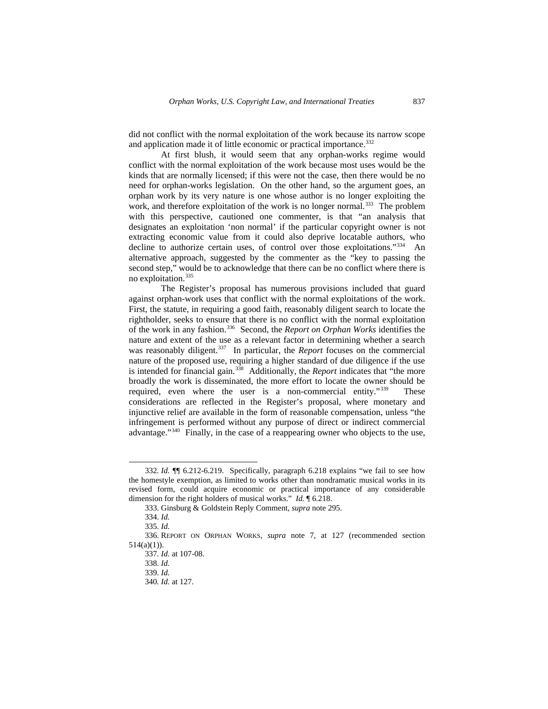did not conflict with the normal exploitation of the work because its narrow scope and application made it of little economic or practical importance.<sup>[332](#page-50-0)</sup>

At first blush, it would seem that any orphan-works regime would conflict with the normal exploitation of the work because most uses would be the kinds that are normally licensed; if this were not the case, then there would be no need for orphan-works legislation. On the other hand, so the argument goes, an orphan work by its very nature is one whose author is no longer exploiting the work, and therefore exploitation of the work is no longer normal.<sup>[333](#page-50-1)</sup> The problem with this perspective, cautioned one commenter, is that "an analysis that designates an exploitation 'non normal' if the particular copyright owner is not extracting economic value from it could also deprive locatable authors, who decline to authorize certain uses, of control over those exploitations."<sup>[334](#page-50-2)</sup> An alternative approach, suggested by the commenter as the "key to passing the second step," would be to acknowledge that there can be no conflict where there is no exploitation.[335](#page-50-3)

The Register's proposal has numerous provisions included that guard against orphan-work uses that conflict with the normal exploitations of the work. First, the statute, in requiring a good faith, reasonably diligent search to locate the rightholder, seeks to ensure that there is no conflict with the normal exploitation of the work in any fashion.[336](#page-50-4) Second, the *Report on Orphan Works* identifies the nature and extent of the use as a relevant factor in determining whether a search was reasonably diligent.<sup>[337](#page-50-5)</sup> In particular, the *Report* focuses on the commercial nature of the proposed use, requiring a higher standard of due diligence if the use is intended for financial gain.[338](#page-50-6) Additionally, the *Report* indicates that "the more broadly the work is disseminated, the more effort to locate the owner should be required, even where the user is a non-commercial entity."<sup>[339](#page-50-7)</sup> These considerations are reflected in the Register's proposal, where monetary and injunctive relief are available in the form of reasonable compensation, unless "the infringement is performed without any purpose of direct or indirect commercial advantage."[340](#page-50-8) Finally, in the case of a reappearing owner who objects to the use,

<span id="page-50-0"></span><sup>332</sup>*. Id.* ¶¶ 6.212-6.219. Specifically, paragraph 6.218 explains "we fail to see how the homestyle exemption, as limited to works other than nondramatic musical works in its revised form, could acquire economic or practical importance of any considerable dimension for the right holders of musical works." *Id.* ¶ 6.218.

<sup>333.</sup> Ginsburg & Goldstein Reply Comment, *supra* note 295.

<sup>334.</sup> *Id.*

<sup>335.</sup> *Id.* 

<span id="page-50-8"></span><span id="page-50-7"></span><span id="page-50-6"></span><span id="page-50-5"></span><span id="page-50-4"></span><span id="page-50-3"></span><span id="page-50-2"></span><span id="page-50-1"></span><sup>336.</sup> REPORT ON ORPHAN WORKS, *supra* note 7, at 127 (recommended section  $514(a)(1)$ ).

<sup>337</sup>*. Id.* at 107-08.

<sup>338.</sup> *Id.* 

<sup>339.</sup> *Id.*

<sup>340</sup>*. Id.* at 127.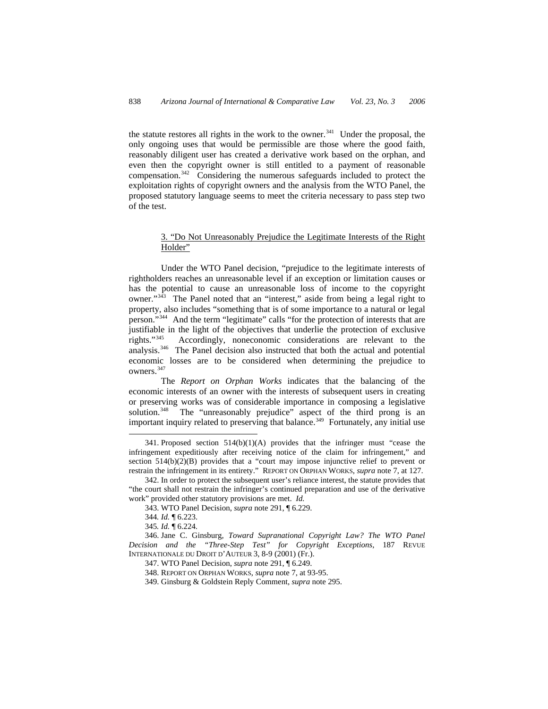the statute restores all rights in the work to the owner.<sup>341</sup> Under the proposal, the only ongoing uses that would be permissible are those where the good faith, reasonably diligent user has created a derivative work based on the orphan, and even then the copyright owner is still entitled to a payment of reasonable compensation.[342](#page-51-1) Considering the numerous safeguards included to protect the exploitation rights of copyright owners and the analysis from the WTO Panel, the proposed statutory language seems to meet the criteria necessary to pass step two of the test.

## 3. "Do Not Unreasonably Prejudice the Legitimate Interests of the Right Holder"

Under the WTO Panel decision, "prejudice to the legitimate interests of rightholders reaches an unreasonable level if an exception or limitation causes or has the potential to cause an unreasonable loss of income to the copyright owner."<sup>[343](#page-51-2)</sup> The Panel noted that an "interest," aside from being a legal right to property, also includes "something that is of some importance to a natural or legal person."[344](#page-51-3) And the term "legitimate" calls "for the protection of interests that are justifiable in the light of the objectives that underlie the protection of exclusive rights."[345](#page-51-4) Accordingly, noneconomic considerations are relevant to the analysis.[346](#page-51-5) The Panel decision also instructed that both the actual and potential economic losses are to be considered when determining the prejudice to owners.<sup>[347](#page-51-6)</sup>

The *Report on Orphan Works* indicates that the balancing of the economic interests of an owner with the interests of subsequent users in creating or preserving works was of considerable importance in composing a legislative solution.<sup>[348](#page-51-7)</sup> The "unreasonably prejudice" aspect of the third prong is an important inquiry related to preserving that balance.<sup>[349](#page-51-8)</sup> Fortunately, any initial use

1

<span id="page-51-0"></span><sup>341.</sup> Proposed section 514(b)(1)(A) provides that the infringer must "cease the infringement expeditiously after receiving notice of the claim for infringement," and section  $514(b)(2)(B)$  provides that a "court may impose injunctive relief to prevent or restrain the infringement in its entirety." REPORT ON ORPHAN WORKS, *supra* note 7, at 127.

<span id="page-51-2"></span><span id="page-51-1"></span><sup>342.</sup> In order to protect the subsequent user's reliance interest, the statute provides that "the court shall not restrain the infringer's continued preparation and use of the derivative work" provided other statutory provisions are met. *Id.* 

<sup>343.</sup> WTO Panel Decision, *supra* note 291, ¶ 6.229.

<sup>344</sup>*. Id.* ¶ 6.223.

<sup>345</sup>*. Id.* ¶ 6.224.

<span id="page-51-8"></span><span id="page-51-7"></span><span id="page-51-6"></span><span id="page-51-5"></span><span id="page-51-4"></span><span id="page-51-3"></span><sup>346.</sup> Jane C. Ginsburg, *Toward Supranational Copyright Law? The WTO Panel Decision and the "Three-Step Test" for Copyright Exceptions*, 187 REVUE INTERNATIONALE DU DROIT D'AUTEUR 3, 8-9 (2001) (Fr.).

<sup>347.</sup> WTO Panel Decision, *supra* note 291, ¶ 6.249.

<sup>348.</sup> REPORT ON ORPHAN WORKS, *supra* note 7, at 93-95.

<sup>349.</sup> Ginsburg & Goldstein Reply Comment, *supra* note 295.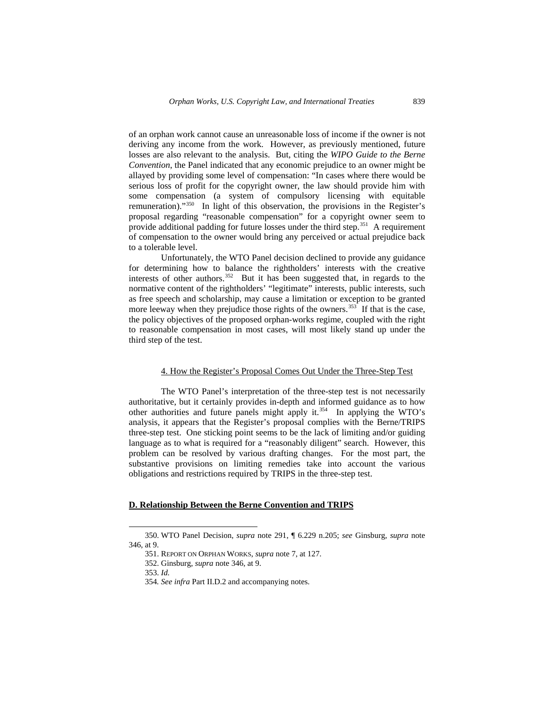of an orphan work cannot cause an unreasonable loss of income if the owner is not deriving any income from the work. However, as previously mentioned, future losses are also relevant to the analysis. But, citing the *WIPO Guide to the Berne Convention*, the Panel indicated that any economic prejudice to an owner might be allayed by providing some level of compensation: "In cases where there would be serious loss of profit for the copyright owner, the law should provide him with some compensation (a system of compulsory licensing with equitable remuneration)."[350](#page-52-0) In light of this observation, the provisions in the Register's proposal regarding "reasonable compensation" for a copyright owner seem to provide additional padding for future losses under the third step.<sup>[351](#page-52-1)</sup> A requirement of compensation to the owner would bring any perceived or actual prejudice back to a tolerable level.

Unfortunately, the WTO Panel decision declined to provide any guidance for determining how to balance the rightholders' interests with the creative interests of other authors.<sup>[352](#page-52-2)</sup> But it has been suggested that, in regards to the normative content of the rightholders' "legitimate" interests, public interests, such as free speech and scholarship, may cause a limitation or exception to be granted more leeway when they prejudice those rights of the owners.<sup>[353](#page-52-3)</sup> If that is the case, the policy objectives of the proposed orphan-works regime, coupled with the right to reasonable compensation in most cases, will most likely stand up under the third step of the test.

## 4. How the Register's Proposal Comes Out Under the Three-Step Test

The WTO Panel's interpretation of the three-step test is not necessarily authoritative, but it certainly provides in-depth and informed guidance as to how other authorities and future panels might apply it.[354](#page-52-4) In applying the WTO's analysis, it appears that the Register's proposal complies with the Berne/TRIPS three-step test. One sticking point seems to be the lack of limiting and/or guiding language as to what is required for a "reasonably diligent" search. However, this problem can be resolved by various drafting changes. For the most part, the substantive provisions on limiting remedies take into account the various obligations and restrictions required by TRIPS in the three-step test.

# **D. Relationship Between the Berne Convention and TRIPS**

<span id="page-52-4"></span><span id="page-52-3"></span><span id="page-52-2"></span><span id="page-52-1"></span><span id="page-52-0"></span><sup>350.</sup> WTO Panel Decision, *supra* note 291, ¶ 6.229 n.205; *see* Ginsburg, *supra* note 346, at 9.

<sup>351.</sup> REPORT ON ORPHAN WORKS, *supra* note 7, at 127.

<sup>352.</sup> Ginsburg, *supra* note 346, at 9.

<sup>353.</sup> *Id.*

<sup>354</sup>*. See infra* Part II.D.2 and accompanying notes.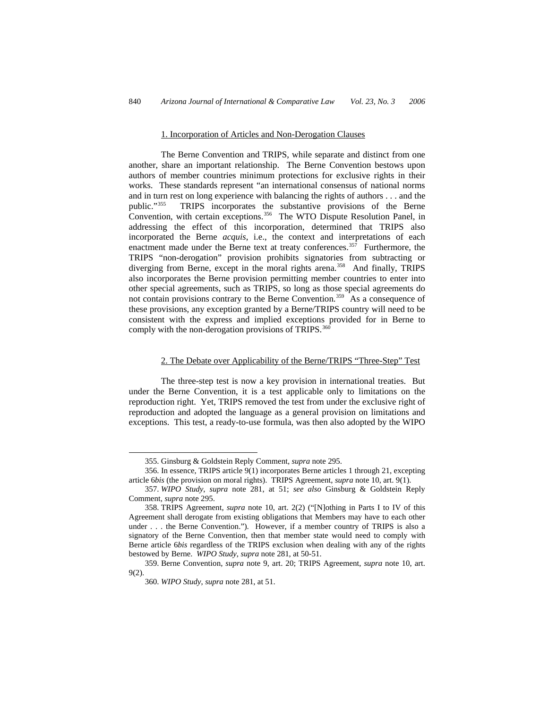#### 1. Incorporation of Articles and Non-Derogation Clauses

The Berne Convention and TRIPS, while separate and distinct from one another, share an important relationship. The Berne Convention bestows upon authors of member countries minimum protections for exclusive rights in their works. These standards represent "an international consensus of national norms and in turn rest on long experience with balancing the rights of authors . . . and the public."[355](#page-53-0) TRIPS incorporates the substantive provisions of the Berne Convention, with certain exceptions.<sup>[356](#page-53-1)</sup> The WTO Dispute Resolution Panel, in addressing the effect of this incorporation, determined that TRIPS also incorporated the Berne *acquis*, i.e., the context and interpretations of each enactment made under the Berne text at treaty conferences.<sup>[357](#page-53-2)</sup> Furthermore, the TRIPS "non-derogation" provision prohibits signatories from subtracting or diverging from Berne, except in the moral rights arena.<sup>[358](#page-53-3)</sup> And finally, TRIPS also incorporates the Berne provision permitting member countries to enter into other special agreements, such as TRIPS, so long as those special agreements do not contain provisions contrary to the Berne Convention.<sup>[359](#page-53-4)</sup> As a consequence of these provisions, any exception granted by a Berne/TRIPS country will need to be consistent with the express and implied exceptions provided for in Berne to comply with the non-derogation provisions of TRIPS.<sup>[360](#page-53-5)</sup>

## 2. The Debate over Applicability of the Berne/TRIPS "Three-Step" Test

The three-step test is now a key provision in international treaties. But under the Berne Convention, it is a test applicable only to limitations on the reproduction right. Yet, TRIPS removed the test from under the exclusive right of reproduction and adopted the language as a general provision on limitations and exceptions. This test, a ready-to-use formula, was then also adopted by the WIPO

1

<sup>355.</sup> Ginsburg & Goldstein Reply Comment, *supra* note 295.

<span id="page-53-1"></span><span id="page-53-0"></span><sup>356.</sup> In essence, TRIPS article 9(1) incorporates Berne articles 1 through 21, excepting article 6*bis* (the provision on moral rights). TRIPS Agreement, *supra* note 10, art. 9(1).

<span id="page-53-2"></span><sup>357.</sup> *WIPO Study*, *supra* note 281, at 51; *see also* Ginsburg & Goldstein Reply Comment, *supra* note 295.

<span id="page-53-3"></span><sup>358.</sup> TRIPS Agreement, *supra* note 10, art. 2(2) ("[N]othing in Parts I to IV of this Agreement shall derogate from existing obligations that Members may have to each other under . . . the Berne Convention."). However, if a member country of TRIPS is also a signatory of the Berne Convention, then that member state would need to comply with Berne article 6*bis* regardless of the TRIPS exclusion when dealing with any of the rights bestowed by Berne. *WIPO Study*, *supra* note 281, at 50-51.

<span id="page-53-5"></span><span id="page-53-4"></span><sup>359.</sup> Berne Convention, *supra* note 9, art. 20; TRIPS Agreement, *supra* note 10, art. 9(2).

<sup>360.</sup> *WIPO Study*, *supra* note 281, at 51.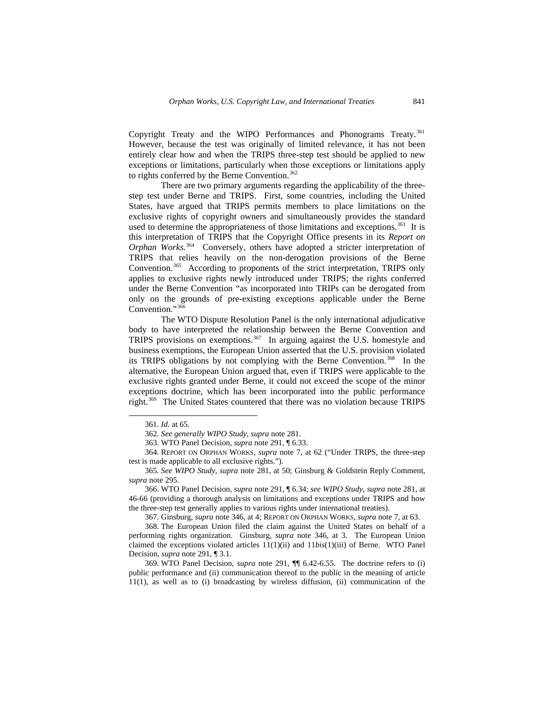Copyright Treaty and the WIPO Performances and Phonograms Treaty.<sup>[361](#page-54-0)</sup> However, because the test was originally of limited relevance, it has not been entirely clear how and when the TRIPS three-step test should be applied to new exceptions or limitations, particularly when those exceptions or limitations apply to rights conferred by the Berne Convention.<sup>[362](#page-54-1)</sup>

There are two primary arguments regarding the applicability of the threestep test under Berne and TRIPS. First, some countries, including the United States, have argued that TRIPS permits members to place limitations on the exclusive rights of copyright owners and simultaneously provides the standard used to determine the appropriateness of those limitations and exceptions.<sup>[363](#page-54-2)</sup> It is this interpretation of TRIPS that the Copyright Office presents in its *Report on Orphan Works*. [364](#page-54-3) Conversely, others have adopted a stricter interpretation of TRIPS that relies heavily on the non-derogation provisions of the Berne Convention.<sup>[365](#page-54-4)</sup> According to proponents of the strict interpretation, TRIPS only applies to exclusive rights newly introduced under TRIPS; the rights conferred under the Berne Convention "as incorporated into TRIPs can be derogated from only on the grounds of pre-existing exceptions applicable under the Berne Convention."[366](#page-54-5)

The WTO Dispute Resolution Panel is the only international adjudicative body to have interpreted the relationship between the Berne Convention and TRIPS provisions on exemptions.[367](#page-54-6) In arguing against the U.S. homestyle and business exemptions, the European Union asserted that the U.S. provision violated its TRIPS obligations by not complying with the Berne Convention.<sup>[368](#page-54-7)</sup> In the alternative, the European Union argued that, even if TRIPS were applicable to the exclusive rights granted under Berne, it could not exceed the scope of the minor exceptions doctrine, which has been incorporated into the public performance right.[369](#page-54-8) The United States countered that there was no violation because TRIPS

<span id="page-54-0"></span> $\overline{a}$ 

<span id="page-54-5"></span>366. WTO Panel Decision, *supra* note 291, ¶ 6.34; *see WIPO Study*, *supra* note 281, at 46-66 (providing a thorough analysis on limitations and exceptions under TRIPS and how the three-step test generally applies to various rights under international treaties).

367. Ginsburg, *supra* note 346, at 4; REPORT ON ORPHAN WORKS, *supra* note 7, at 63.

<span id="page-54-7"></span><span id="page-54-6"></span>368. The European Union filed the claim against the United States on behalf of a performing rights organization. Ginsburg, *supra* note 346, at 3. The European Union claimed the exceptions violated articles 11(1)(ii) and 11*bis*(1)(iii) of Berne. WTO Panel Decision, *supra* note 291, ¶ 3.1.

<span id="page-54-8"></span>369. WTO Panel Decision, *supra* note 291, ¶¶ 6.42-6.55. The doctrine refers to (i) public performance and (ii) communication thereof to the public in the meaning of article 11(1), as well as to (i) broadcasting by wireless diffusion, (ii) communication of the

<sup>361</sup>*. Id.* at 65.

<sup>362</sup>*. See generally WIPO Study*, *supra* note 281.

<sup>363.</sup> WTO Panel Decision, *supra* note 291, ¶ 6.33.

<span id="page-54-3"></span><span id="page-54-2"></span><span id="page-54-1"></span><sup>364.</sup> REPORT ON ORPHAN WORKS, *supra* note 7, at 62 ("Under TRIPS, the three-step test is made applicable to all exclusive rights.").

<span id="page-54-4"></span><sup>365</sup>*. See WIPO Study*, *supra* note 281, at 50; Ginsburg & Goldstein Reply Comment, *supra* note 295.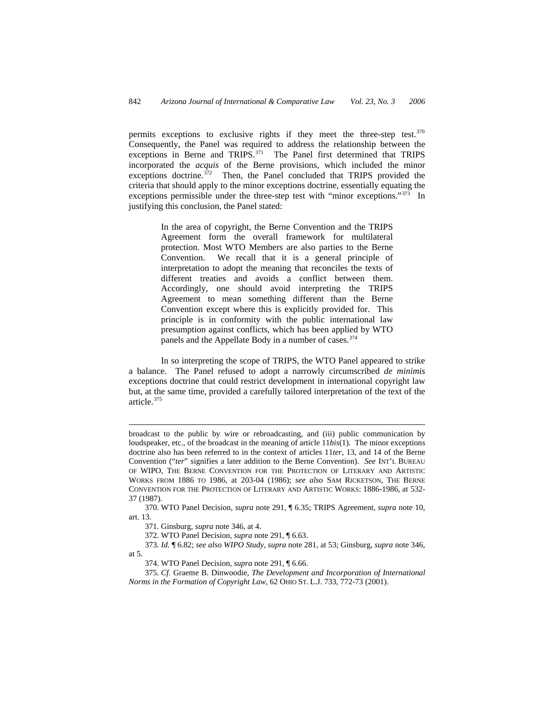permits exceptions to exclusive rights if they meet the three-step test.<sup>[370](#page-55-0)</sup> Consequently, the Panel was required to address the relationship between the exceptions in Berne and TRIPS.<sup>371</sup> The Panel first determined that TRIPS incorporated the *acquis* of the Berne provisions, which included the minor exceptions doctrine. $372$  Then, the Panel concluded that TRIPS provided the criteria that should apply to the minor exceptions doctrine, essentially equating the exceptions permissible under the three-step test with "minor exceptions."<sup>[373](#page-55-3)</sup> In justifying this conclusion, the Panel stated:

> In the area of copyright, the Berne Convention and the TRIPS Agreement form the overall framework for multilateral protection. Most WTO Members are also parties to the Berne Convention. We recall that it is a general principle of interpretation to adopt the meaning that reconciles the texts of different treaties and avoids a conflict between them. Accordingly, one should avoid interpreting the TRIPS Agreement to mean something different than the Berne Convention except where this is explicitly provided for. This principle is in conformity with the public international law presumption against conflicts, which has been applied by WTO panels and the Appellate Body in a number of cases.<sup>374</sup>

In so interpreting the scope of TRIPS, the WTO Panel appeared to strike a balance. The Panel refused to adopt a narrowly circumscribed *de minimis* exceptions doctrine that could restrict development in international copyright law but, at the same time, provided a carefully tailored interpretation of the text of the article.[375](#page-55-5)

broadcast to the public by wire or rebroadcasting, and (iii) public communication by loudspeaker, etc., of the broadcast in the meaning of article 11*bis*(1). The minor exceptions doctrine also has been referred to in the context of articles 11*ter*, 13, and 14 of the Berne Convention ("*ter*" signifies a later addition to the Berne Convention). *See* INT'L BUREAU OF WIPO, THE BERNE CONVENTION FOR THE PROTECTION OF LITERARY AND ARTISTIC WORKS FROM 1886 TO 1986, at 203-04 (1986); *see also* SAM RICKETSON, THE BERNE CONVENTION FOR THE PROTECTION OF LITERARY AND ARTISTIC WORKS: 1886-1986, at 532- 37 (1987).

<span id="page-55-1"></span><span id="page-55-0"></span><sup>370.</sup> WTO Panel Decision, *supra* note 291, ¶ 6.35; TRIPS Agreement, *supra* note 10, art. 13.

<sup>371.</sup> Ginsburg, *supra* note 346, at 4.

<sup>372.</sup> WTO Panel Decision, *supra* note 291, ¶ 6.63.

<span id="page-55-3"></span><span id="page-55-2"></span><sup>373</sup>*. Id.* ¶ 6.82; *see also WIPO Study*, *supra* note 281, at 53; Ginsburg, *supra* note 346, at 5.

<sup>374.</sup> WTO Panel Decision, *supra* note 291, ¶ 6.66.

<span id="page-55-5"></span><span id="page-55-4"></span><sup>375</sup>*. Cf.* Graeme B. Dinwoodie, *The Development and Incorporation of International Norms in the Formation of Copyright Law*, 62 OHIO ST. L.J. 733, 772-73 (2001).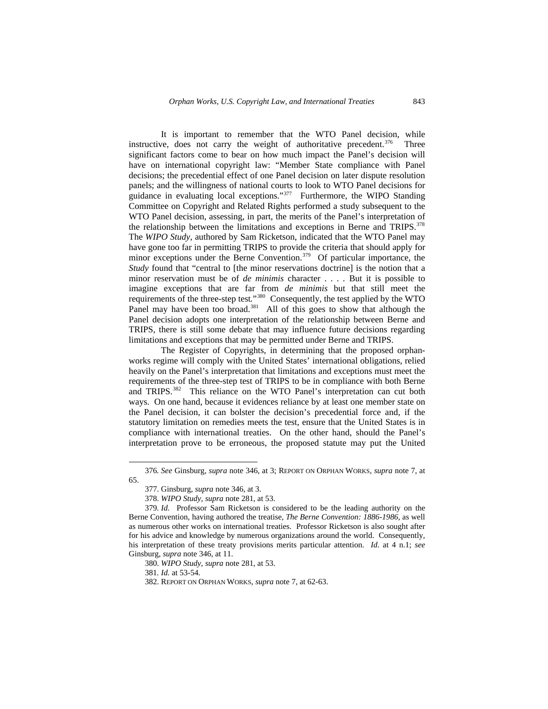It is important to remember that the WTO Panel decision, while instructive, does not carry the weight of authoritative precedent. $376$  Three significant factors come to bear on how much impact the Panel's decision will have on international copyright law: "Member State compliance with Panel decisions; the precedential effect of one Panel decision on later dispute resolution panels; and the willingness of national courts to look to WTO Panel decisions for guidance in evaluating local exceptions."[377](#page-56-1) Furthermore, the WIPO Standing Committee on Copyright and Related Rights performed a study subsequent to the WTO Panel decision, assessing, in part, the merits of the Panel's interpretation of the relationship between the limitations and exceptions in Berne and TRIPS.<sup>[378](#page-56-2)</sup> The *WIPO Study*, authored by Sam Ricketson, indicated that the WTO Panel may have gone too far in permitting TRIPS to provide the criteria that should apply for minor exceptions under the Berne Convention.<sup>[379](#page-56-3)</sup> Of particular importance, the *Study* found that "central to [the minor reservations doctrine] is the notion that a minor reservation must be of *de minimis* character . . . *.* But it is possible to imagine exceptions that are far from *de minimis* but that still meet the requirements of the three-step test*.*"[380](#page-56-4) Consequently, the test applied by the WTO Panel may have been too broad.<sup>[381](#page-56-5)</sup> All of this goes to show that although the Panel decision adopts one interpretation of the relationship between Berne and TRIPS, there is still some debate that may influence future decisions regarding limitations and exceptions that may be permitted under Berne and TRIPS.

The Register of Copyrights, in determining that the proposed orphanworks regime will comply with the United States' international obligations, relied heavily on the Panel's interpretation that limitations and exceptions must meet the requirements of the three-step test of TRIPS to be in compliance with both Berne and TRIPS.<sup>[382](#page-56-6)</sup> This reliance on the WTO Panel's interpretation can cut both ways. On one hand, because it evidences reliance by at least one member state on the Panel decision, it can bolster the decision's precedential force and, if the statutory limitation on remedies meets the test, ensure that the United States is in compliance with international treaties. On the other hand, should the Panel's interpretation prove to be erroneous, the proposed statute may put the United

380. *WIPO Study*, *supra* note 281, at 53.

381*. Id.* at 53-54.

-

<span id="page-56-1"></span><span id="page-56-0"></span><sup>376</sup>*. See* Ginsburg, *supra* note 346, at 3; REPORT ON ORPHAN WORKS, *supra* note 7, at 65.

<sup>377.</sup> Ginsburg, *supra* note 346, at 3.

<sup>378.</sup> *WIPO Study*, *supra* note 281, at 53.

<span id="page-56-5"></span><span id="page-56-4"></span><span id="page-56-3"></span><span id="page-56-2"></span><sup>379</sup>*. Id.* Professor Sam Ricketson is considered to be the leading authority on the Berne Convention, having authored the treatise, *The Berne Convention: 1886-1986*, as well as numerous other works on international treaties. Professor Ricketson is also sought after for his advice and knowledge by numerous organizations around the world. Consequently, his interpretation of these treaty provisions merits particular attention. *Id.* at 4 n.1; *see*  Ginsburg, *supra* note 346, at 11.

<span id="page-56-6"></span><sup>382.</sup> REPORT ON ORPHAN WORKS, *supra* note 7, at 62-63.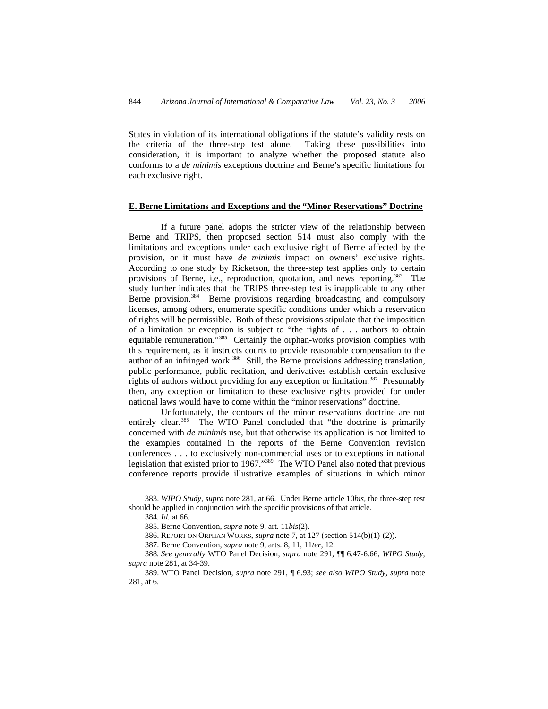States in violation of its international obligations if the statute's validity rests on the criteria of the three-step test alone. Taking these possibilities into consideration, it is important to analyze whether the proposed statute also conforms to a *de minimis* exceptions doctrine and Berne's specific limitations for each exclusive right.

## **E. Berne Limitations and Exceptions and the "Minor Reservations" Doctrine**

If a future panel adopts the stricter view of the relationship between Berne and TRIPS, then proposed section 514 must also comply with the limitations and exceptions under each exclusive right of Berne affected by the provision, or it must have *de minimis* impact on owners' exclusive rights. According to one study by Ricketson, the three-step test applies only to certain provisions of Berne, i.e., reproduction, quotation, and news reporting.<sup>[383](#page-57-0)</sup> The study further indicates that the TRIPS three-step test is inapplicable to any other Berne provision.<sup>[384](#page-57-1)</sup> Berne provisions regarding broadcasting and compulsory licenses, among others, enumerate specific conditions under which a reservation of rights will be permissible. Both of these provisions stipulate that the imposition of a limitation or exception is subject to "the rights of . . . authors to obtain equitable remuneration.<sup>5[385](#page-57-2)</sup> Certainly the orphan-works provision complies with this requirement, as it instructs courts to provide reasonable compensation to the author of an infringed work.<sup>[386](#page-57-3)</sup> Still, the Berne provisions addressing translation, public performance, public recitation, and derivatives establish certain exclusive rights of authors without providing for any exception or limitation.<sup>[387](#page-57-4)</sup> Presumably then, any exception or limitation to these exclusive rights provided for under national laws would have to come within the "minor reservations" doctrine.

Unfortunately, the contours of the minor reservations doctrine are not entirely clear.<sup>[388](#page-57-5)</sup> The WTO Panel concluded that "the doctrine is primarily concerned with *de minimis* use, but that otherwise its application is not limited to the examples contained in the reports of the Berne Convention revision conferences . . . to exclusively non-commercial uses or to exceptions in national legislation that existed prior to 1967."[389](#page-57-6) The WTO Panel also noted that previous conference reports provide illustrative examples of situations in which minor

<span id="page-57-2"></span><span id="page-57-1"></span><span id="page-57-0"></span><sup>383.</sup> *WIPO Study*, *supra* note 281, at 66. Under Berne article 10*bis,* the three-step test should be applied in conjunction with the specific provisions of that article.

<sup>384</sup>*. Id.* at 66.

<sup>385.</sup> Berne Convention, *supra* note 9, art. 11*bis*(2).

<sup>386.</sup> REPORT ON ORPHAN WORKS, *supra* note 7, at 127 (section 514(b)(1)-(2)).

<sup>387.</sup> Berne Convention, *supra* note 9, arts. 8, 11, 11*ter,* 12.

<span id="page-57-5"></span><span id="page-57-4"></span><span id="page-57-3"></span><sup>388</sup>*. See generally* WTO Panel Decision, *supra* note 291, ¶¶ 6.47-6.66; *WIPO Study*, *supra* note 281, at 34-39.

<span id="page-57-6"></span><sup>389.</sup> WTO Panel Decision, *supra* note 291, ¶ 6.93; *see also WIPO Study*, *supra* note 281, at 6.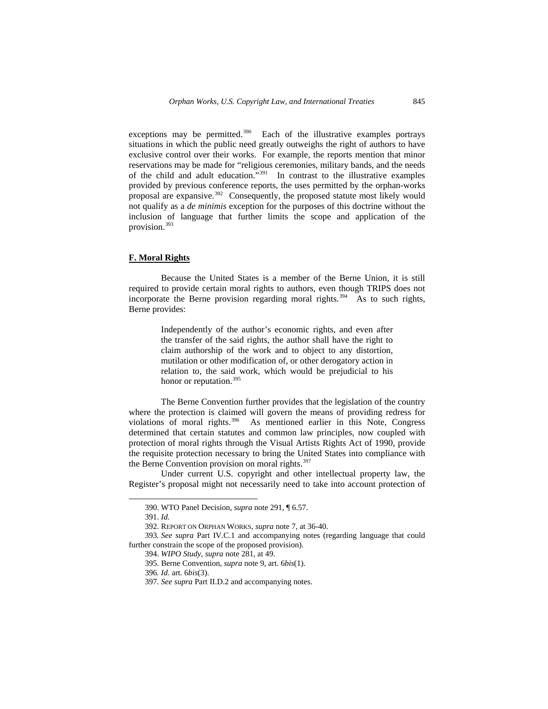exceptions may be permitted.<sup>[390](#page-58-0)</sup> Each of the illustrative examples portrays situations in which the public need greatly outweighs the right of authors to have exclusive control over their works. For example, the reports mention that minor reservations may be made for "religious ceremonies, military bands, and the needs of the child and adult education."[391](#page-58-1) In contrast to the illustrative examples provided by previous conference reports, the uses permitted by the orphan-works proposal are expansive.[392](#page-58-2) Consequently, the proposed statute most likely would not qualify as a *de minimis* exception for the purposes of this doctrine without the inclusion of language that further limits the scope and application of the provision.[393](#page-58-3)

## **F. Moral Rights**

Because the United States is a member of the Berne Union, it is still required to provide certain moral rights to authors, even though TRIPS does not incorporate the Berne provision regarding moral rights*.* [394](#page-58-4) As to such rights, Berne provides:

> Independently of the author's economic rights, and even after the transfer of the said rights, the author shall have the right to claim authorship of the work and to object to any distortion, mutilation or other modification of, or other derogatory action in relation to, the said work, which would be prejudicial to his honor or reputation.<sup>[395](#page-58-5)</sup>

The Berne Convention further provides that the legislation of the country where the protection is claimed will govern the means of providing redress for violations of moral rights.<sup>396</sup> As mentioned earlier in this Note, Congress determined that certain statutes and common law principles, now coupled with protection of moral rights through the Visual Artists Rights Act of 1990, provide the requisite protection necessary to bring the United States into compliance with the Berne Convention provision on moral rights.<sup>[397](#page-58-7)</sup>

Under current U.S. copyright and other intellectual property law, the Register's proposal might not necessarily need to take into account protection of

<sup>390.</sup> WTO Panel Decision, *supra* note 291, ¶ 6.57.

<sup>391.</sup> *Id.* 

<sup>392.</sup> REPORT ON ORPHAN WORKS, *supra* note 7, at 36-40.

<span id="page-58-7"></span><span id="page-58-6"></span><span id="page-58-5"></span><span id="page-58-4"></span><span id="page-58-3"></span><span id="page-58-2"></span><span id="page-58-1"></span><span id="page-58-0"></span><sup>393</sup>*. See supra* Part IV.C.1 and accompanying notes (regarding language that could further constrain the scope of the proposed provision).

<sup>394.</sup> *WIPO Study*, *supra* note 281, at 49.

<sup>395.</sup> Berne Convention, *supra* note 9, art. 6*bis*(1).

<sup>396</sup>*. Id.* art. 6*bis*(3).

<sup>397</sup>*. See supra* Part II.D.2 and accompanying notes.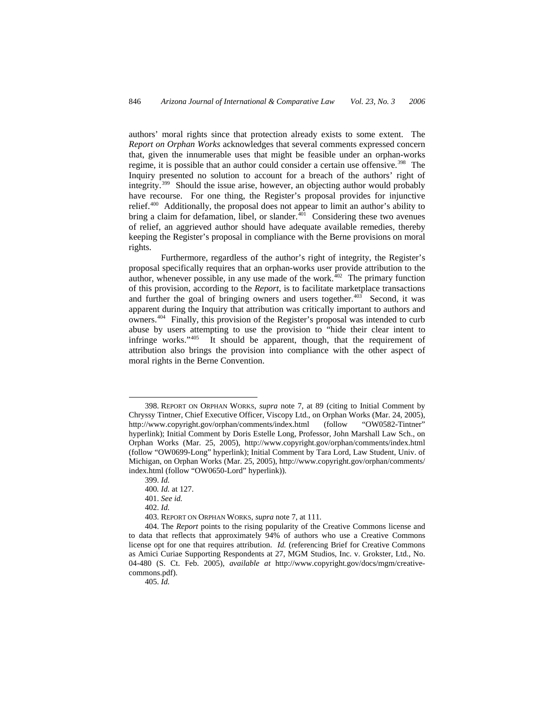authors' moral rights since that protection already exists to some extent. The *Report on Orphan Works* acknowledges that several comments expressed concern that, given the innumerable uses that might be feasible under an orphan-works regime, it is possible that an author could consider a certain use offensive.<sup>[398](#page-59-0)</sup> The Inquiry presented no solution to account for a breach of the authors' right of integrity.[399](#page-59-1) Should the issue arise, however, an objecting author would probably have recourse. For one thing, the Register's proposal provides for injunctive relief.[400](#page-59-2) Additionally, the proposal does not appear to limit an author's ability to bring a claim for defamation, libel, or slander. $401$  Considering these two avenues of relief, an aggrieved author should have adequate available remedies, thereby keeping the Register's proposal in compliance with the Berne provisions on moral rights.

Furthermore, regardless of the author's right of integrity, the Register's proposal specifically requires that an orphan-works user provide attribution to the author, whenever possible, in any use made of the work. $402$  The primary function of this provision, according to the *Report*, is to facilitate marketplace transactions and further the goal of bringing owners and users together.<sup>[403](#page-59-5)</sup> Second, it was apparent during the Inquiry that attribution was critically important to authors and owners.[404](#page-59-6) Finally, this provision of the Register's proposal was intended to curb abuse by users attempting to use the provision to "hide their clear intent to infringe works."[405](#page-59-7) It should be apparent, though, that the requirement of attribution also brings the provision into compliance with the other aspect of moral rights in the Berne Convention.

 $\overline{a}$ 

405. *Id.* 

<span id="page-59-0"></span><sup>398.</sup> REPORT ON ORPHAN WORKS, *supra* note 7, at 89 (citing to Initial Comment by Chryssy Tintner, Chief Executive Officer, Viscopy Ltd., on Orphan Works (Mar. 24, 2005), http://www.copyright.gov/orphan/comments/index.html (follow "OW0582-Tintner" hyperlink); Initial Comment by Doris Estelle Long, Professor, John Marshall Law Sch., on Orphan Works (Mar. 25, 2005), http://www.copyright.gov/orphan/comments/index.html (follow "OW0699-Long" hyperlink); Initial Comment by Tara Lord, Law Student, Univ. of Michigan, on Orphan Works (Mar. 25, 2005), http://www.copyright.gov/orphan/comments/ index.html (follow "OW0650-Lord" hyperlink)).

<sup>399.</sup> *Id.*

<sup>400</sup>*. Id.* at 127.

<sup>401.</sup> *See id.*

<sup>402.</sup> *Id.* 

<sup>403.</sup> REPORT ON ORPHAN WORKS, *supra* note 7, at 111.

<span id="page-59-7"></span><span id="page-59-6"></span><span id="page-59-5"></span><span id="page-59-4"></span><span id="page-59-3"></span><span id="page-59-2"></span><span id="page-59-1"></span><sup>404.</sup> The *Report* points to the rising popularity of the Creative Commons license and to data that reflects that approximately 94% of authors who use a Creative Commons license opt for one that requires attribution. *Id.* (referencing Brief for Creative Commons as Amici Curiae Supporting Respondents at 27, MGM Studios, Inc. v. Grokster, Ltd*.,* No. 04-480 (S. Ct. Feb. 2005), *available at* http://www.copyright.gov/docs/mgm/creativecommons.pdf).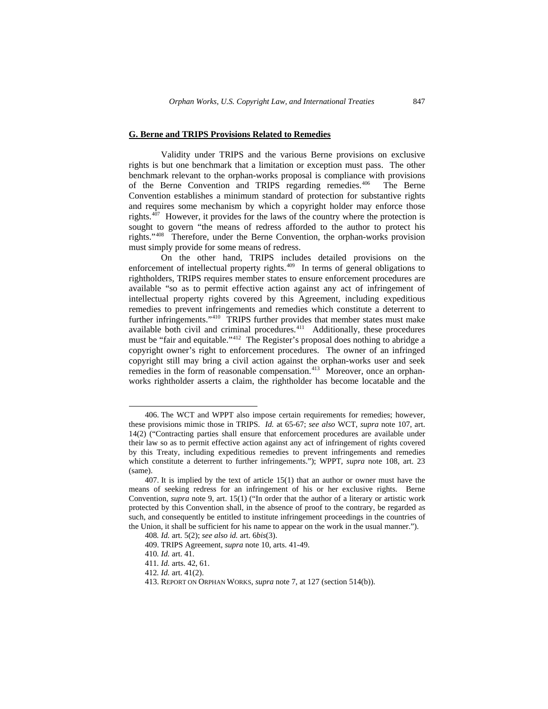#### **G. Berne and TRIPS Provisions Related to Remedies**

Validity under TRIPS and the various Berne provisions on exclusive rights is but one benchmark that a limitation or exception must pass. The other benchmark relevant to the orphan-works proposal is compliance with provisions of the Berne Convention and TRIPS regarding remedies.<sup>[406](#page-60-0)</sup> The Berne Convention establishes a minimum standard of protection for substantive rights and requires some mechanism by which a copyright holder may enforce those rights. $4\overline{07}$  However, it provides for the laws of the country where the protection is sought to govern "the means of redress afforded to the author to protect his rights."[408](#page-60-2) Therefore, under the Berne Convention, the orphan-works provision must simply provide for some means of redress.

On the other hand, TRIPS includes detailed provisions on the enforcement of intellectual property rights.<sup>[409](#page-60-3)</sup> In terms of general obligations to rightholders, TRIPS requires member states to ensure enforcement procedures are available "so as to permit effective action against any act of infringement of intellectual property rights covered by this Agreement, including expeditious remedies to prevent infringements and remedies which constitute a deterrent to further infringements."[410](#page-60-4) TRIPS further provides that member states must make available both civil and criminal procedures.<sup>[411](#page-60-5)</sup> Additionally, these procedures must be "fair and equitable."[412](#page-60-6) The Register's proposal does nothing to abridge a copyright owner's right to enforcement procedures. The owner of an infringed copyright still may bring a civil action against the orphan-works user and seek remedies in the form of reasonable compensation.<sup>[413](#page-60-7)</sup> Moreover, once an orphanworks rightholder asserts a claim, the rightholder has become locatable and the

<span id="page-60-0"></span><sup>406.</sup> The WCT and WPPT also impose certain requirements for remedies; however, these provisions mimic those in TRIPS. *Id.* at 65-67; *see also* WCT, *supra* note 107, art. 14(2) ("Contracting parties shall ensure that enforcement procedures are available under their law so as to permit effective action against any act of infringement of rights covered by this Treaty, including expeditious remedies to prevent infringements and remedies which constitute a deterrent to further infringements."); WPPT, *supra* note 108, art. 23 (same).

<span id="page-60-3"></span><span id="page-60-2"></span><span id="page-60-1"></span><sup>407.</sup> It is implied by the text of article 15(1) that an author or owner must have the means of seeking redress for an infringement of his or her exclusive rights. Berne Convention, *supra* note 9, art. 15(1) ("In order that the author of a literary or artistic work protected by this Convention shall, in the absence of proof to the contrary, be regarded as such, and consequently be entitled to institute infringement proceedings in the countries of the Union, it shall be sufficient for his name to appear on the work in the usual manner.").

<sup>408</sup>*. Id.* art. 5(2); *see also id.* art. 6*bis*(3).

<sup>409.</sup> TRIPS Agreement, *supra* note 10, arts. 41-49.

<span id="page-60-4"></span><sup>410</sup>*. Id.* art. 41.

<span id="page-60-5"></span><sup>411</sup>*. Id.* arts. 42, 61.

<span id="page-60-6"></span><sup>412</sup>*. Id.* art. 41(2).

<span id="page-60-7"></span><sup>413.</sup> REPORT ON ORPHAN WORKS, *supra* note 7, at 127 (section 514(b)).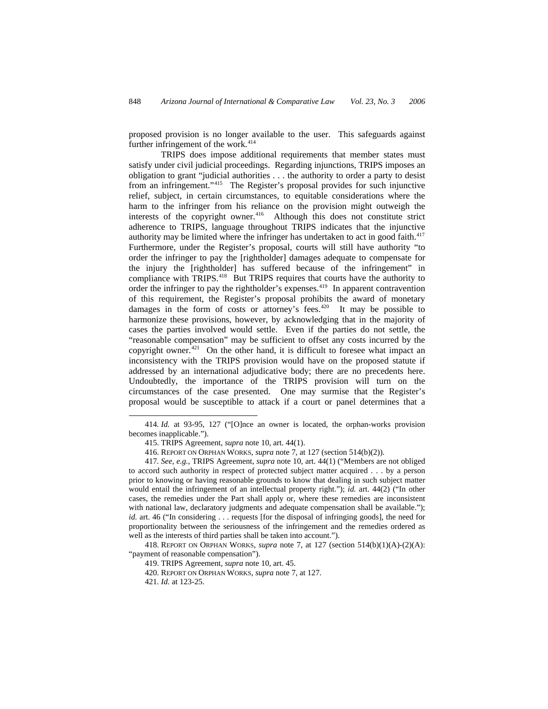proposed provision is no longer available to the user. This safeguards against further infringement of the work. $414$ 

TRIPS does impose additional requirements that member states must satisfy under civil judicial proceedings. Regarding injunctions, TRIPS imposes an obligation to grant "judicial authorities . . . the authority to order a party to desist from an infringement."<sup>[415](#page-61-1)</sup> The Register's proposal provides for such injunctive relief, subject, in certain circumstances, to equitable considerations where the harm to the infringer from his reliance on the provision might outweigh the interests of the copyright owner.<sup>[416](#page-61-2)</sup> Although this does not constitute strict adherence to TRIPS, language throughout TRIPS indicates that the injunctive authority may be limited where the infringer has undertaken to act in good faith. $417$ Furthermore, under the Register's proposal, courts will still have authority "to order the infringer to pay the [rightholder] damages adequate to compensate for the injury the [rightholder] has suffered because of the infringement" in compliance with TRIPS.[418](#page-61-4) But TRIPS requires that courts have the authority to order the infringer to pay the rightholder's expenses.[419](#page-61-5) In apparent contravention of this requirement, the Register's proposal prohibits the award of monetary damages in the form of costs or attorney's fees. $420$  It may be possible to harmonize these provisions, however, by acknowledging that in the majority of cases the parties involved would settle. Even if the parties do not settle, the "reasonable compensation" may be sufficient to offset any costs incurred by the copyright owner. $421$  On the other hand, it is difficult to foresee what impact an inconsistency with the TRIPS provision would have on the proposed statute if addressed by an international adjudicative body; there are no precedents here. Undoubtedly, the importance of the TRIPS provision will turn on the circumstances of the case presented. One may surmise that the Register's proposal would be susceptible to attack if a court or panel determines that a

<span id="page-61-0"></span><sup>414</sup>*. Id.* at 93-95, 127 ("[O]nce an owner is located, the orphan-works provision becomes inapplicable.").

<sup>415.</sup> TRIPS Agreement, *supra* note 10, art. 44(1).

<sup>416.</sup> REPORT ON ORPHAN WORKS, *supra* note 7, at 127 (section 514(b)(2)).

<span id="page-61-3"></span><span id="page-61-2"></span><span id="page-61-1"></span><sup>417</sup>*. See, e.g.*, TRIPS Agreement, *supra* note 10, art. 44(1) ("Members are not obliged to accord such authority in respect of protected subject matter acquired . . . by a person prior to knowing or having reasonable grounds to know that dealing in such subject matter would entail the infringement of an intellectual property right."); *id.* art. 44(2) ("In other cases, the remedies under the Part shall apply or, where these remedies are inconsistent with national law, declaratory judgments and adequate compensation shall be available."); *id.* art. 46 ("In considering . . . requests [for the disposal of infringing goods], the need for proportionality between the seriousness of the infringement and the remedies ordered as well as the interests of third parties shall be taken into account.").

<span id="page-61-7"></span><span id="page-61-6"></span><span id="page-61-5"></span><span id="page-61-4"></span><sup>418.</sup> REPORT ON ORPHAN WORKS, *supra* note 7, at 127 (section 514(b)(1)(A)-(2)(A): "payment of reasonable compensation").

<sup>419.</sup> TRIPS Agreement, *supra* note 10, art. 45.

<sup>420.</sup> REPORT ON ORPHAN WORKS, *supra* note 7, at 127.

<sup>421</sup>*. Id.* at 123-25.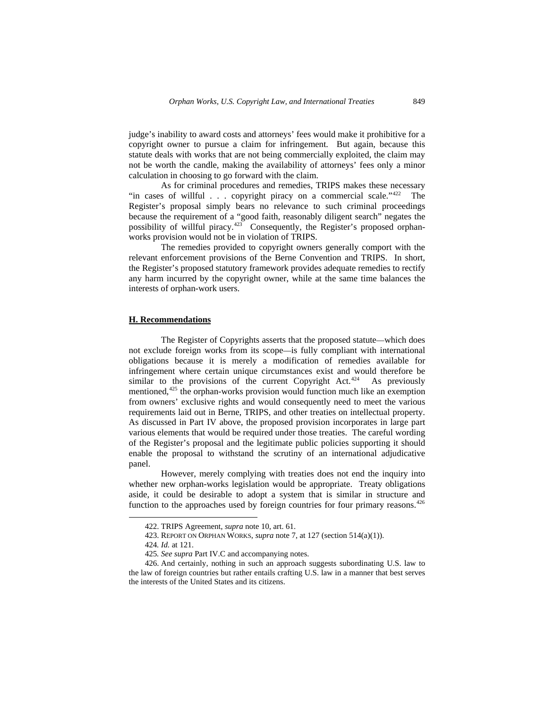judge's inability to award costs and attorneys' fees would make it prohibitive for a copyright owner to pursue a claim for infringement. But again, because this statute deals with works that are not being commercially exploited, the claim may not be worth the candle, making the availability of attorneys' fees only a minor calculation in choosing to go forward with the claim.

As for criminal procedures and remedies, TRIPS makes these necessary "in cases of willful . . . copyright piracy on a commercial scale."<sup>[422](#page-62-0)</sup> The Register's proposal simply bears no relevance to such criminal proceedings because the requirement of a "good faith, reasonably diligent search" negates the possibility of willful piracy.<sup>[423](#page-62-1)</sup> Consequently, the Register's proposed orphanworks provision would not be in violation of TRIPS.

The remedies provided to copyright owners generally comport with the relevant enforcement provisions of the Berne Convention and TRIPS. In short, the Register's proposed statutory framework provides adequate remedies to rectify any harm incurred by the copyright owner, while at the same time balances the interests of orphan-work users.

# **H. Recommendations**

The Register of Copyrights asserts that the proposed statute—which does not exclude foreign works from its scope—is fully compliant with international obligations because it is merely a modification of remedies available for infringement where certain unique circumstances exist and would therefore be similar to the provisions of the current Copyright Act.<sup>[424](#page-62-2)</sup> As previously mentioned,<sup>[425](#page-62-3)</sup> the orphan-works provision would function much like an exemption from owners' exclusive rights and would consequently need to meet the various requirements laid out in Berne, TRIPS, and other treaties on intellectual property. As discussed in Part IV above, the proposed provision incorporates in large part various elements that would be required under those treaties. The careful wording of the Register's proposal and the legitimate public policies supporting it should enable the proposal to withstand the scrutiny of an international adjudicative panel.

However, merely complying with treaties does not end the inquiry into whether new orphan-works legislation would be appropriate. Treaty obligations aside, it could be desirable to adopt a system that is similar in structure and function to the approaches used by foreign countries for four primary reasons.<sup>[426](#page-62-4)</sup>

<span id="page-62-1"></span><span id="page-62-0"></span>-

<sup>422.</sup> TRIPS Agreement, *supra* note 10, art. 61.

<sup>423.</sup> REPORT ON ORPHAN WORKS, *supra* note 7, at 127 (section 514(a)(1)).

<sup>424</sup>*. Id.* at 121.

<sup>425</sup>*. See supra* Part IV.C and accompanying notes.

<span id="page-62-4"></span><span id="page-62-3"></span><span id="page-62-2"></span><sup>426.</sup> And certainly, nothing in such an approach suggests subordinating U.S. law to the law of foreign countries but rather entails crafting U.S. law in a manner that best serves the interests of the United States and its citizens.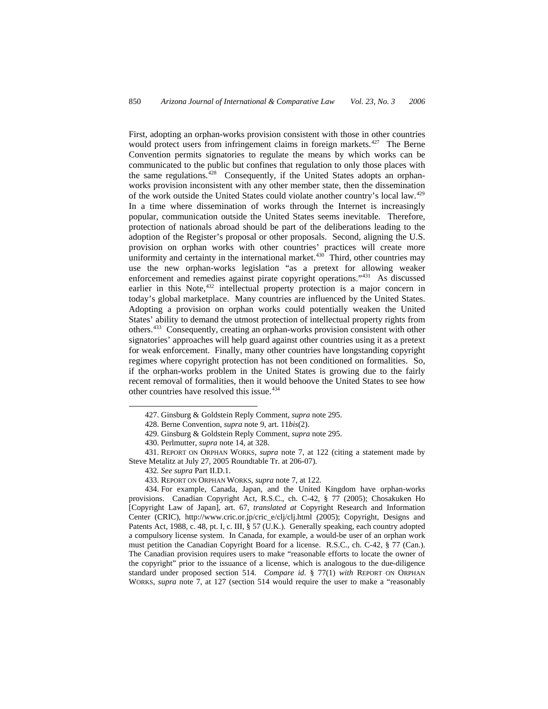First, adopting an orphan-works provision consistent with those in other countries would protect users from infringement claims in foreign markets.<sup>[427](#page-63-0)</sup> The Berne Convention permits signatories to regulate the means by which works can be communicated to the public but confines that regulation to only those places with the same regulations.<sup>[428](#page-63-1)</sup> Consequently, if the United States adopts an orphanworks provision inconsistent with any other member state, then the dissemination of the work outside the United States could violate another country's local law.[429](#page-63-2) In a time where dissemination of works through the Internet is increasingly popular, communication outside the United States seems inevitable. Therefore, protection of nationals abroad should be part of the deliberations leading to the adoption of the Register's proposal or other proposals. Second, aligning the U.S. provision on orphan works with other countries' practices will create more uniformity and certainty in the international market.<sup>[430](#page-63-3)</sup> Third, other countries may use the new orphan-works legislation "as a pretext for allowing weaker enforcement and remedies against pirate copyright operations."[431](#page-63-4) As discussed earlier in this Note,<sup>[432](#page-63-5)</sup> intellectual property protection is a major concern in today's global marketplace. Many countries are influenced by the United States. Adopting a provision on orphan works could potentially weaken the United States' ability to demand the utmost protection of intellectual property rights from others.[433](#page-63-6) Consequently, creating an orphan-works provision consistent with other signatories' approaches will help guard against other countries using it as a pretext for weak enforcement. Finally, many other countries have longstanding copyright regimes where copyright protection has not been conditioned on formalities. So, if the orphan-works problem in the United States is growing due to the fairly recent removal of formalities, then it would behoove the United States to see how other countries have resolved this issue.<sup>[434](#page-63-7)</sup>

<sup>427.</sup> Ginsburg & Goldstein Reply Comment, *supra* note 295.

<sup>428.</sup> Berne Convention, *supra* note 9, art. 11*bis*(2).

<sup>429.</sup> Ginsburg & Goldstein Reply Comment, *supra* note 295.

<sup>430.</sup> Perlmutter, *supra* note 14, at 328.

<span id="page-63-5"></span><span id="page-63-4"></span><span id="page-63-3"></span><span id="page-63-2"></span><span id="page-63-1"></span><span id="page-63-0"></span><sup>431.</sup> REPORT ON ORPHAN WORKS, *supra* note 7, at 122 (citing a statement made by Steve Metalitz at July 27, 2005 Roundtable Tr. at 206-07).

<sup>432</sup>*. See supra* Part II.D.1.

<sup>433.</sup> REPORT ON ORPHAN WORKS, *supra* note 7, at 122.

<span id="page-63-7"></span><span id="page-63-6"></span><sup>434.</sup> For example, Canada, Japan, and the United Kingdom have orphan-works provisions. Canadian Copyright Act, R.S.C., ch. C-42, § 77 (2005); Chosakuken Ho [Copyright Law of Japan], art. 67, *translated at* Copyright Research and Information Center (CRIC), http://www.cric.or.jp/cric\_e/clj/clj.html (2005); Copyright, Designs and Patents Act, 1988, c. 48, pt. I, c. III, § 57 (U.K.). Generally speaking, each country adopted a compulsory license system. In Canada, for example, a would-be user of an orphan work must petition the Canadian Copyright Board for a license. R.S.C., ch. C-42, § 77 (Can.). The Canadian provision requires users to make "reasonable efforts to locate the owner of the copyright" prior to the issuance of a license, which is analogous to the due-diligence standard under proposed section 514. *Compare id.* § 77(1) *with* REPORT ON ORPHAN WORKS, *supra* note 7, at 127 (section 514 would require the user to make a "reasonably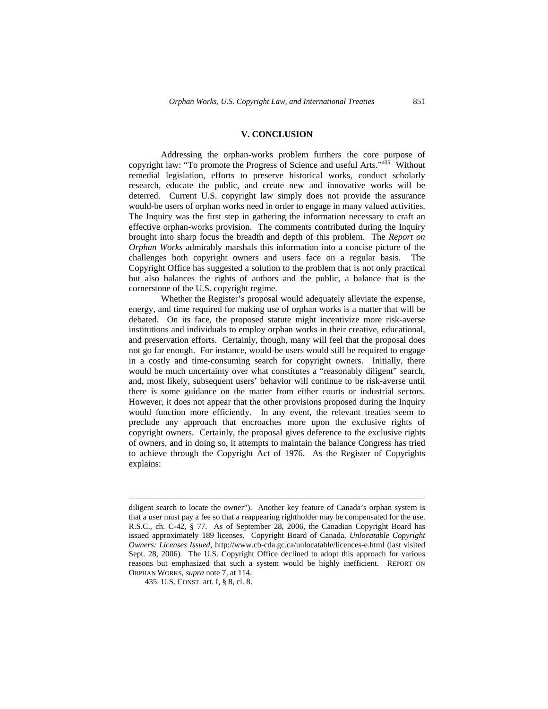#### **V. CONCLUSION**

Addressing the orphan-works problem furthers the core purpose of copyright law: "To promote the Progress of Science and useful Arts."[435](#page-64-0) Without remedial legislation, efforts to preserve historical works, conduct scholarly research, educate the public, and create new and innovative works will be deterred. Current U.S. copyright law simply does not provide the assurance would-be users of orphan works need in order to engage in many valued activities. The Inquiry was the first step in gathering the information necessary to craft an effective orphan-works provision. The comments contributed during the Inquiry brought into sharp focus the breadth and depth of this problem. The *Report on Orphan Works* admirably marshals this information into a concise picture of the challenges both copyright owners and users face on a regular basis. The Copyright Office has suggested a solution to the problem that is not only practical but also balances the rights of authors and the public, a balance that is the cornerstone of the U.S. copyright regime.

Whether the Register's proposal would adequately alleviate the expense, energy, and time required for making use of orphan works is a matter that will be debated. On its face, the proposed statute might incentivize more risk-averse institutions and individuals to employ orphan works in their creative, educational, and preservation efforts. Certainly, though, many will feel that the proposal does not go far enough. For instance, would-be users would still be required to engage in a costly and time-consuming search for copyright owners. Initially, there would be much uncertainty over what constitutes a "reasonably diligent" search, and, most likely, subsequent users' behavior will continue to be risk-averse until there is some guidance on the matter from either courts or industrial sectors. However, it does not appear that the other provisions proposed during the Inquiry would function more efficiently. In any event, the relevant treaties seem to preclude any approach that encroaches more upon the exclusive rights of copyright owners. Certainly, the proposal gives deference to the exclusive rights of owners, and in doing so, it attempts to maintain the balance Congress has tried to achieve through the Copyright Act of 1976. As the Register of Copyrights explains:

1

diligent search to locate the owner"). Another key feature of Canada's orphan system is that a user must pay a fee so that a reappearing rightholder may be compensated for the use. R.S.C., ch. C-42, § 77. As of September 28, 2006, the Canadian Copyright Board has issued approximately 189 licenses. Copyright Board of Canada, *Unlocatable Copyright Owners: Licenses Issued*, http://www.cb-cda.gc.ca/unlocatable/licences-e.html (last visited Sept. 28, 2006). The U.S. Copyright Office declined to adopt this approach for various reasons but emphasized that such a system would be highly inefficient. REPORT ON ORPHAN WORKS, *supra* note 7, at 114.

<span id="page-64-0"></span><sup>435.</sup> U.S. CONST. art. I, § 8, cl. 8.